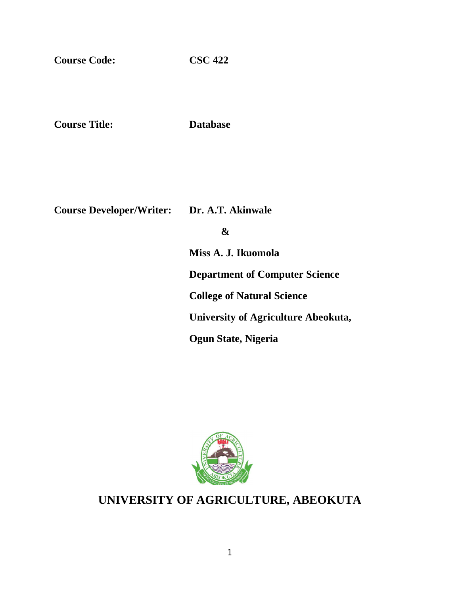**Course Code: CSC 422**

**Course Title: Database**

**Course Developer/Writer: Dr. A.T. Akinwale**

 **&**

**Miss A. J. Ikuomola Department of Computer Science College of Natural Science University of Agriculture Abeokuta, Ogun State, Nigeria**



# **UNIVERSITY OF AGRICULTURE, ABEOKUTA**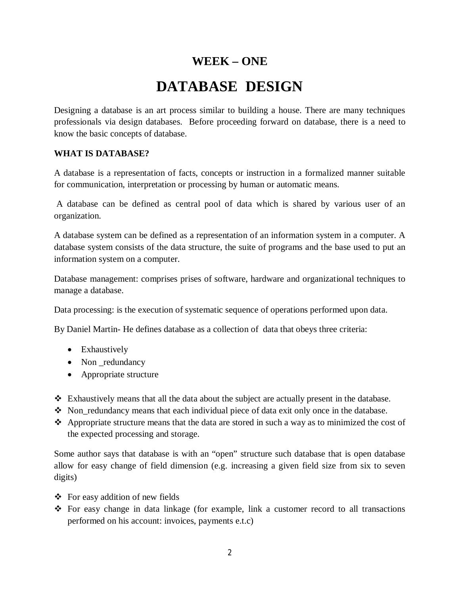# **WEEK – ONE DATABASE DESIGN**

Designing a database is an art process similar to building a house. There are many techniques professionals via design databases. Before proceeding forward on database, there is a need to know the basic concepts of database.

### **WHAT IS DATABASE?**

A database is a representation of facts, concepts or instruction in a formalized manner suitable for communication, interpretation or processing by human or automatic means.

A database can be defined as central pool of data which is shared by various user of an organization.

A database system can be defined as a representation of an information system in a computer. A database system consists of the data structure, the suite of programs and the base used to put an information system on a computer.

Database management: comprises prises of software, hardware and organizational techniques to manage a database.

Data processing: is the execution of systematic sequence of operations performed upon data.

By Daniel Martin- He defines database as a collection of data that obeys three criteria:

- Exhaustively
- Non \_redundancy
- Appropriate structure
- Exhaustively means that all the data about the subject are actually present in the database.
- $\bullet$  Non-redundancy means that each individual piece of data exit only once in the database.
- $\triangle$  Appropriate structure means that the data are stored in such a way as to minimized the cost of the expected processing and storage.

Some author says that database is with an "open" structure such database that is open database allow for easy change of field dimension (e.g. increasing a given field size from six to seven digits)

- $\triangle$  For easy addition of new fields
- For easy change in data linkage (for example, link a customer record to all transactions performed on his account: invoices, payments e.t.c)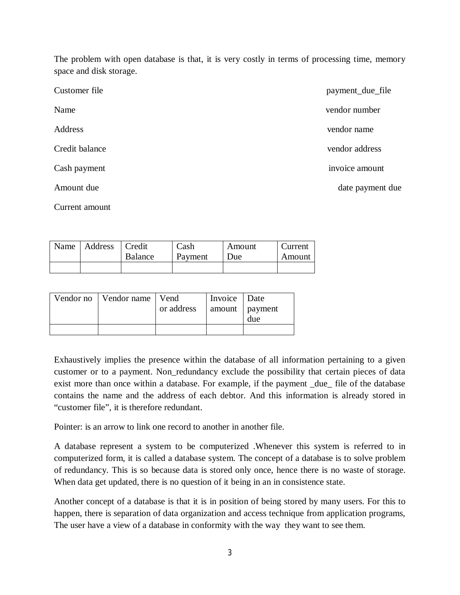The problem with open database is that, it is very costly in terms of processing time, memory space and disk storage.

| Customer file  | payment_due_file |
|----------------|------------------|
| Name           | vendor number    |
| Address        | vendor name      |
| Credit balance | vendor address   |
| Cash payment   | invoice amount   |
| Amount due     | date payment due |
| Current amount |                  |

| Name   Address | Credit<br><b>Balance</b> | Cash<br>Payment | Amount<br>Due | Current<br>Amount |
|----------------|--------------------------|-----------------|---------------|-------------------|
|                |                          |                 |               |                   |

| Vendor no   Vendor name   Vend |            | Invoice   Date |     |
|--------------------------------|------------|----------------|-----|
|                                | or address | amount payment |     |
|                                |            |                | due |
|                                |            |                |     |

Exhaustively implies the presence within the database of all information pertaining to a given customer or to a payment. Non\_redundancy exclude the possibility that certain pieces of data exist more than once within a database. For example, if the payment \_due\_ file of the database contains the name and the address of each debtor. And this information is already stored in "customer file", it is therefore redundant.

Pointer: is an arrow to link one record to another in another file.

A database represent a system to be computerized .Whenever this system is referred to in computerized form, it is called a database system. The concept of a database is to solve problem of redundancy. This is so because data is stored only once, hence there is no waste of storage. When data get updated, there is no question of it being in an in consistence state.

Another concept of a database is that it is in position of being stored by many users. For this to happen, there is separation of data organization and access technique from application programs, The user have a view of a database in conformity with the way they want to see them.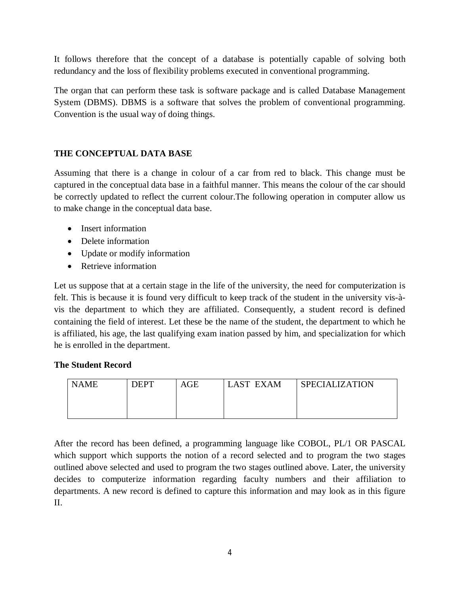It follows therefore that the concept of a database is potentially capable of solving both redundancy and the loss of flexibility problems executed in conventional programming.

The organ that can perform these task is software package and is called Database Management System (DBMS). DBMS is a software that solves the problem of conventional programming. Convention is the usual way of doing things.

# **THE CONCEPTUAL DATA BASE**

Assuming that there is a change in colour of a car from red to black. This change must be captured in the conceptual data base in a faithful manner. This means the colour of the car should be correctly updated to reflect the current colour.The following operation in computer allow us to make change in the conceptual data base.

- Insert information
- Delete information
- Update or modify information
- Retrieve information

Let us suppose that at a certain stage in the life of the university, the need for computerization is felt. This is because it is found very difficult to keep track of the student in the university vis-àvis the department to which they are affiliated. Consequently, a student record is defined containing the field of interest. Let these be the name of the student, the department to which he is affiliated, his age, the last qualifying exam ination passed by him, and specialization for which he is enrolled in the department.

# **The Student Record**

| <b>NAME</b> | <b>DEPT</b> | AGE | <b>LAST EXAM</b> | <b>SPECIALIZATION</b> |
|-------------|-------------|-----|------------------|-----------------------|
|             |             |     |                  |                       |
|             |             |     |                  |                       |

After the record has been defined, a programming language like COBOL, PL/1 OR PASCAL which support which supports the notion of a record selected and to program the two stages outlined above selected and used to program the two stages outlined above. Later, the university decides to computerize information regarding faculty numbers and their affiliation to departments. A new record is defined to capture this information and may look as in this figure II.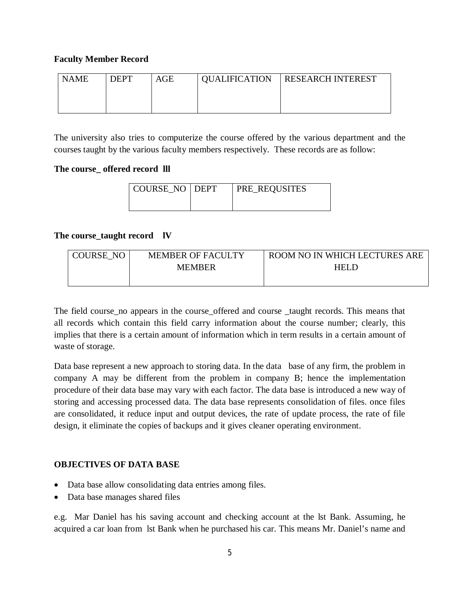# **Faculty Member Record**

| <b>NAME</b> | <b>DEPT</b> | $\rm{AGE}$ | <b>QUALIFICATION   RESEARCH INTEREST</b> |
|-------------|-------------|------------|------------------------------------------|
|             |             |            |                                          |
|             |             |            |                                          |

The university also tries to computerize the course offered by the various department and the courses taught by the various faculty members respectively. These records are as follow:

## **The course\_ offered record lll**

| COURSE NO DEPT | <b>PRE_REQUSITES</b> |
|----------------|----------------------|
|                |                      |

## **The course\_taught record lV**

| COURSE NO | <b>MEMBER OF FACULTY</b> | ROOM NO IN WHICH LECTURES ARE |  |
|-----------|--------------------------|-------------------------------|--|
|           | <b>MEMBER</b>            | <b>HELD</b>                   |  |
|           |                          |                               |  |

The field course no appears in the course offered and course taught records. This means that all records which contain this field carry information about the course number; clearly, this implies that there is a certain amount of information which in term results in a certain amount of waste of storage.

Data base represent a new approach to storing data. In the data base of any firm, the problem in company A may be different from the problem in company B; hence the implementation procedure of their data base may vary with each factor. The data base is introduced a new way of storing and accessing processed data. The data base represents consolidation of files. once files are consolidated, it reduce input and output devices, the rate of update process, the rate of file design, it eliminate the copies of backups and it gives cleaner operating environment.

# **OBJECTIVES OF DATA BASE**

- Data base allow consolidating data entries among files.
- Data base manages shared files

e.g. Mar Daniel has his saving account and checking account at the lst Bank. Assuming, he acquired a car loan from lst Bank when he purchased his car. This means Mr. Daniel's name and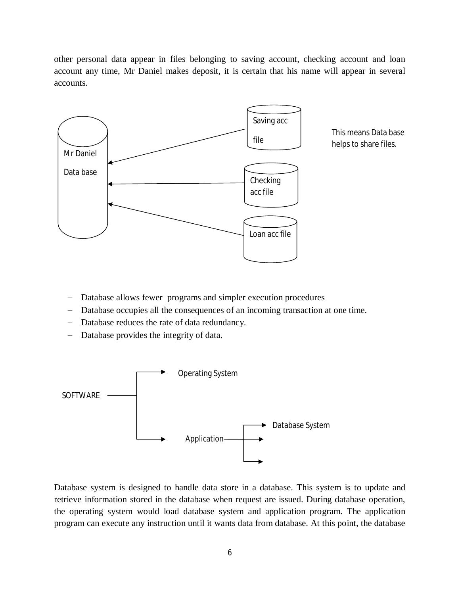other personal data appear in files belonging to saving account, checking account and loan account any time, Mr Daniel makes deposit, it is certain that his name will appear in several accounts.



- Database allows fewer programs and simpler execution procedures
- Database occupies all the consequences of an incoming transaction at one time.
- Database reduces the rate of data redundancy.
- Database provides the integrity of data.



Database system is designed to handle data store in a database. This system is to update and retrieve information stored in the database when request are issued. During database operation, the operating system would load database system and application program. The application program can execute any instruction until it wants data from database. At this point, the database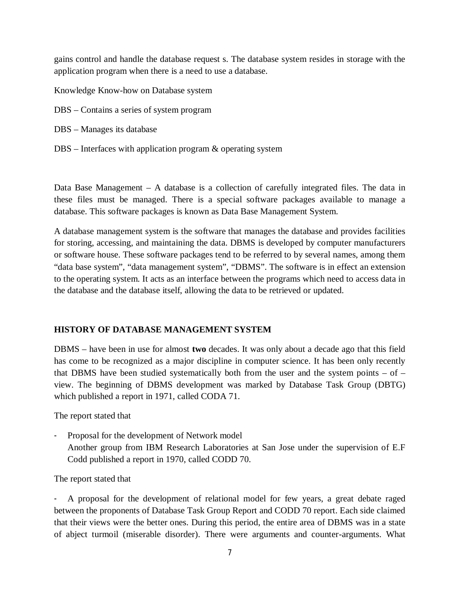gains control and handle the database request s. The database system resides in storage with the application program when there is a need to use a database.

Knowledge Know-how on Database system

- DBS Contains a series of system program
- DBS Manages its database
- DBS Interfaces with application program & operating system

Data Base Management – A database is a collection of carefully integrated files. The data in these files must be managed. There is a special software packages available to manage a database. This software packages is known as Data Base Management System.

A database management system is the software that manages the database and provides facilities for storing, accessing, and maintaining the data. DBMS is developed by computer manufacturers or software house. These software packages tend to be referred to by several names, among them "data base system", "data management system", "DBMS". The software is in effect an extension to the operating system. It acts as an interface between the programs which need to access data in the database and the database itself, allowing the data to be retrieved or updated.

# **HISTORY OF DATABASE MANAGEMENT SYSTEM**

DBMS – have been in use for almost **two** decades. It was only about a decade ago that this field has come to be recognized as a major discipline in computer science. It has been only recently that DBMS have been studied systematically both from the user and the system points  $-$  of  $$ view. The beginning of DBMS development was marked by Database Task Group (DBTG) which published a report in 1971, called CODA 71.

The report stated that

Proposal for the development of Network model Another group from IBM Research Laboratories at San Jose under the supervision of E.F Codd published a report in 1970, called CODD 70.

The report stated that

A proposal for the development of relational model for few years, a great debate raged between the proponents of Database Task Group Report and CODD 70 report. Each side claimed that their views were the better ones. During this period, the entire area of DBMS was in a state of abject turmoil (miserable disorder). There were arguments and counter-arguments. What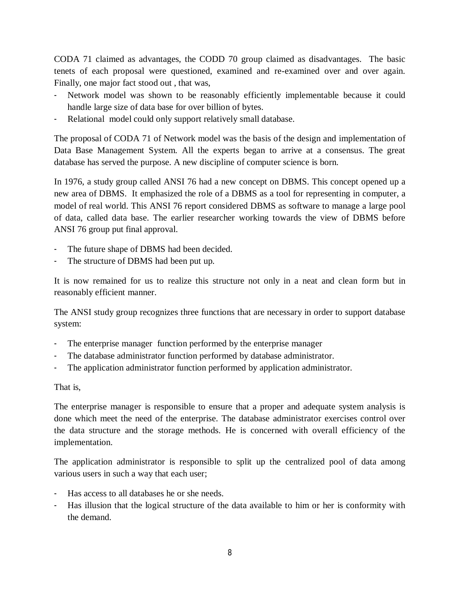CODA 71 claimed as advantages, the CODD 70 group claimed as disadvantages. The basic tenets of each proposal were questioned, examined and re-examined over and over again. Finally, one major fact stood out , that was,

- Network model was shown to be reasonably efficiently implementable because it could handle large size of data base for over billion of bytes.
- Relational model could only support relatively small database.

The proposal of CODA 71 of Network model was the basis of the design and implementation of Data Base Management System. All the experts began to arrive at a consensus. The great database has served the purpose. A new discipline of computer science is born.

In 1976, a study group called ANSI 76 had a new concept on DBMS. This concept opened up a new area of DBMS. It emphasized the role of a DBMS as a tool for representing in computer, a model of real world. This ANSI 76 report considered DBMS as software to manage a large pool of data, called data base. The earlier researcher working towards the view of DBMS before ANSI 76 group put final approval.

- The future shape of DBMS had been decided.
- The structure of DBMS had been put up.

It is now remained for us to realize this structure not only in a neat and clean form but in reasonably efficient manner.

The ANSI study group recognizes three functions that are necessary in order to support database system:

- The enterprise manager function performed by the enterprise manager
- The database administrator function performed by database administrator.
- The application administrator function performed by application administrator.

That is,

The enterprise manager is responsible to ensure that a proper and adequate system analysis is done which meet the need of the enterprise. The database administrator exercises control over the data structure and the storage methods. He is concerned with overall efficiency of the implementation.

The application administrator is responsible to split up the centralized pool of data among various users in such a way that each user;

- Has access to all databases he or she needs.
- Has illusion that the logical structure of the data available to him or her is conformity with the demand.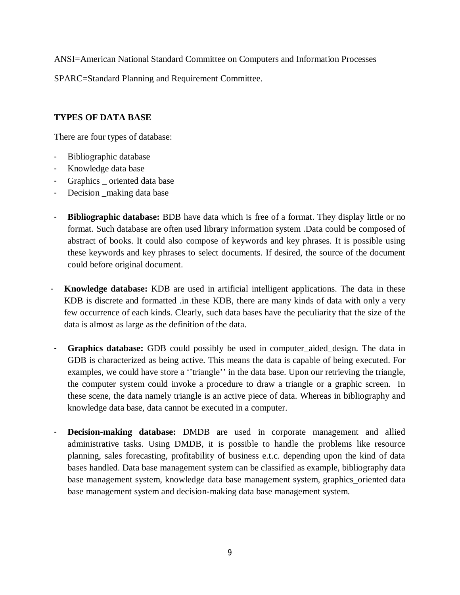ANSI=American National Standard Committee on Computers and Information Processes

SPARC=Standard Planning and Requirement Committee.

# **TYPES OF DATA BASE**

There are four types of database:

- Bibliographic database
- Knowledge data base
- Graphics \_ oriented data base
- Decision \_making data base
- **Bibliographic database:** BDB have data which is free of a format. They display little or no format. Such database are often used library information system .Data could be composed of abstract of books. It could also compose of keywords and key phrases. It is possible using these keywords and key phrases to select documents. If desired, the source of the document could before original document.
- **Knowledge database:** KDB are used in artificial intelligent applications. The data in these KDB is discrete and formatted .in these KDB, there are many kinds of data with only a very few occurrence of each kinds. Clearly, such data bases have the peculiarity that the size of the data is almost as large as the definition of the data.
- **Graphics database:** GDB could possibly be used in computer\_aided\_design. The data in GDB is characterized as being active. This means the data is capable of being executed. For examples, we could have store a "triangle" in the data base. Upon our retrieving the triangle, the computer system could invoke a procedure to draw a triangle or a graphic screen. In these scene, the data namely triangle is an active piece of data. Whereas in bibliography and knowledge data base, data cannot be executed in a computer.
- **Decision-making database:** DMDB are used in corporate management and allied administrative tasks. Using DMDB, it is possible to handle the problems like resource planning, sales forecasting, profitability of business e.t.c. depending upon the kind of data bases handled. Data base management system can be classified as example, bibliography data base management system, knowledge data base management system, graphics\_oriented data base management system and decision-making data base management system.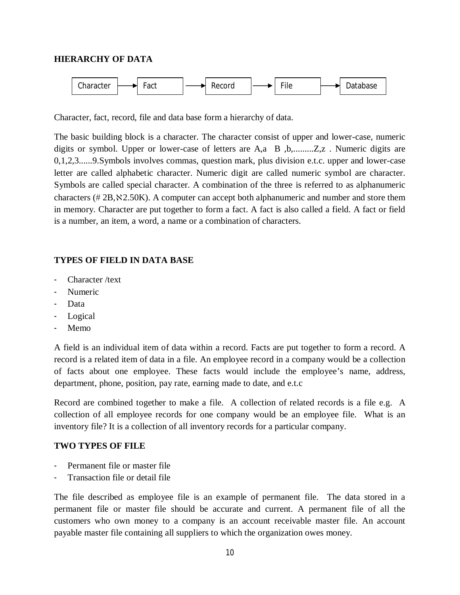### **HIERARCHY OF DATA**



Character, fact, record, file and data base form a hierarchy of data.

The basic building block is a character. The character consist of upper and lower-case, numeric digits or symbol. Upper or lower-case of letters are A,a B ,b,.........Z,z . Numeric digits are 0,1,2,3......9.Symbols involves commas, question mark, plus division e.t.c. upper and lower-case letter are called alphabetic character. Numeric digit are called numeric symbol are character. Symbols are called special character. A combination of the three is referred to as alphanumeric characters ( $#2B$ ,  $\&2.50K$ ). A computer can accept both alphanumeric and number and store them in memory. Character are put together to form a fact. A fact is also called a field. A fact or field is a number, an item, a word, a name or a combination of characters.

## **TYPES OF FIELD IN DATA BASE**

- Character /text
- Numeric
- Data
- Logical
- Memo

A field is an individual item of data within a record. Facts are put together to form a record. A record is a related item of data in a file. An employee record in a company would be a collection of facts about one employee. These facts would include the employee's name, address, department, phone, position, pay rate, earning made to date, and e.t.c

Record are combined together to make a file. A collection of related records is a file e.g. A collection of all employee records for one company would be an employee file. What is an inventory file? It is a collection of all inventory records for a particular company.

### **TWO TYPES OF FILE**

- Permanent file or master file
- Transaction file or detail file

The file described as employee file is an example of permanent file. The data stored in a permanent file or master file should be accurate and current. A permanent file of all the customers who own money to a company is an account receivable master file. An account payable master file containing all suppliers to which the organization owes money.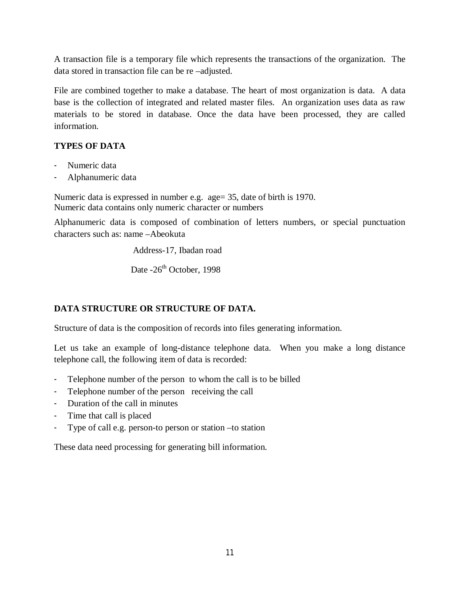A transaction file is a temporary file which represents the transactions of the organization. The data stored in transaction file can be re –adjusted.

File are combined together to make a database. The heart of most organization is data. A data base is the collection of integrated and related master files. An organization uses data as raw materials to be stored in database. Once the data have been processed, they are called information.

# **TYPES OF DATA**

- Numeric data
- Alphanumeric data

Numeric data is expressed in number e.g. age= 35, date of birth is 1970. Numeric data contains only numeric character or numbers

Alphanumeric data is composed of combination of letters numbers, or special punctuation characters such as: name –Abeokuta

Address-17, Ibadan road

Date -26<sup>th</sup> October, 1998

# **DATA STRUCTURE OR STRUCTURE OF DATA.**

Structure of data is the composition of records into files generating information.

Let us take an example of long-distance telephone data. When you make a long distance telephone call, the following item of data is recorded:

- Telephone number of the person to whom the call is to be billed
- Telephone number of the person receiving the call
- Duration of the call in minutes
- Time that call is placed
- Type of call e.g. person-to person or station –to station

These data need processing for generating bill information.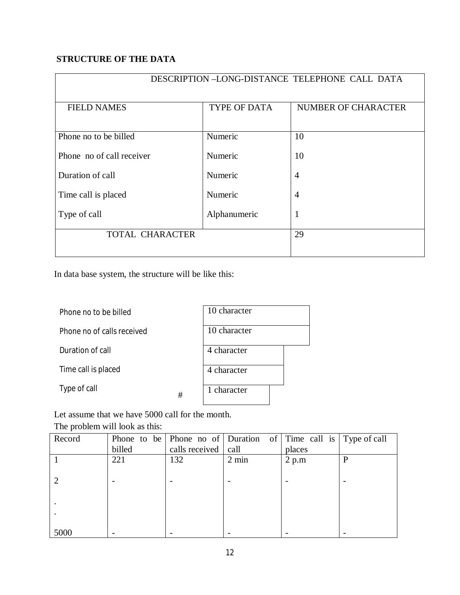# **STRUCTURE OF THE DATA**

| DESCRIPTION-LONG-DISTANCE TELEPHONE CALL DATA |                     |                            |  |  |
|-----------------------------------------------|---------------------|----------------------------|--|--|
|                                               |                     |                            |  |  |
| <b>FIELD NAMES</b>                            | <b>TYPE OF DATA</b> | <b>NUMBER OF CHARACTER</b> |  |  |
|                                               |                     |                            |  |  |
| Phone no to be billed                         | Numeric             | 10                         |  |  |
| Phone no of call receiver                     | Numeric             | 10                         |  |  |
| Duration of call                              | Numeric             | $\overline{4}$             |  |  |
| Time call is placed                           | Numeric             | $\overline{4}$             |  |  |
| Type of call                                  | Alphanumeric        |                            |  |  |
| TOTAL CHARACTER                               | 29                  |                            |  |  |
|                                               |                     |                            |  |  |

In data base system, the structure will be like this:

| Phone no to be billed      |   | 10 character |
|----------------------------|---|--------------|
| Phone no of calls received |   | 10 character |
| Duration of call           |   | 4 character  |
| Time call is placed        |   | 4 character  |
| Type of call               | # | 1 character  |

Let assume that we have 5000 call for the month. The problem will look as this:

| Record |        | Phone to be Phone no of Duration of Time call is Type of call |                 |        |   |
|--------|--------|---------------------------------------------------------------|-----------------|--------|---|
|        | billed | calls received call                                           |                 | places |   |
|        | 221    | 132                                                           | $2 \text{ min}$ | 2 p.m  | P |
|        |        |                                                               |                 |        |   |
|        |        |                                                               |                 |        |   |
|        |        |                                                               |                 |        |   |
|        |        |                                                               |                 |        |   |
|        |        |                                                               |                 |        |   |
|        |        |                                                               |                 |        |   |
| 5000   |        |                                                               |                 |        |   |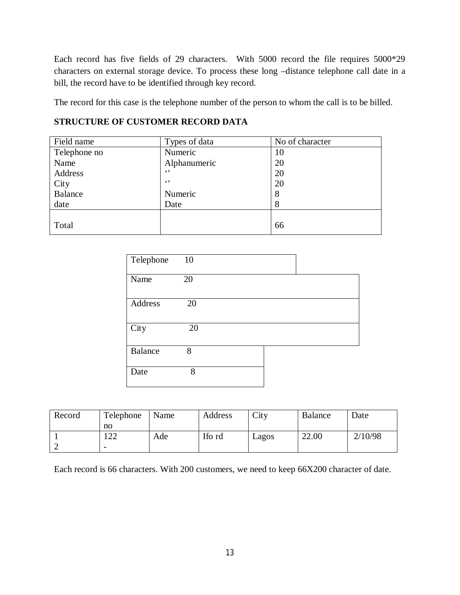Each record has five fields of 29 characters. With 5000 record the file requires 5000\*29 characters on external storage device. To process these long –distance telephone call date in a bill, the record have to be identified through key record.

The record for this case is the telephone number of the person to whom the call is to be billed.

# **STRUCTURE OF CUSTOMER RECORD DATA**

| Field name     | Types of data | No of character |
|----------------|---------------|-----------------|
| Telephone no   | Numeric       | 10              |
| Name           | Alphanumeric  | 20              |
| Address        | $\epsilon$ ,  | 20              |
| City           | $\epsilon$ ,  | 20              |
| <b>Balance</b> | Numeric       | 8               |
| date           | Date          | 8               |
|                |               |                 |
| Total          |               | 66              |

| Telephone      | 10 |  |  |
|----------------|----|--|--|
| Name           | 20 |  |  |
| Address        | 20 |  |  |
| City           | 20 |  |  |
| <b>Balance</b> | 8  |  |  |
| Date           | 8  |  |  |

| Record | Telephone      | Name | Address | City  | <b>Balance</b> | Date    |
|--------|----------------|------|---------|-------|----------------|---------|
|        | no             |      |         |       |                |         |
|        | 1  າ າ<br>. 44 | Ade  | Ifo rd  | Lagos | 22.00          | 2/10/98 |
|        |                |      |         |       |                |         |

Each record is 66 characters. With 200 customers, we need to keep 66X200 character of date.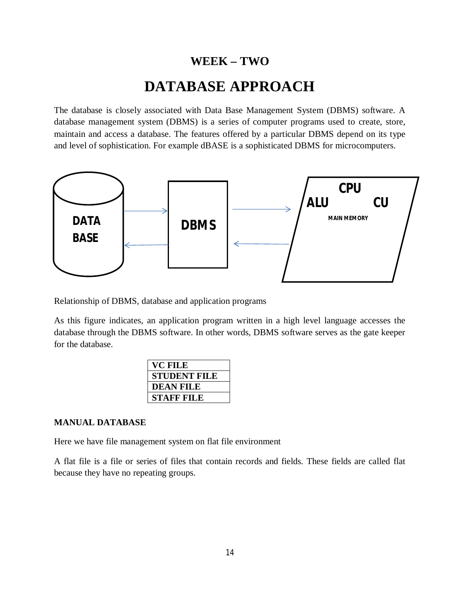# **WEEK – TWO**

# **DATABASE APPROACH**

The database is closely associated with Data Base Management System (DBMS) software. A database management system (DBMS) is a series of computer programs used to create, store, maintain and access a database. The features offered by a particular DBMS depend on its type and level of sophistication. For example dBASE is a sophisticated DBMS for microcomputers.



Relationship of DBMS, database and application programs

As this figure indicates, an application program written in a high level language accesses the database through the DBMS software. In other words, DBMS software serves as the gate keeper for the database.

| VC FILE             |
|---------------------|
| <b>STUDENT FILE</b> |
| <b>DEAN FILE</b>    |
| STAFF FILE          |
|                     |

## **MANUAL DATABASE**

Here we have file management system on flat file environment

A flat file is a file or series of files that contain records and fields. These fields are called flat because they have no repeating groups.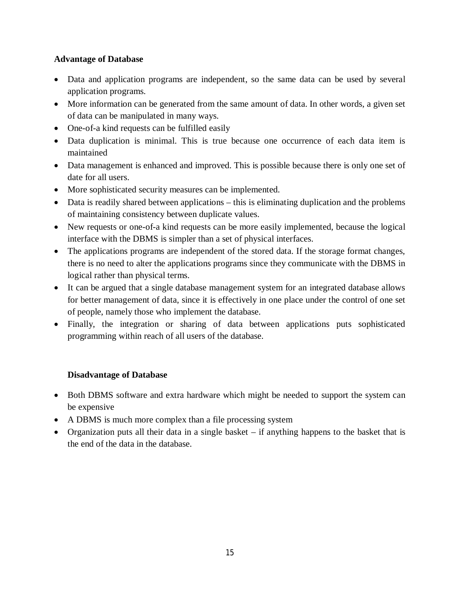# **Advantage of Database**

- Data and application programs are independent, so the same data can be used by several application programs.
- More information can be generated from the same amount of data. In other words, a given set of data can be manipulated in many ways.
- One-of-a kind requests can be fulfilled easily
- Data duplication is minimal. This is true because one occurrence of each data item is maintained
- Data management is enhanced and improved. This is possible because there is only one set of date for all users.
- More sophisticated security measures can be implemented.
- Data is readily shared between applications this is eliminating duplication and the problems of maintaining consistency between duplicate values.
- New requests or one-of-a kind requests can be more easily implemented, because the logical interface with the DBMS is simpler than a set of physical interfaces.
- The applications programs are independent of the stored data. If the storage format changes, there is no need to alter the applications programs since they communicate with the DBMS in logical rather than physical terms.
- It can be argued that a single database management system for an integrated database allows for better management of data, since it is effectively in one place under the control of one set of people, namely those who implement the database.
- Finally, the integration or sharing of data between applications puts sophisticated programming within reach of all users of the database.

# **Disadvantage of Database**

- Both DBMS software and extra hardware which might be needed to support the system can be expensive
- A DBMS is much more complex than a file processing system
- Organization puts all their data in a single basket if anything happens to the basket that is the end of the data in the database.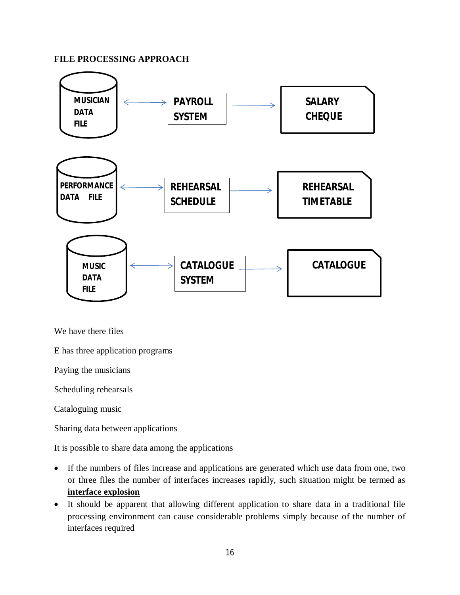### **FILE PROCESSING APPROACH**



We have there files

E has three application programs

Paying the musicians

Scheduling rehearsals

Cataloguing music

Sharing data between applications

It is possible to share data among the applications

- If the numbers of files increase and applications are generated which use data from one, two or three files the number of interfaces increases rapidly, such situation might be termed as **interface explosion**
- It should be apparent that allowing different application to share data in a traditional file processing environment can cause considerable problems simply because of the number of interfaces required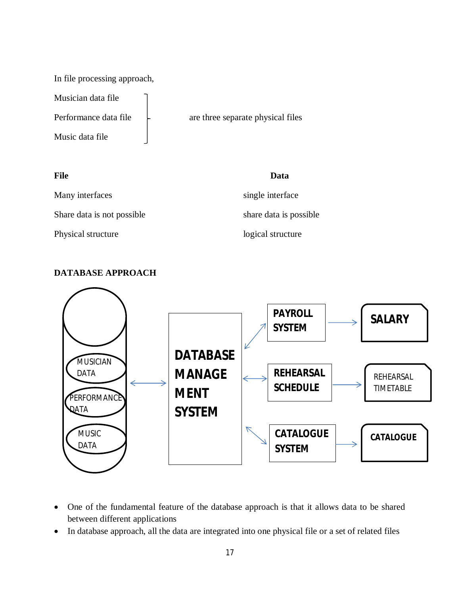In file processing approach,

Musician data file

Music data file

Performance data file  $\qquad \qquad$  are three separate physical files

| <b>File</b>                | Data                    |
|----------------------------|-------------------------|
| Many interfaces            | single interface        |
| Share data is not possible | share data is possible. |
| Physical structure         | logical structure       |

# **DATABASE APPROACH**



- One of the fundamental feature of the database approach is that it allows data to be shared between different applications
- In database approach, all the data are integrated into one physical file or a set of related files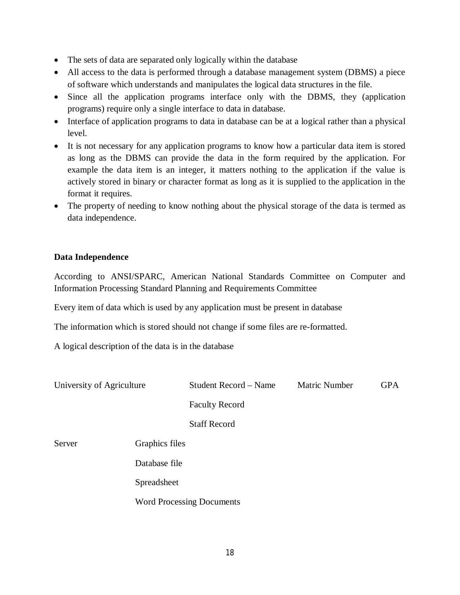- The sets of data are separated only logically within the database
- All access to the data is performed through a database management system (DBMS) a piece of software which understands and manipulates the logical data structures in the file.
- Since all the application programs interface only with the DBMS, they (application programs) require only a single interface to data in database.
- Interface of application programs to data in database can be at a logical rather than a physical level.
- It is not necessary for any application programs to know how a particular data item is stored as long as the DBMS can provide the data in the form required by the application. For example the data item is an integer, it matters nothing to the application if the value is actively stored in binary or character format as long as it is supplied to the application in the format it requires.
- The property of needing to know nothing about the physical storage of the data is termed as data independence.

## **Data Independence**

According to ANSI/SPARC, American National Standards Committee on Computer and Information Processing Standard Planning and Requirements Committee

Every item of data which is used by any application must be present in database

The information which is stored should not change if some files are re-formatted.

A logical description of the data is in the database

| University of Agriculture |                | Student Record - Name            | <b>Matric Number</b> | <b>GPA</b> |
|---------------------------|----------------|----------------------------------|----------------------|------------|
|                           |                | <b>Faculty Record</b>            |                      |            |
|                           |                | <b>Staff Record</b>              |                      |            |
| Server                    | Graphics files |                                  |                      |            |
|                           | Database file  |                                  |                      |            |
|                           | Spreadsheet    |                                  |                      |            |
|                           |                | <b>Word Processing Documents</b> |                      |            |
|                           |                |                                  |                      |            |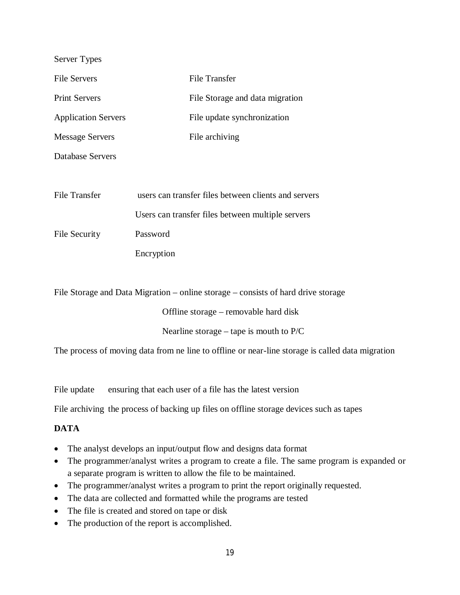| Server Types               |                                                                                   |
|----------------------------|-----------------------------------------------------------------------------------|
| <b>File Servers</b>        | <b>File Transfer</b>                                                              |
| <b>Print Servers</b>       | File Storage and data migration                                                   |
| <b>Application Servers</b> | File update synchronization                                                       |
| <b>Message Servers</b>     | File archiving                                                                    |
| Database Servers           |                                                                                   |
|                            |                                                                                   |
| File Transfer              | users can transfer files between clients and servers                              |
|                            | Users can transfer files between multiple servers                                 |
| File Security              | Password                                                                          |
|                            | Encryption                                                                        |
|                            |                                                                                   |
|                            | File Storage and Data Migration – online storage – consists of hard drive storage |

Offline storage – removable hard disk

Nearline storage – tape is mouth to P/C

The process of moving data from ne line to offline or near-line storage is called data migration

File update ensuring that each user of a file has the latest version

File archiving the process of backing up files on offline storage devices such as tapes

# **DATA**

- The analyst develops an input/output flow and designs data format
- The programmer/analyst writes a program to create a file. The same program is expanded or a separate program is written to allow the file to be maintained.
- The programmer/analyst writes a program to print the report originally requested.
- The data are collected and formatted while the programs are tested
- The file is created and stored on tape or disk
- The production of the report is accomplished.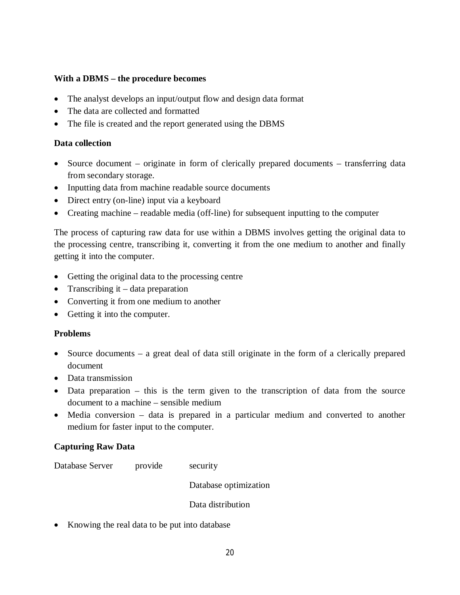# **With a DBMS – the procedure becomes**

- The analyst develops an input/output flow and design data format
- The data are collected and formatted
- The file is created and the report generated using the DBMS

### **Data collection**

- Source document originate in form of clerically prepared documents transferring data from secondary storage.
- Inputting data from machine readable source documents
- Direct entry (on-line) input via a keyboard
- Creating machine readable media (off-line) for subsequent inputting to the computer

The process of capturing raw data for use within a DBMS involves getting the original data to the processing centre, transcribing it, converting it from the one medium to another and finally getting it into the computer.

- Getting the original data to the processing centre
- Transcribing it  $-$  data preparation
- Converting it from one medium to another
- Getting it into the computer.

### **Problems**

- Source documents a great deal of data still originate in the form of a clerically prepared document
- Data transmission
- Data preparation this is the term given to the transcription of data from the source document to a machine – sensible medium
- Media conversion data is prepared in a particular medium and converted to another medium for faster input to the computer.

### **Capturing Raw Data**

Database Server provide security

Database optimization

Data distribution

• Knowing the real data to be put into database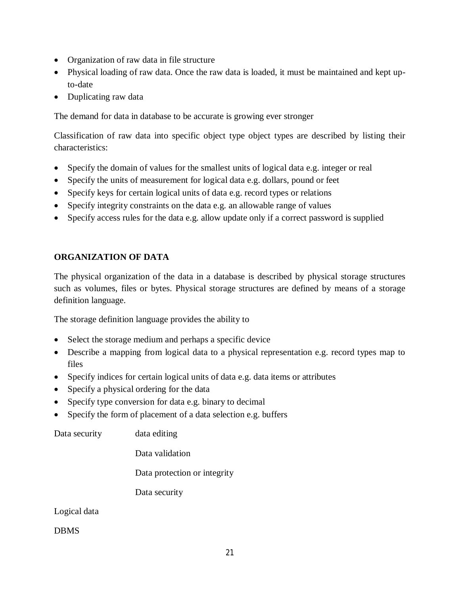- Organization of raw data in file structure
- Physical loading of raw data. Once the raw data is loaded, it must be maintained and kept upto-date
- Duplicating raw data

The demand for data in database to be accurate is growing ever stronger

Classification of raw data into specific object type object types are described by listing their characteristics:

- Specify the domain of values for the smallest units of logical data e.g. integer or real
- Specify the units of measurement for logical data e.g. dollars, pound or feet
- Specify keys for certain logical units of data e.g. record types or relations
- Specify integrity constraints on the data e.g. an allowable range of values
- Specify access rules for the data e.g. allow update only if a correct password is supplied

# **ORGANIZATION OF DATA**

The physical organization of the data in a database is described by physical storage structures such as volumes, files or bytes. Physical storage structures are defined by means of a storage definition language.

The storage definition language provides the ability to

- Select the storage medium and perhaps a specific device
- Describe a mapping from logical data to a physical representation e.g. record types map to files
- Specify indices for certain logical units of data e.g. data items or attributes
- Specify a physical ordering for the data
- Specify type conversion for data e.g. binary to decimal
- Specify the form of placement of a data selection e.g. buffers

Data security data editing

Data validation

Data protection or integrity

Data security

Logical data

DBMS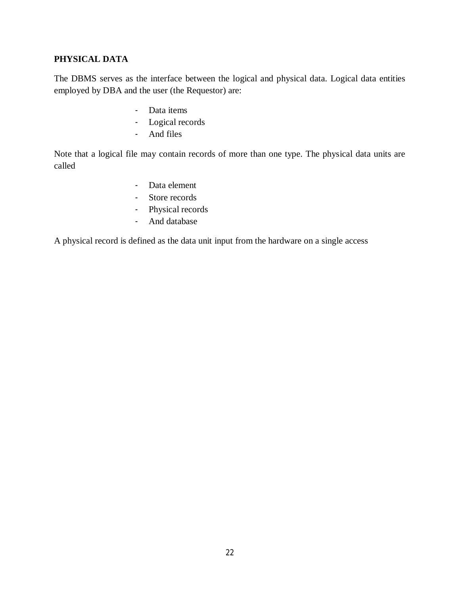# **PHYSICAL DATA**

The DBMS serves as the interface between the logical and physical data. Logical data entities employed by DBA and the user (the Requestor) are:

- Data items
- Logical records
- And files

Note that a logical file may contain records of more than one type. The physical data units are called

- Data element
- Store records
- Physical records
- And database

A physical record is defined as the data unit input from the hardware on a single access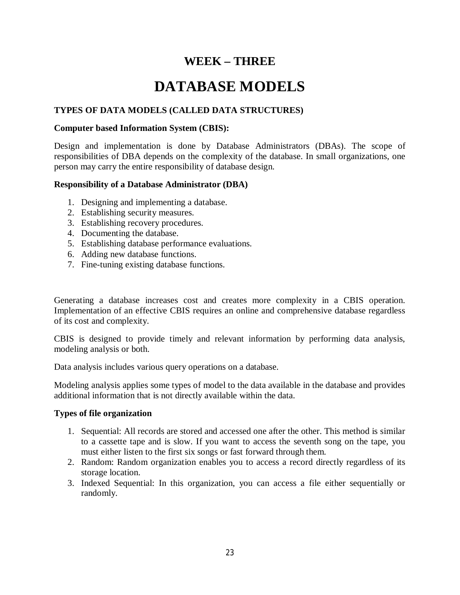# **WEEK – THREE**

# **DATABASE MODELS**

# **TYPES OF DATA MODELS (CALLED DATA STRUCTURES)**

### **Computer based Information System (CBIS):**

Design and implementation is done by Database Administrators (DBAs). The scope of responsibilities of DBA depends on the complexity of the database. In small organizations, one person may carry the entire responsibility of database design.

### **Responsibility of a Database Administrator (DBA)**

- 1. Designing and implementing a database.
- 2. Establishing security measures.
- 3. Establishing recovery procedures.
- 4. Documenting the database.
- 5. Establishing database performance evaluations.
- 6. Adding new database functions.
- 7. Fine-tuning existing database functions.

Generating a database increases cost and creates more complexity in a CBIS operation. Implementation of an effective CBIS requires an online and comprehensive database regardless of its cost and complexity.

CBIS is designed to provide timely and relevant information by performing data analysis, modeling analysis or both.

Data analysis includes various query operations on a database.

Modeling analysis applies some types of model to the data available in the database and provides additional information that is not directly available within the data.

### **Types of file organization**

- 1. Sequential: All records are stored and accessed one after the other. This method is similar to a cassette tape and is slow. If you want to access the seventh song on the tape, you must either listen to the first six songs or fast forward through them.
- 2. Random: Random organization enables you to access a record directly regardless of its storage location.
- 3. Indexed Sequential: In this organization, you can access a file either sequentially or randomly.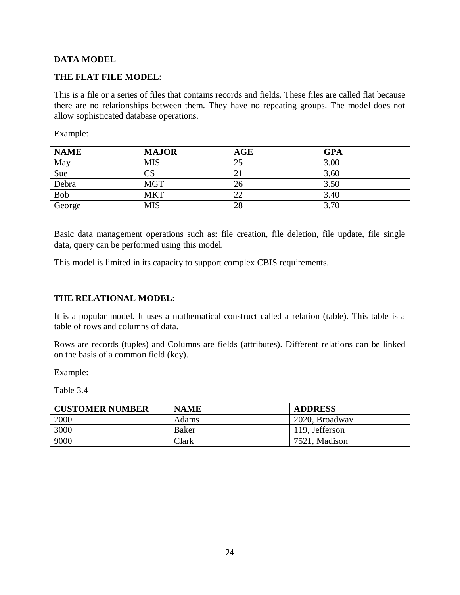# **DATA MODEL**

# **THE FLAT FILE MODEL**:

This is a file or a series of files that contains records and fields. These files are called flat because there are no relationships between them. They have no repeating groups. The model does not allow sophisticated database operations.

Example:

| <b>NAME</b> | <b>MAJOR</b> | <b>AGE</b> | <b>GPA</b> |
|-------------|--------------|------------|------------|
| May         | <b>MIS</b>   | 25         | 3.00       |
| Sue         | CS           |            | 3.60       |
| Debra       | <b>MGT</b>   | 26         | 3.50       |
| <b>Bob</b>  | <b>MKT</b>   | 22         | 3.40       |
| George      | <b>MIS</b>   | 28         | 3.70       |

Basic data management operations such as: file creation, file deletion, file update, file single data, query can be performed using this model.

This model is limited in its capacity to support complex CBIS requirements.

# **THE RELATIONAL MODEL**:

It is a popular model. It uses a mathematical construct called a relation (table). This table is a table of rows and columns of data.

Rows are records (tuples) and Columns are fields (attributes). Different relations can be linked on the basis of a common field (key).

Example:

Table 3.4

| <b>CUSTOMER NUMBER</b> | <b>NAME</b>  | <b>ADDRESS</b> |
|------------------------|--------------|----------------|
| 2000                   | <b>Adams</b> | 2020, Broadway |
| 3000                   | <b>Baker</b> | 119, Jefferson |
| 9000                   | Clark        | 7521, Madison  |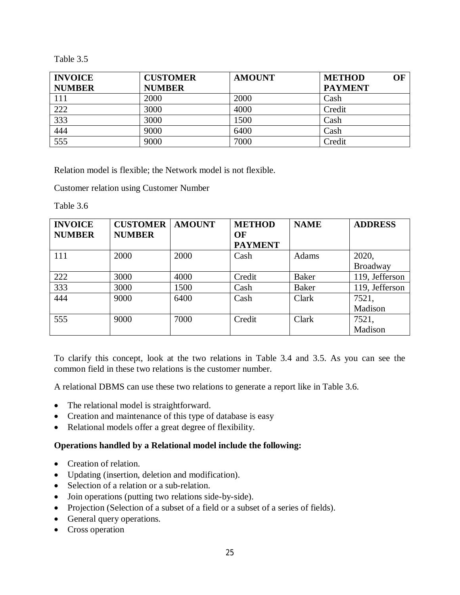Table 3.5

| <b>INVOICE</b>   | <b>CUSTOMER</b> | <b>AMOUNT</b> | OF<br><b>METHOD</b> |
|------------------|-----------------|---------------|---------------------|
| <b>NUMBER</b>    | <b>NUMBER</b>   |               | <b>PAYMENT</b>      |
| 111              | 2000            | 2000          | Cash                |
| 222              | 3000            | 4000          | Credit              |
| 333              | 3000            | 1500          | Cash                |
| 444              | 9000            | 6400          | Cash                |
| $\overline{555}$ | 9000            | 7000          | Credit              |

Relation model is flexible; the Network model is not flexible.

Customer relation using Customer Number

Table 3.6

| <b>INVOICE</b> | <b>CUSTOMER</b> | <b>AMOUNT</b> | <b>METHOD</b>  | <b>NAME</b>  | <b>ADDRESS</b>  |
|----------------|-----------------|---------------|----------------|--------------|-----------------|
| <b>NUMBER</b>  | <b>NUMBER</b>   |               | OF             |              |                 |
|                |                 |               | <b>PAYMENT</b> |              |                 |
| 111            | 2000            | 2000          | Cash           | Adams        | 2020,           |
|                |                 |               |                |              | <b>Broadway</b> |
| 222            | 3000            | 4000          | Credit         | <b>Baker</b> | 119, Jefferson  |
| 333            | 3000            | 1500          | Cash           | <b>Baker</b> | 119, Jefferson  |
| 444            | 9000            | 6400          | Cash           | Clark        | 7521,           |
|                |                 |               |                |              | Madison         |
| 555            | 9000            | 7000          | Credit         | Clark        | 7521,           |
|                |                 |               |                |              | Madison         |

To clarify this concept, look at the two relations in Table 3.4 and 3.5. As you can see the common field in these two relations is the customer number.

A relational DBMS can use these two relations to generate a report like in Table 3.6.

- The relational model is straightforward.
- Creation and maintenance of this type of database is easy
- Relational models offer a great degree of flexibility.

### **Operations handled by a Relational model include the following:**

- Creation of relation.
- Updating (insertion, deletion and modification).
- Selection of a relation or a sub-relation.
- Join operations (putting two relations side-by-side).
- Projection (Selection of a subset of a field or a subset of a series of fields).
- General query operations.
- Cross operation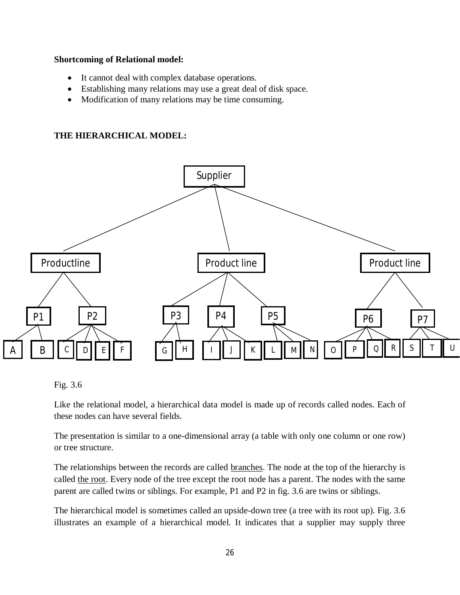### **Shortcoming of Relational model:**

- It cannot deal with complex database operations.
- Establishing many relations may use a great deal of disk space.
- Modification of many relations may be time consuming.

# **THE HIERARCHICAL MODEL:**



### Fig. 3.6

Like the relational model, a hierarchical data model is made up of records called nodes. Each of these nodes can have several fields.

The presentation is similar to a one-dimensional array (a table with only one column or one row) or tree structure.

The relationships between the records are called branches. The node at the top of the hierarchy is called the root. Every node of the tree except the root node has a parent. The nodes with the same parent are called twins or siblings. For example, P1 and P2 in fig. 3.6 are twins or siblings.

The hierarchical model is sometimes called an upside-down tree (a tree with its root up). Fig. 3.6 illustrates an example of a hierarchical model. It indicates that a supplier may supply three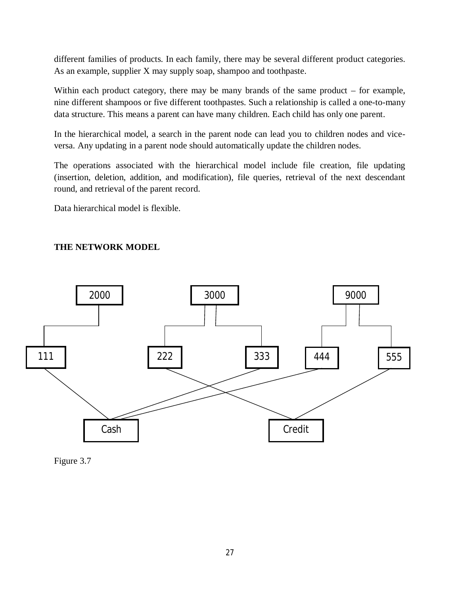different families of products. In each family, there may be several different product categories. As an example, supplier X may supply soap, shampoo and toothpaste.

Within each product category, there may be many brands of the same product – for example, nine different shampoos or five different toothpastes. Such a relationship is called a one-to-many data structure. This means a parent can have many children. Each child has only one parent.

In the hierarchical model, a search in the parent node can lead you to children nodes and viceversa. Any updating in a parent node should automatically update the children nodes.

The operations associated with the hierarchical model include file creation, file updating (insertion, deletion, addition, and modification), file queries, retrieval of the next descendant round, and retrieval of the parent record.

Data hierarchical model is flexible.

# **THE NETWORK MODEL**



Figure 3.7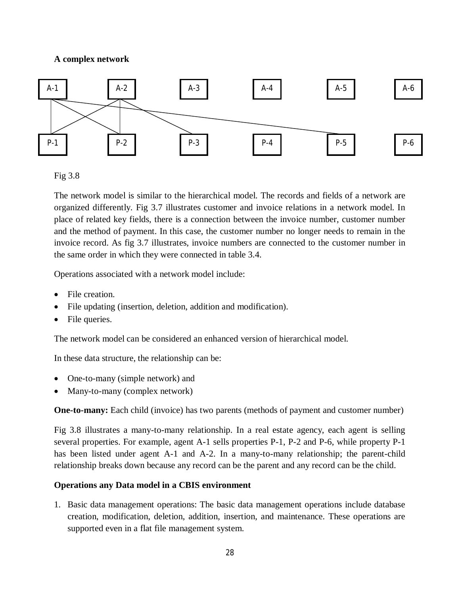# **A complex network**



Fig 3.8

The network model is similar to the hierarchical model. The records and fields of a network are organized differently. Fig 3.7 illustrates customer and invoice relations in a network model. In place of related key fields, there is a connection between the invoice number, customer number and the method of payment. In this case, the customer number no longer needs to remain in the invoice record. As fig 3.7 illustrates, invoice numbers are connected to the customer number in the same order in which they were connected in table 3.4.

Operations associated with a network model include:

- File creation.
- File updating (insertion, deletion, addition and modification).
- File queries.

The network model can be considered an enhanced version of hierarchical model.

In these data structure, the relationship can be:

- One-to-many (simple network) and
- Many-to-many (complex network)

**One-to-many:** Each child (invoice) has two parents (methods of payment and customer number)

Fig 3.8 illustrates a many-to-many relationship. In a real estate agency, each agent is selling several properties. For example, agent A-1 sells properties P-1, P-2 and P-6, while property P-1 has been listed under agent A-1 and A-2. In a many-to-many relationship; the parent-child relationship breaks down because any record can be the parent and any record can be the child.

# **Operations any Data model in a CBIS environment**

1. Basic data management operations: The basic data management operations include database creation, modification, deletion, addition, insertion, and maintenance. These operations are supported even in a flat file management system.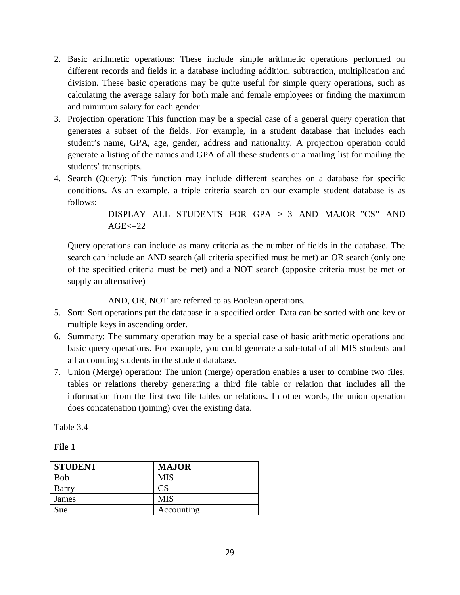- 2. Basic arithmetic operations: These include simple arithmetic operations performed on different records and fields in a database including addition, subtraction, multiplication and division. These basic operations may be quite useful for simple query operations, such as calculating the average salary for both male and female employees or finding the maximum and minimum salary for each gender.
- 3. Projection operation: This function may be a special case of a general query operation that generates a subset of the fields. For example, in a student database that includes each student's name, GPA, age, gender, address and nationality. A projection operation could generate a listing of the names and GPA of all these students or a mailing list for mailing the students' transcripts.
- 4. Search (Query): This function may include different searches on a database for specific conditions. As an example, a triple criteria search on our example student database is as follows:

DISPLAY ALL STUDENTS FOR GPA >=3 AND MAJOR="CS" AND  $AGE \leq 22$ 

Query operations can include as many criteria as the number of fields in the database. The search can include an AND search (all criteria specified must be met) an OR search (only one of the specified criteria must be met) and a NOT search (opposite criteria must be met or supply an alternative)

AND, OR, NOT are referred to as Boolean operations.

- 5. Sort: Sort operations put the database in a specified order. Data can be sorted with one key or multiple keys in ascending order.
- 6. Summary: The summary operation may be a special case of basic arithmetic operations and basic query operations. For example, you could generate a sub-total of all MIS students and all accounting students in the student database.
- 7. Union (Merge) operation: The union (merge) operation enables a user to combine two files, tables or relations thereby generating a third file table or relation that includes all the information from the first two file tables or relations. In other words, the union operation does concatenation (joining) over the existing data.

Table 3.4

# **File 1**

| <b>STUDENT</b> | <b>MAJOR</b> |
|----------------|--------------|
| <b>Bob</b>     | MIS          |
| Barry          |              |
| James          | <b>MIS</b>   |
| Sue            | Accounting   |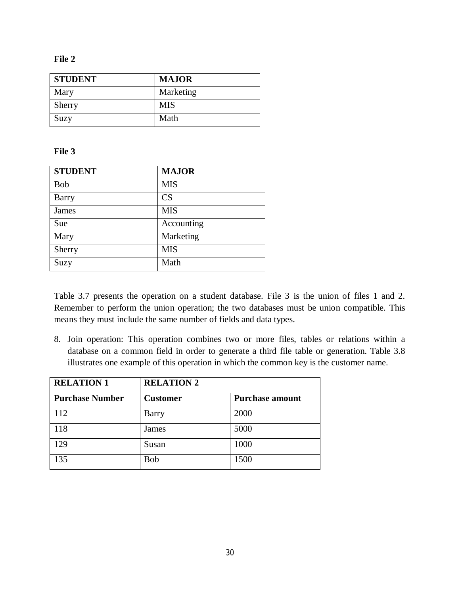#### **File 2**

| <b>STUDENT</b> | <b>MAJOR</b> |
|----------------|--------------|
| Mary           | Marketing    |
| Sherry         | <b>MIS</b>   |
| Suzy           | Math         |

### **File 3**

| <b>STUDENT</b> | <b>MAJOR</b> |
|----------------|--------------|
| <b>Bob</b>     | <b>MIS</b>   |
| Barry          | CS           |
| James          | <b>MIS</b>   |
| Sue            | Accounting   |
| Mary           | Marketing    |
| Sherry         | <b>MIS</b>   |
| Suzy           | Math         |

Table 3.7 presents the operation on a student database. File 3 is the union of files 1 and 2. Remember to perform the union operation; the two databases must be union compatible. This means they must include the same number of fields and data types.

8. Join operation: This operation combines two or more files, tables or relations within a database on a common field in order to generate a third file table or generation. Table 3.8 illustrates one example of this operation in which the common key is the customer name.

| <b>RELATION 1</b>      | <b>RELATION 2</b> |                        |
|------------------------|-------------------|------------------------|
| <b>Purchase Number</b> | <b>Customer</b>   | <b>Purchase amount</b> |
| 112                    | Barry             | 2000                   |
| 118                    | James             | 5000                   |
| 129                    | Susan             | 1000                   |
| 135                    | <b>Bob</b>        | 1500                   |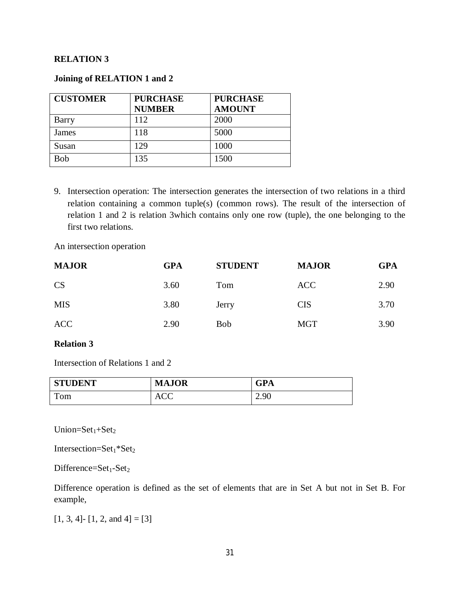### **RELATION 3**

### **Joining of RELATION 1 and 2**

| <b>CUSTOMER</b> | <b>PURCHASE</b><br><b>NUMBER</b> | <b>PURCHASE</b><br><b>AMOUNT</b> |
|-----------------|----------------------------------|----------------------------------|
| Barry           | 112                              | 2000                             |
| James           | 118                              | 5000                             |
| Susan           | 129                              | 1000                             |
| Bob             | 135                              | 1500                             |

9. Intersection operation: The intersection generates the intersection of two relations in a third relation containing a common tuple(s) (common rows). The result of the intersection of relation 1 and 2 is relation 3which contains only one row (tuple), the one belonging to the first two relations.

An intersection operation

| <b>MAJOR</b> | <b>GPA</b> | <b>STUDENT</b> | <b>MAJOR</b> | <b>GPA</b> |
|--------------|------------|----------------|--------------|------------|
| <b>CS</b>    | 3.60       | Tom            | <b>ACC</b>   | 2.90       |
| <b>MIS</b>   | 3.80       | Jerry          | <b>CIS</b>   | 3.70       |
| <b>ACC</b>   | 2.90       | <b>Bob</b>     | <b>MGT</b>   | 3.90       |

### **Relation 3**

Intersection of Relations 1 and 2

| <b>STUDENT</b> | <b>MAJOR</b> | GPA  |
|----------------|--------------|------|
| Tom            | <b>ACC</b>   | 2.90 |

 $Union=Set<sub>1</sub>+Set<sub>2</sub>$ 

Intersection= $Set_1 * Set_2$ 

Difference= $Set_1-Set_2$ 

Difference operation is defined as the set of elements that are in Set A but not in Set B. For example,

 $[1, 3, 4]$ -  $[1, 2, and 4] = [3]$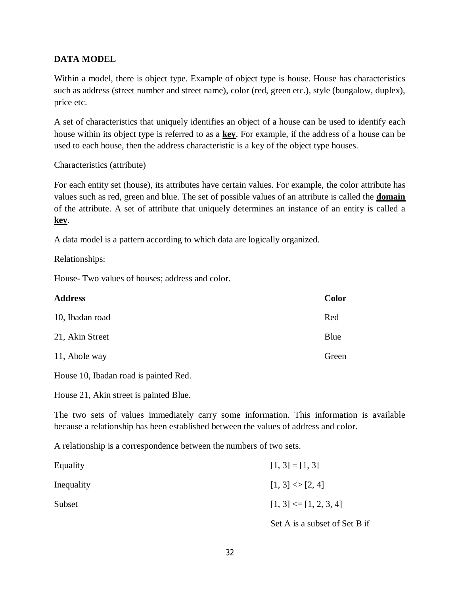# **DATA MODEL**

Within a model, there is object type. Example of object type is house. House has characteristics such as address (street number and street name), color (red, green etc.), style (bungalow, duplex), price etc.

A set of characteristics that uniquely identifies an object of a house can be used to identify each house within its object type is referred to as a **key**. For example, if the address of a house can be used to each house, then the address characteristic is a key of the object type houses.

Characteristics (attribute)

For each entity set (house), its attributes have certain values. For example, the color attribute has values such as red, green and blue. The set of possible values of an attribute is called the **domain** of the attribute. A set of attribute that uniquely determines an instance of an entity is called a **key**.

A data model is a pattern according to which data are logically organized.

Relationships:

House- Two values of houses; address and color.

| <b>Address</b>  | Color |
|-----------------|-------|
| 10, Ibadan road | Red   |
| 21, Akin Street | Blue  |
| 11, Abole way   | Green |

House 10, Ibadan road is painted Red.

House 21, Akin street is painted Blue.

The two sets of values immediately carry some information. This information is available because a relationship has been established between the values of address and color.

A relationship is a correspondence between the numbers of two sets.

| Equality   | $[1, 3] = [1, 3]$                                          |
|------------|------------------------------------------------------------|
| Inequality | $[1, 3] \diamond [2, 4]$                                   |
| Subset     | $[1, 3] \leq [1, 2, 3, 4]$                                 |
|            | $\sim$ $\sim$<br>$\sim$ $\sim$ $\sim$ $\sim$ $\sim$ $\sim$ |

Set A is a subset of Set B if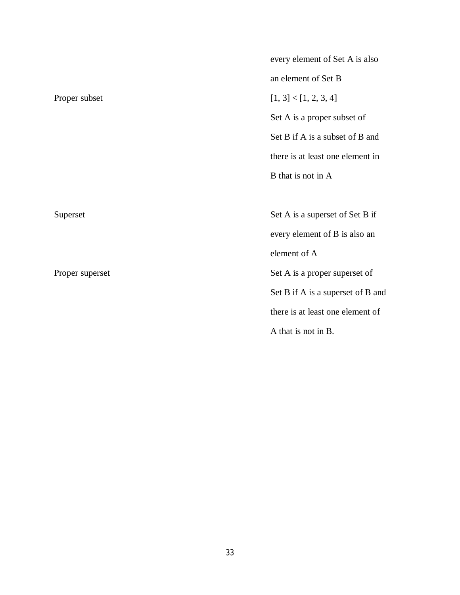|                 | every element of Set A is also    |
|-----------------|-----------------------------------|
|                 | an element of Set B               |
| Proper subset   | [1, 3] < [1, 2, 3, 4]             |
|                 | Set A is a proper subset of       |
|                 | Set B if A is a subset of B and   |
|                 | there is at least one element in  |
|                 | B that is not in A                |
|                 |                                   |
| Superset        | Set A is a superset of Set B if   |
|                 | every element of B is also an     |
|                 | element of A                      |
| Proper superset | Set A is a proper superset of     |
|                 | Set B if A is a superset of B and |
|                 | there is at least one element of  |
|                 | A that is not in B.               |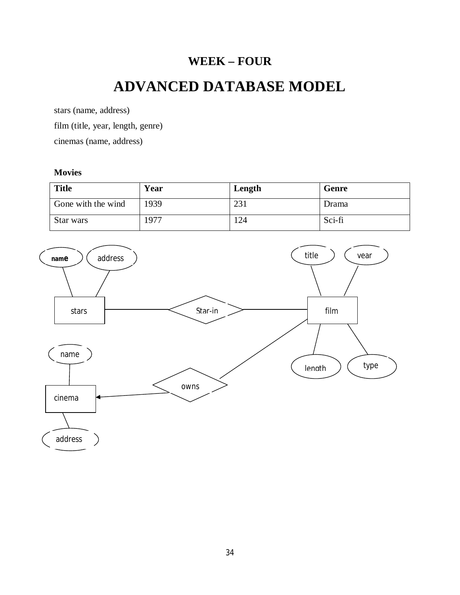# **WEEK – FOUR**

# **ADVANCED DATABASE MODEL**

stars (name, address) film (title, year, length, genre) cinemas (name, address)

### **Movies**

| <b>Title</b>       | Year | Length | Genre  |
|--------------------|------|--------|--------|
| Gone with the wind | 1939 | 231    | Drama  |
| Star wars          | 1977 | 24     | Sci-fi |

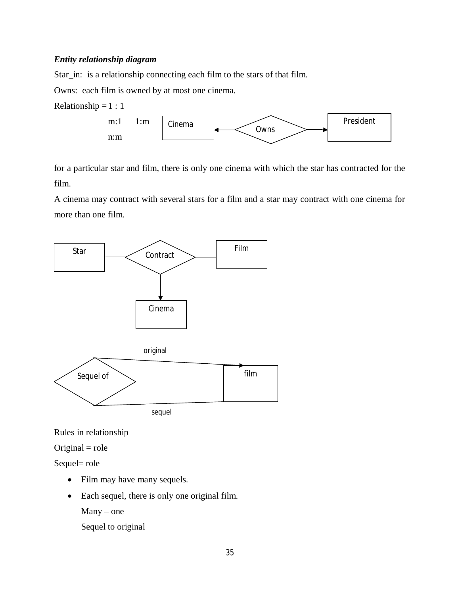### *Entity relationship diagram*

Star\_in: is a relationship connecting each film to the stars of that film.

Owns: each film is owned by at most one cinema.





for a particular star and film, there is only one cinema with which the star has contracted for the film.

A cinema may contract with several stars for a film and a star may contract with one cinema for more than one film.



Rules in relationship

### $Original = role$

Sequel= role

- Film may have many sequels.
- Each sequel, there is only one original film.

Many – one

Sequel to original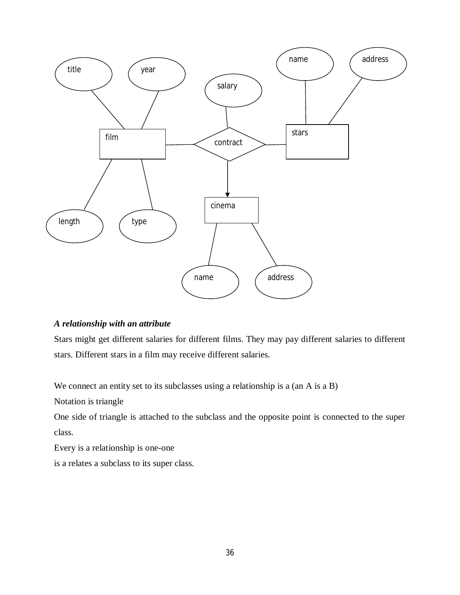

# *A relationship with an attribute*

Stars might get different salaries for different films. They may pay different salaries to different stars. Different stars in a film may receive different salaries.

We connect an entity set to its subclasses using a relationship is a (an A is a B)

Notation is triangle

One side of triangle is attached to the subclass and the opposite point is connected to the super class.

Every is a relationship is one-one

is a relates a subclass to its super class.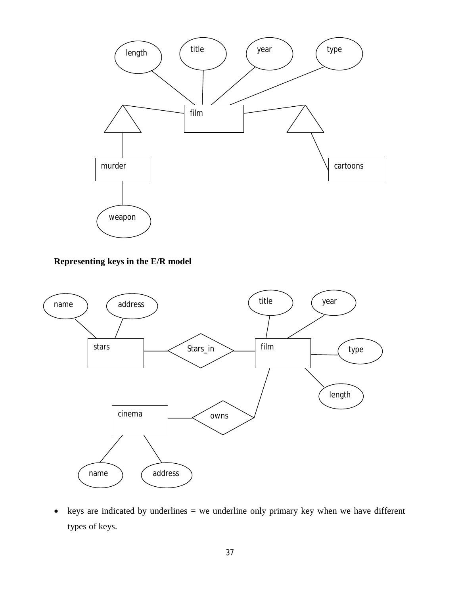

**Representing keys in the E/R model**



 $\bullet$  keys are indicated by underlines = we underline only primary key when we have different types of keys.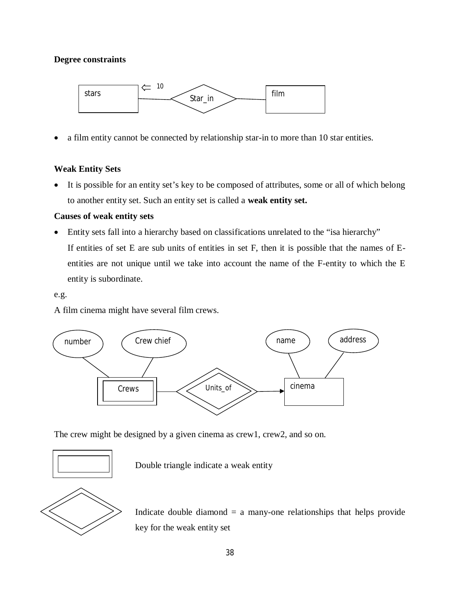## **Degree constraints**



a film entity cannot be connected by relationship star-in to more than 10 star entities.

# **Weak Entity Sets**

 It is possible for an entity set's key to be composed of attributes, some or all of which belong to another entity set. Such an entity set is called a **weak entity set.**

#### **Causes of weak entity sets**

 Entity sets fall into a hierarchy based on classifications unrelated to the "isa hierarchy" If entities of set E are sub units of entities in set F, then it is possible that the names of Eentities are not unique until we take into account the name of the F-entity to which the E entity is subordinate.

#### e.g.

A film cinema might have several film crews.



The crew might be designed by a given cinema as crew1, crew2, and so on.



Double triangle indicate a weak entity



Indicate double diamond  $=$  a many-one relationships that helps provide key for the weak entity set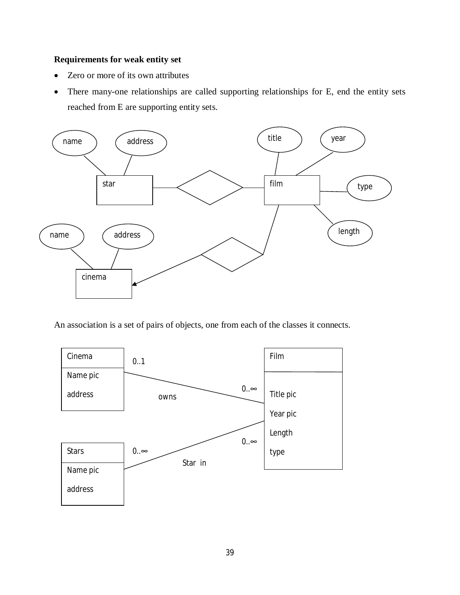# **Requirements for weak entity set**

- Zero or more of its own attributes
- There many-one relationships are called supporting relationships for E, end the entity sets reached from E are supporting entity sets.



An association is a set of pairs of objects, one from each of the classes it connects.

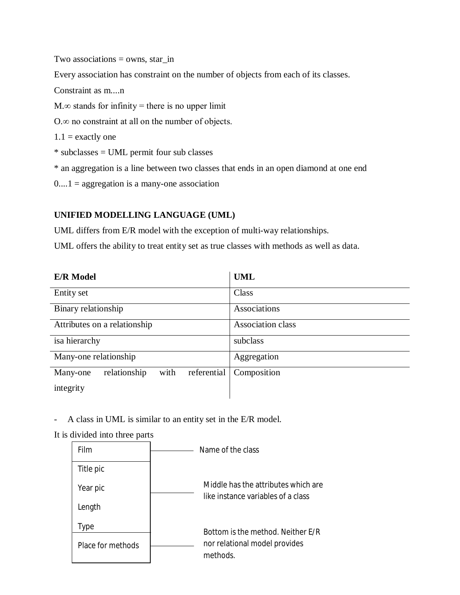Two associations  $=$  owns, star\_in

Every association has constraint on the number of objects from each of its classes.

Constraint as m....n

 $M.\infty$  stands for infinity = there is no upper limit

O.∞ no constraint at all on the number of objects.

 $1.1$  = exactly one

\* subclasses = UML permit four sub classes

\* an aggregation is a line between two classes that ends in an open diamond at one end

 $0...1$  = aggregation is a many-one association

# **UNIFIED MODELLING LANGUAGE (UML)**

UML differs from E/R model with the exception of multi-way relationships.

UML offers the ability to treat entity set as true classes with methods as well as data.

| <b>E/R</b> Model                                | <b>UML</b>        |
|-------------------------------------------------|-------------------|
| Entity set                                      | Class             |
| Binary relationship                             | Associations      |
| Attributes on a relationship                    | Association class |
| isa hierarchy                                   | subclass          |
| Many-one relationship                           | Aggregation       |
| relationship<br>with<br>referential<br>Many-one | Composition       |
| integrity                                       |                   |

A class in UML is similar to an entity set in the E/R model.

It is divided into three parts

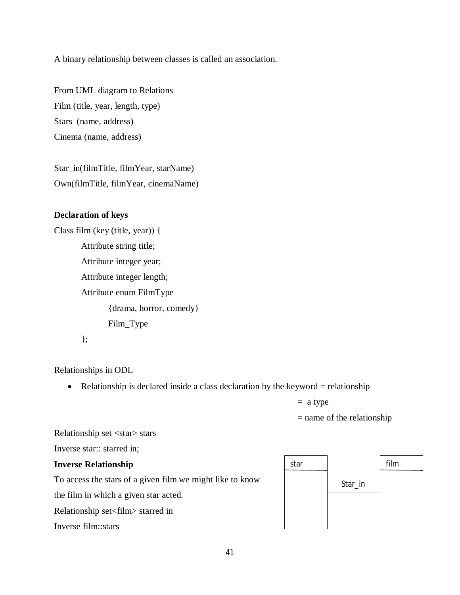A binary relationship between classes is called an association.

From UML diagram to Relations Film (title, year, length, type) Stars (name, address) Cinema (name, address)

Star\_in(filmTitle, filmYear, starName) Own(filmTitle, filmYear, cinemaName)

#### **Declaration of keys**

Class film (key (title, year)) { Attribute string title; Attribute integer year; Attribute integer length; Attribute enum FilmType {drama, horror, comedy} Film\_Type };

Relationships in ODL

• Relationship is declared inside a class declaration by the keyword  $=$  relationship

 $=$  a type

 $=$  name of the relationship

Relationship set <star> stars

Inverse star:: starred in;

#### **Inverse Relationship**

To access the stars of a given film we might like to know

the film in which a given star acted.

Relationship set<film> starred in

Inverse film::stars

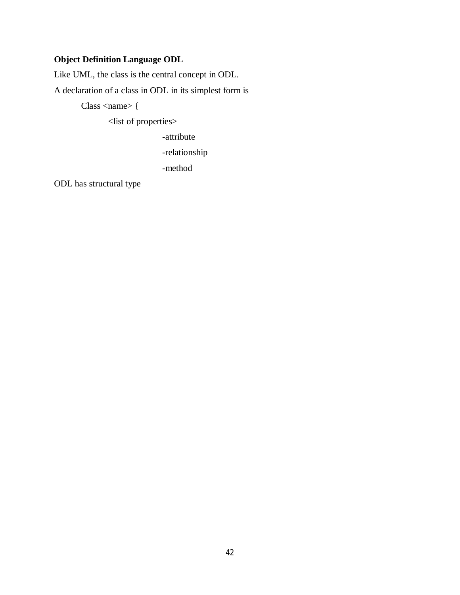# **Object Definition Language ODL**

Like UML, the class is the central concept in ODL.

A declaration of a class in ODL in its simplest form is

 $Class <$  {

<list of properties>

-attribute

-relationship

-method

ODL has structural type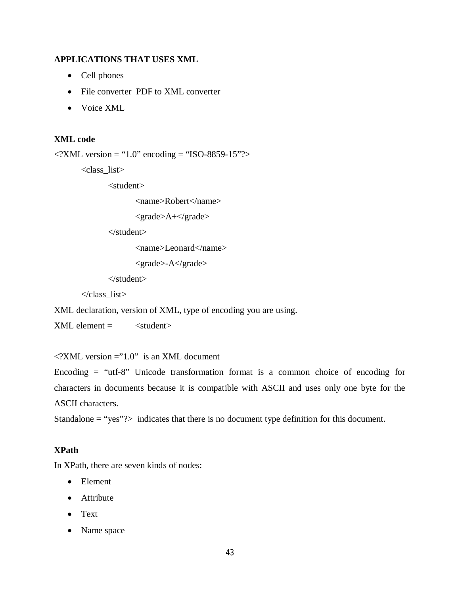# **APPLICATIONS THAT USES XML**

- Cell phones
- File converter PDF to XML converter
- Voice XML

#### **XML code**

```
\langle 2XML version = "1.0" encoding = "ISO-8859-15"?>
```
<class\_list>

<student>

<name>Robert</name>

```
<grade>A+</grade>
```
</student>

<name>Leonard</name>

```
<grade>-A</grade>
```
</student>

</class\_list>

XML declaration, version of XML, type of encoding you are using.

 $XML element =$   $\lt$ 

 $\langle$  2XML version ="1.0" is an XML document

Encoding  $=$  "utf-8" Unicode transformation format is a common choice of encoding for characters in documents because it is compatible with ASCII and uses only one byte for the ASCII characters.

Standalone  $=$  "yes"? $>$  indicates that there is no document type definition for this document.

#### **XPath**

In XPath, there are seven kinds of nodes:

- Element
- Attribute
- Text
- Name space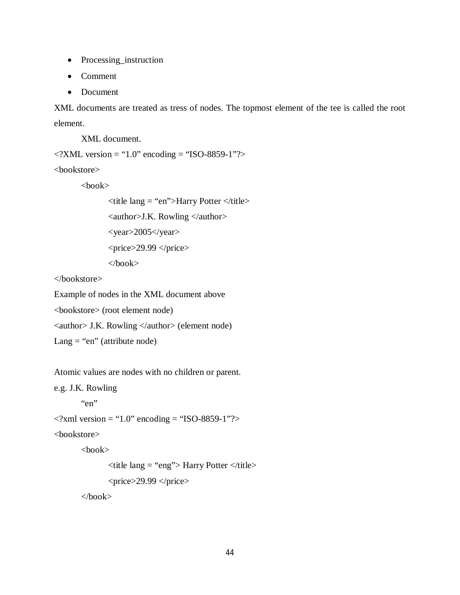- Processing\_instruction
- Comment
- Document

XML documents are treated as tress of nodes. The topmost element of the tee is called the root element.

XML document.

```
\langle -2XML version = "1.0" encoding = "ISO-8859-1"?>
```
<bookstore>

<book>

<title lang = "en">Harry Potter </title> <author>J.K. Rowling </author>  $<$ year>2005 $<$ /year>  $<$ price $>$ 29.99  $<$ /price $>$ </book>

</bookstore>

Example of nodes in the XML document above

<bookstore> (root element node)

<author> J.K. Rowling </author> (element node)

 $\text{Lang} = \text{``en''}$  (attribute node)

Atomic values are nodes with no children or parent.

e.g. J.K. Rowling

```
"en"
```
 $\langle$  2xml version = "1.0" encoding = "ISO-8859-1"?>

<bookstore>

 $<$ book $>$ 

```
\lttitle lang = "eng" > Harry Potter \lt/title >
<price>29.99 </price>
```
</book>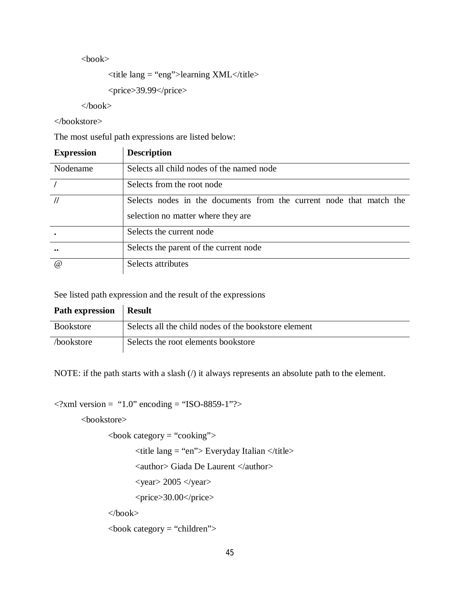$<$ book $>$ 

```
\lttitle lang = "eng">learning XML\lt/title>
```

```
<price>39.99</price>
```
 $<$ /book $>$ 

</bookstore>

The most useful path expressions are listed below:

| <b>Expression</b> | <b>Description</b>                                                                                        |
|-------------------|-----------------------------------------------------------------------------------------------------------|
| Nodename          | Selects all child nodes of the named node                                                                 |
|                   | Selects from the root node                                                                                |
| $\frac{1}{2}$     | Selects nodes in the documents from the current node that match the<br>selection no matter where they are |
|                   | Selects the current node                                                                                  |
| $\bullet\bullet$  | Selects the parent of the current node                                                                    |
| $\omega$          | Selects attributes                                                                                        |

See listed path expression and the result of the expressions

| Path expression   Result |                                                      |
|--------------------------|------------------------------------------------------|
| <b>Bookstore</b>         | Selects all the child nodes of the bookstore element |
| bookstore                | Selects the root elements bookstore                  |

NOTE: if the path starts with a slash (/) it always represents an absolute path to the element.

```
\langle 2xml version = "1.0" encoding = "ISO-8859-1"?>
```
<bookstore>

 $\text{<}$ book category = "cooking">

 $\lt$ title lang = "en"> Everyday Italian  $\lt$ /title>

<author> Giada De Laurent </author>

 $<$ year $>$  2005  $<$ /year $>$ 

<price>30.00</price>

 $<$ book $>$ 

 $\text{<}$ book category = "children">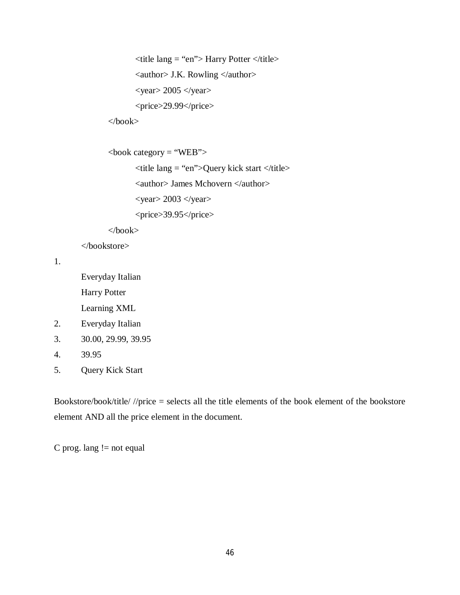```
\lttitle lang = "en"> Harry Potter \lt/title>
\alpha <author> J.K. Rowling \alpha author>
<year> 2005 </year><price>29.99</price>
```
</book>

```
\text{<book category} = \text{``WEB''>}
```
 $\lt$ title lang = "en">Query kick start  $\lt$ /title>

<author> James Mchovern </author>

 $<$ year $>$  2003  $<$ /year $>$ 

<price>39.95</price>

</book>

</bookstore>

1.

Everyday Italian Harry Potter Learning XML

- 2. Everyday Italian
- 3. 30.00, 29.99, 39.95
- 4. 39.95
- 5. Query Kick Start

Bookstore/book/title/ //price = selects all the title elements of the book element of the bookstore element AND all the price element in the document.

C prog. lang  $!=$  not equal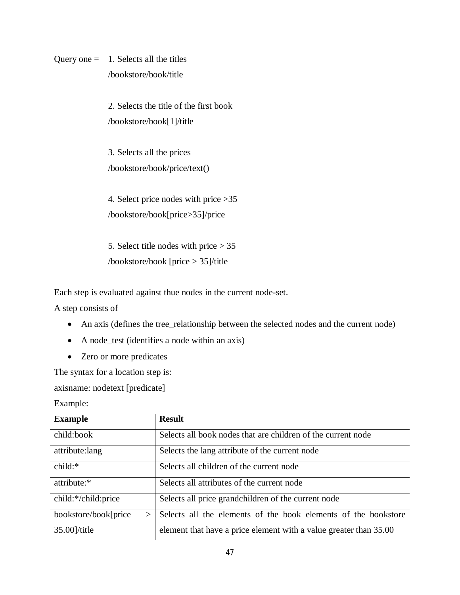Query one  $=$  1. Selects all the titles /bookstore/book/title

> 2. Selects the title of the first book /bookstore/book[1]/title

3. Selects all the prices /bookstore/book/price/text()

4. Select price nodes with price >35 /bookstore/book[price>35]/price

5. Select title nodes with price > 35 /bookstore/book [price > 35]/title

Each step is evaluated against thue nodes in the current node-set.

A step consists of

- An axis (defines the tree\_relationship between the selected nodes and the current node)
- A node\_test (identifies a node within an axis)
- Zero or more predicates

The syntax for a location step is:

axisname: nodetext [predicate]

Example:

| <b>Example</b>                  | <b>Result</b>                                                     |
|---------------------------------|-------------------------------------------------------------------|
| child:book                      | Selects all book nodes that are children of the current node      |
| attribute:lang                  | Selects the lang attribute of the current node                    |
| child:*                         | Selects all children of the current node                          |
| attribute:*                     | Selects all attributes of the current node                        |
| child:*/child:price             | Selects all price grandchildren of the current node               |
| bookstore/book[price]<br>$\geq$ | Selects all the elements of the book elements of the bookstore    |
| $35.00$ ]/title                 | element that have a price element with a value greater than 35.00 |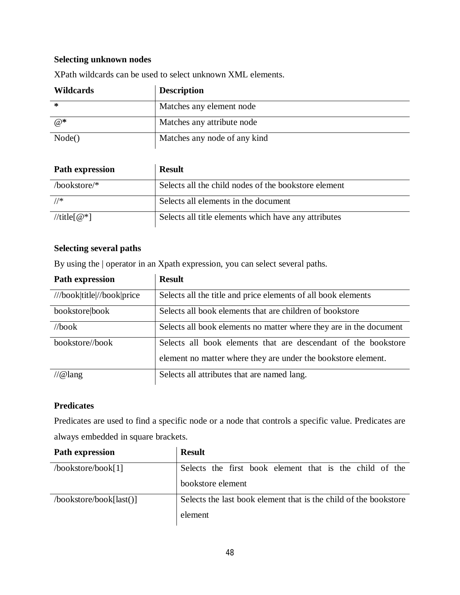# **Selecting unknown nodes**

| <b>Wildcards</b> | <b>Description</b>           |
|------------------|------------------------------|
| ∗                | Matches any element node     |
| $@*$             | Matches any attribute node   |
| Node()           | Matches any node of any kind |

XPath wildcards can be used to select unknown XML elements.

| <b>Path expression</b> | <b>Result</b>                                        |
|------------------------|------------------------------------------------------|
| /bookstore/ $*$        | Selects all the child nodes of the bookstore element |
| //*                    | Selects all elements in the document                 |
| //title[ $@^*$ ]       | Selects all title elements which have any attributes |

## **Selecting several paths**

By using the | operator in an Xpath expression, you can select several paths.

| <b>Path expression</b>     | <b>Result</b>                                                      |
|----------------------------|--------------------------------------------------------------------|
| ///book title //book price | Selects all the title and price elements of all book elements      |
| bookstore book             | Selects all book elements that are children of bookstore           |
| //book                     | Selects all book elements no matter where they are in the document |
| bookstore//book            | Selects all book elements that are descendant of the bookstore     |
|                            | element no matter where they are under the bookstore element.      |
| $\pi/$ @lang               | Selects all attributes that are named lang.                        |

# **Predicates**

Predicates are used to find a specific node or a node that controls a specific value. Predicates are always embedded in square brackets.

| <b>Path expression</b>  | <b>Result</b>                                                    |  |
|-------------------------|------------------------------------------------------------------|--|
| /bookstore/book[1]      | Selects the first book element that is the child of the          |  |
|                         | bookstore element                                                |  |
| /bookstore/book[last()] | Selects the last book element that is the child of the bookstore |  |
|                         | element                                                          |  |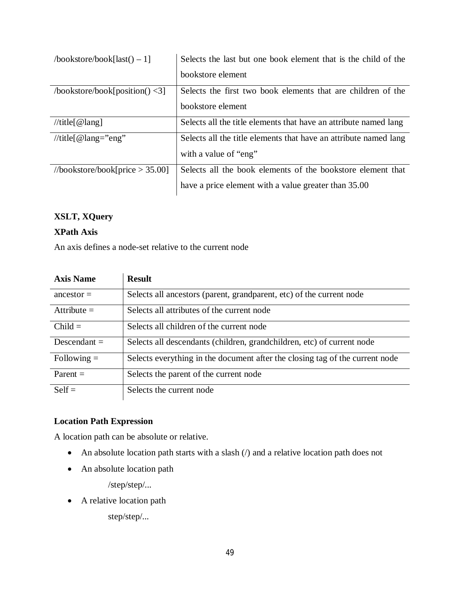| $\text{bookstore} / \text{book}$ [last() – 1] | Selects the last but one book element that is the child of the                            |
|-----------------------------------------------|-------------------------------------------------------------------------------------------|
|                                               | bookstore element                                                                         |
| $\text{/bookstore/book[position()} \leq 3$    | Selects the first two book elements that are children of the                              |
|                                               | bookstore element                                                                         |
| //title[ $@lang$ ]                            | Selects all the title elements that have an attribute named lang                          |
| //title[ $@$ lang="eng"                       | Selects all the title elements that have an attribute named lang<br>with a value of "eng" |
| //bookstore/book[price $>$ 35.00]             | Selects all the book elements of the bookstore element that                               |
|                                               | have a price element with a value greater than 35.00                                      |

# **XSLT, XQuery**

# **XPath Axis**

An axis defines a node-set relative to the current node

| <b>Axis Name</b> | <b>Result</b>                                                                |
|------------------|------------------------------------------------------------------------------|
| $ancestor =$     | Selects all ancestors (parent, grandparent, etc) of the current node         |
| Attribute $=$    | Selects all attributes of the current node                                   |
| $Child =$        | Selects all children of the current node                                     |
| Descendant $=$   | Selects all descendants (children, grandchildren, etc) of current node       |
| Following $=$    | Selects everything in the document after the closing tag of the current node |
| $Parent =$       | Selects the parent of the current node                                       |
| $\text{Self}$    | Selects the current node                                                     |

# **Location Path Expression**

A location path can be absolute or relative.

- An absolute location path starts with a slash (*/*) and a relative location path does not
- An absolute location path

/step/step/...

• A relative location path

step/step/...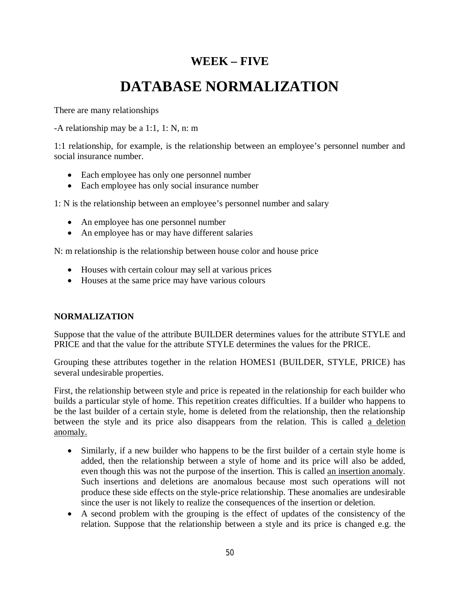# **WEEK – FIVE**

# **DATABASE NORMALIZATION**

There are many relationships

-A relationship may be a 1:1, 1: N, n: m

1:1 relationship, for example, is the relationship between an employee's personnel number and social insurance number.

- Each employee has only one personnel number
- Each employee has only social insurance number

1: N is the relationship between an employee's personnel number and salary

- An employee has one personnel number
- An employee has or may have different salaries

N: m relationship is the relationship between house color and house price

- Houses with certain colour may sell at various prices
- Houses at the same price may have various colours

# **NORMALIZATION**

Suppose that the value of the attribute BUILDER determines values for the attribute STYLE and PRICE and that the value for the attribute STYLE determines the values for the PRICE.

Grouping these attributes together in the relation HOMES1 (BUILDER, STYLE, PRICE) has several undesirable properties.

First, the relationship between style and price is repeated in the relationship for each builder who builds a particular style of home. This repetition creates difficulties. If a builder who happens to be the last builder of a certain style, home is deleted from the relationship, then the relationship between the style and its price also disappears from the relation. This is called a deletion anomaly.

- Similarly, if a new builder who happens to be the first builder of a certain style home is added, then the relationship between a style of home and its price will also be added, even though this was not the purpose of the insertion. This is called an insertion anomaly. Such insertions and deletions are anomalous because most such operations will not produce these side effects on the style-price relationship. These anomalies are undesirable since the user is not likely to realize the consequences of the insertion or deletion.
- A second problem with the grouping is the effect of updates of the consistency of the relation. Suppose that the relationship between a style and its price is changed e.g. the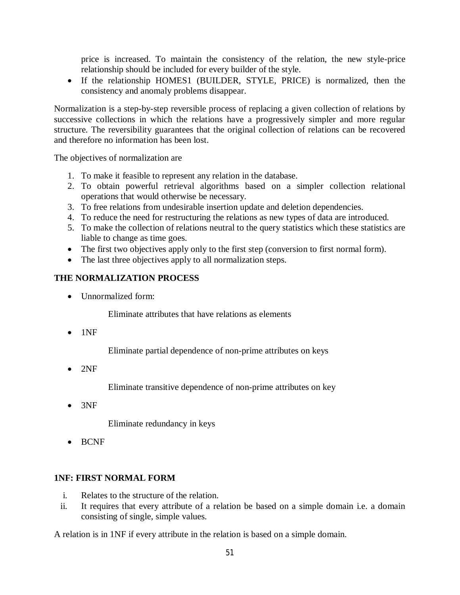price is increased. To maintain the consistency of the relation, the new style-price relationship should be included for every builder of the style.

 If the relationship HOMES1 (BUILDER, STYLE, PRICE) is normalized, then the consistency and anomaly problems disappear.

Normalization is a step-by-step reversible process of replacing a given collection of relations by successive collections in which the relations have a progressively simpler and more regular structure. The reversibility guarantees that the original collection of relations can be recovered and therefore no information has been lost.

The objectives of normalization are

- 1. To make it feasible to represent any relation in the database.
- 2. To obtain powerful retrieval algorithms based on a simpler collection relational operations that would otherwise be necessary.
- 3. To free relations from undesirable insertion update and deletion dependencies.
- 4. To reduce the need for restructuring the relations as new types of data are introduced.
- 5. To make the collection of relations neutral to the query statistics which these statistics are liable to change as time goes.
- The first two objectives apply only to the first step (conversion to first normal form).
- The last three objectives apply to all normalization steps.

# **THE NORMALIZATION PROCESS**

• Unnormalized form:

Eliminate attributes that have relations as elements

 $\bullet$  1NF

Eliminate partial dependence of non-prime attributes on keys

 $\bullet$  2NF

Eliminate transitive dependence of non-prime attributes on key

3NF

Eliminate redundancy in keys

• BCNF

# **1NF: FIRST NORMAL FORM**

- i. Relates to the structure of the relation.
- ii. It requires that every attribute of a relation be based on a simple domain i.e. a domain consisting of single, simple values.

A relation is in 1NF if every attribute in the relation is based on a simple domain.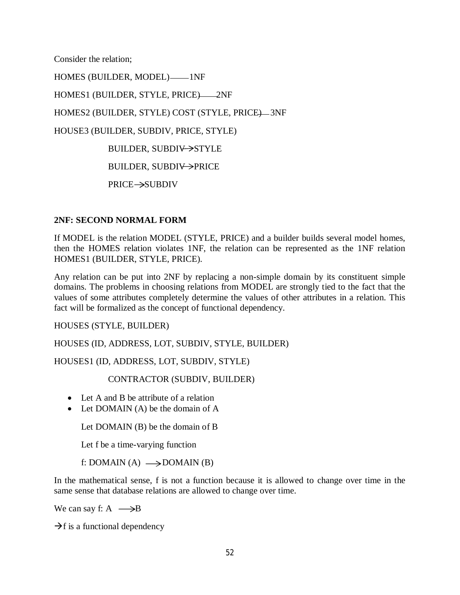Consider the relation;

HOMES (BUILDER, MODEL)-1NF HOMES1 (BUILDER, STYLE, PRICE)-2NF HOMES2 (BUILDER, STYLE) COST (STYLE, PRICE)-3NF HOUSE3 (BUILDER, SUBDIV, PRICE, STYLE) BUILDER, SUBDIV->STYLE BUILDER, SUBDIV->PRICE PRICE-SUBDIV

#### **2NF: SECOND NORMAL FORM**

If MODEL is the relation MODEL (STYLE, PRICE) and a builder builds several model homes, then the HOMES relation violates 1NF, the relation can be represented as the 1NF relation HOMES1 (BUILDER, STYLE, PRICE).

Any relation can be put into 2NF by replacing a non-simple domain by its constituent simple domains. The problems in choosing relations from MODEL are strongly tied to the fact that the values of some attributes completely determine the values of other attributes in a relation. This fact will be formalized as the concept of functional dependency.

HOUSES (STYLE, BUILDER)

HOUSES (ID, ADDRESS, LOT, SUBDIV, STYLE, BUILDER)

HOUSES1 (ID, ADDRESS, LOT, SUBDIV, STYLE)

CONTRACTOR (SUBDIV, BUILDER)

- Let A and B be attribute of a relation
- Let DOMAIN (A) be the domain of A

Let DOMAIN (B) be the domain of B

Let f be a time-varying function

f: DOMAIN (A)  $\longrightarrow$  DOMAIN (B)

In the mathematical sense, f is not a function because it is allowed to change over time in the same sense that database relations are allowed to change over time.

We can say f:  $A \rightarrow B$ 

 $\rightarrow$ f is a functional dependency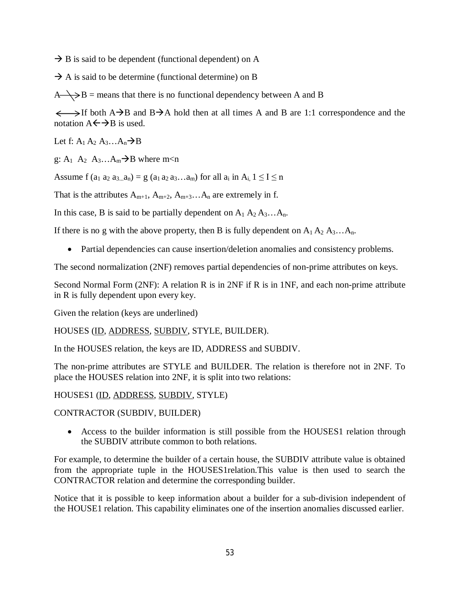$\rightarrow$  B is said to be dependent (functional dependent) on A

 $\rightarrow$  A is said to be determine (functional determine) on B

 $A \rightarrow B$  = means that there is no functional dependency between A and B

 $\longleftrightarrow$ If both A $\rightarrow$ B and B $\rightarrow$ A hold then at all times A and B are 1:1 correspondence and the notation  $A \leftarrow \rightarrow B$  is used.

Let f:  $A_1 A_2 A_3 ... A_n \rightarrow B$ 

g:  $A_1$   $A_2$   $A_3$ ... $A_m \rightarrow B$  where m<n

Assume f  $(a_1 a_2 a_3 a_n) = g(a_1 a_2 a_3 ... a_m)$  for all  $a_i$  in  $A_i$ ,  $1 \leq I \leq n$ 

That is the attributes  $A_{m+1}$ ,  $A_{m+2}$ ,  $A_{m+3}$ ...  $A_n$  are extremely in f.

In this case, B is said to be partially dependent on  $A_1 A_2 A_3 ... A_n$ .

If there is no g with the above property, then B is fully dependent on  $A_1 A_2 A_3 ... A_n$ .

Partial dependencies can cause insertion/deletion anomalies and consistency problems.

The second normalization (2NF) removes partial dependencies of non-prime attributes on keys.

Second Normal Form (2NF): A relation R is in 2NF if R is in 1NF, and each non-prime attribute in R is fully dependent upon every key.

Given the relation (keys are underlined)

HOUSES (ID, ADDRESS, SUBDIV, STYLE, BUILDER).

In the HOUSES relation, the keys are ID, ADDRESS and SUBDIV.

The non-prime attributes are STYLE and BUILDER. The relation is therefore not in 2NF. To place the HOUSES relation into 2NF, it is split into two relations:

HOUSES1 (ID, ADDRESS, SUBDIV, STYLE)

CONTRACTOR (SUBDIV, BUILDER)

• Access to the builder information is still possible from the HOUSES1 relation through the SUBDIV attribute common to both relations.

For example, to determine the builder of a certain house, the SUBDIV attribute value is obtained from the appropriate tuple in the HOUSES1relation.This value is then used to search the CONTRACTOR relation and determine the corresponding builder.

Notice that it is possible to keep information about a builder for a sub-division independent of the HOUSE1 relation. This capability eliminates one of the insertion anomalies discussed earlier.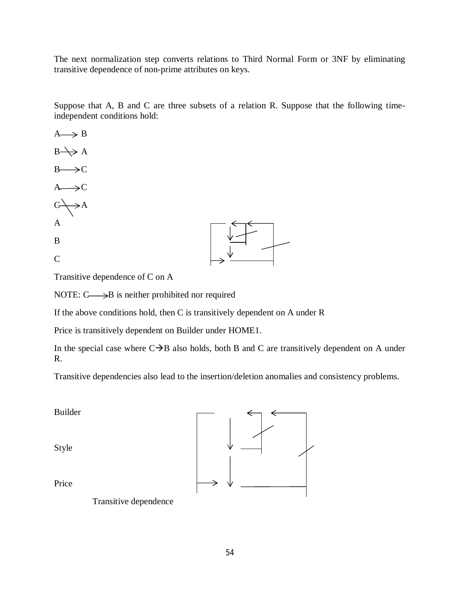The next normalization step converts relations to Third Normal Form or 3NF by eliminating transitive dependence of non-prime attributes on keys.

Suppose that A, B and C are three subsets of a relation R. Suppose that the following timeindependent conditions hold:

 $A \rightarrow B$  $B \rightarrow A$  $B \rightarrow C$  $A \rightarrow C$  $C \rightarrow A$ A B C

Transitive dependence of C on A

NOTE:  $C \longrightarrow B$  is neither prohibited nor required

If the above conditions hold, then C is transitively dependent on A under R

Price is transitively dependent on Builder under HOME1.

In the special case where  $C\rightarrow B$  also holds, both B and C are transitively dependent on A under R.

Transitive dependencies also lead to the insertion/deletion anomalies and consistency problems.

Builder Style Price Transitive dependence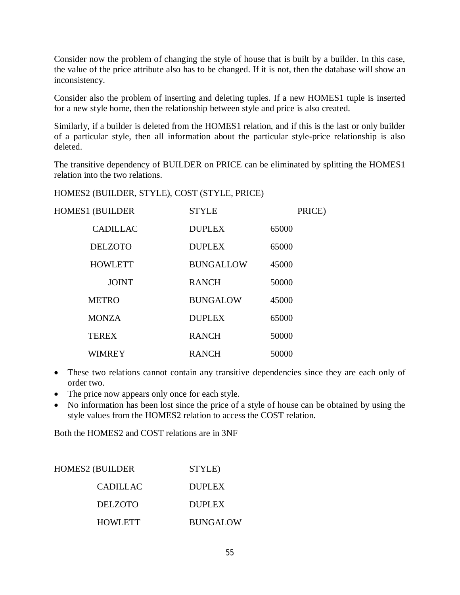Consider now the problem of changing the style of house that is built by a builder. In this case, the value of the price attribute also has to be changed. If it is not, then the database will show an inconsistency.

Consider also the problem of inserting and deleting tuples. If a new HOMES1 tuple is inserted for a new style home, then the relationship between style and price is also created.

Similarly, if a builder is deleted from the HOMES1 relation, and if this is the last or only builder of a particular style, then all information about the particular style-price relationship is also deleted.

The transitive dependency of BUILDER on PRICE can be eliminated by splitting the HOMES1 relation into the two relations.

HOMES2 (BUILDER, STYLE), COST (STYLE, PRICE)

| <b>HOMES1 (BUILDER</b> | <b>STYLE</b>     | PRICE) |
|------------------------|------------------|--------|
| <b>CADILLAC</b>        | <b>DUPLEX</b>    | 65000  |
| <b>DELZOTO</b>         | <b>DUPLEX</b>    | 65000  |
| <b>HOWLETT</b>         | <b>BUNGALLOW</b> | 45000  |
| <b>JOINT</b>           | <b>RANCH</b>     | 50000  |
| <b>METRO</b>           | <b>BUNGALOW</b>  | 45000  |
| <b>MONZA</b>           | <b>DUPLEX</b>    | 65000  |
| <b>TEREX</b>           | <b>RANCH</b>     | 50000  |
| <b>WIMREY</b>          | <b>RANCH</b>     | 50000  |

- These two relations cannot contain any transitive dependencies since they are each only of order two.
- The price now appears only once for each style.
- No information has been lost since the price of a style of house can be obtained by using the style values from the HOMES2 relation to access the COST relation.

Both the HOMES2 and COST relations are in 3NF

| HOMES2 (BUILDER | STYLE)          |
|-----------------|-----------------|
| CADILLAC        | <b>DUPLEX</b>   |
| DELZOTO         | DUPLEX          |
| <b>HOWLETT</b>  | <b>BUNGALOW</b> |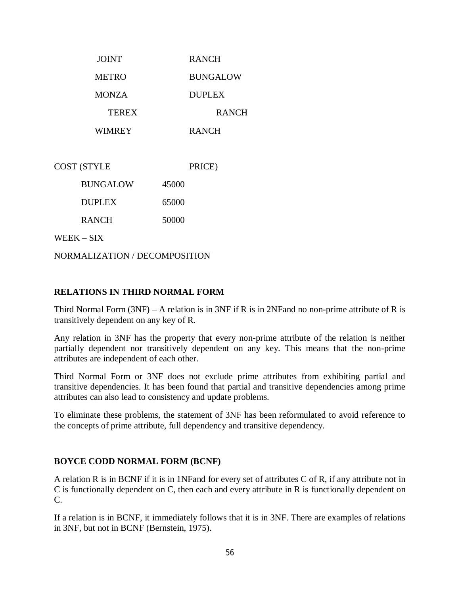| <b>JOINT</b> | <b>RANCH</b>    |
|--------------|-----------------|
| <b>METRO</b> | <b>BUNGALOW</b> |
| <b>MONZA</b> | <b>DUPLEX</b>   |
| <b>TEREX</b> | <b>RANCH</b>    |
| WIMREY       | <b>RANCH</b>    |

COST (STYLE PRICE) BUNGALOW 45000 DUPLEX 65000

RANCH 50000

WEEK – SIX

NORMALIZATION / DECOMPOSITION

#### **RELATIONS IN THIRD NORMAL FORM**

Third Normal Form (3NF) – A relation is in 3NF if R is in 2NFand no non-prime attribute of R is transitively dependent on any key of R.

Any relation in 3NF has the property that every non-prime attribute of the relation is neither partially dependent nor transitively dependent on any key. This means that the non-prime attributes are independent of each other.

Third Normal Form or 3NF does not exclude prime attributes from exhibiting partial and transitive dependencies. It has been found that partial and transitive dependencies among prime attributes can also lead to consistency and update problems.

To eliminate these problems, the statement of 3NF has been reformulated to avoid reference to the concepts of prime attribute, full dependency and transitive dependency.

#### **BOYCE CODD NORMAL FORM (BCNF)**

A relation R is in BCNF if it is in 1NFand for every set of attributes C of R, if any attribute not in C is functionally dependent on C, then each and every attribute in R is functionally dependent on C.

If a relation is in BCNF, it immediately follows that it is in 3NF. There are examples of relations in 3NF, but not in BCNF (Bernstein, 1975).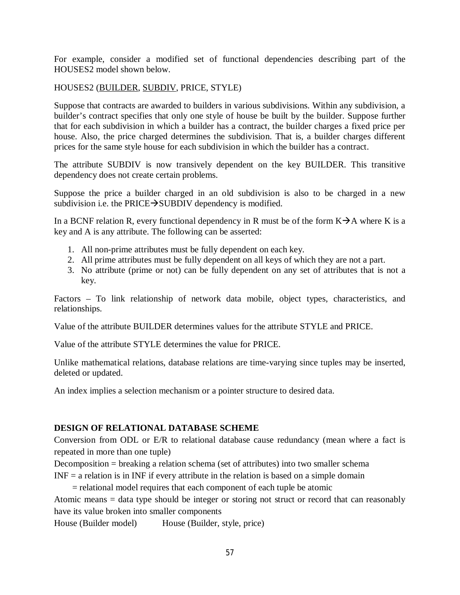For example, consider a modified set of functional dependencies describing part of the HOUSES2 model shown below.

## HOUSES2 (BUILDER, SUBDIV, PRICE, STYLE)

Suppose that contracts are awarded to builders in various subdivisions. Within any subdivision, a builder's contract specifies that only one style of house be built by the builder. Suppose further that for each subdivision in which a builder has a contract, the builder charges a fixed price per house. Also, the price charged determines the subdivision. That is, a builder charges different prices for the same style house for each subdivision in which the builder has a contract.

The attribute SUBDIV is now transively dependent on the key BUILDER. This transitive dependency does not create certain problems.

Suppose the price a builder charged in an old subdivision is also to be charged in a new subdivision i.e. the PRICE $\rightarrow$ SUBDIV dependency is modified.

In a BCNF relation R, every functional dependency in R must be of the form  $K\rightarrow A$  where K is a key and A is any attribute. The following can be asserted:

- 1. All non-prime attributes must be fully dependent on each key.
- 2. All prime attributes must be fully dependent on all keys of which they are not a part.
- 3. No attribute (prime or not) can be fully dependent on any set of attributes that is not a key.

Factors – To link relationship of network data mobile, object types, characteristics, and relationships.

Value of the attribute BUILDER determines values for the attribute STYLE and PRICE.

Value of the attribute STYLE determines the value for PRICE.

Unlike mathematical relations, database relations are time-varying since tuples may be inserted, deleted or updated.

An index implies a selection mechanism or a pointer structure to desired data.

#### **DESIGN OF RELATIONAL DATABASE SCHEME**

Conversion from ODL or E/R to relational database cause redundancy (mean where a fact is repeated in more than one tuple)

Decomposition = breaking a relation schema (set of attributes) into two smaller schema

INF = a relation is in INF if every attribute in the relation is based on a simple domain

= relational model requires that each component of each tuple be atomic

Atomic means = data type should be integer or storing not struct or record that can reasonably have its value broken into smaller components

House (Builder model) House (Builder, style, price)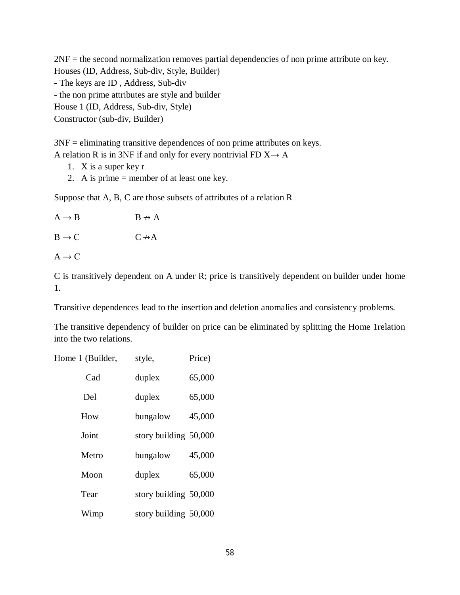2NF = the second normalization removes partial dependencies of non prime attribute on key. Houses (ID, Address, Sub-div, Style, Builder) - The keys are ID , Address, Sub-div - the non prime attributes are style and builder House 1 (ID, Address, Sub-div, Style) Constructor (sub-div, Builder)

3NF = eliminating transitive dependences of non prime attributes on keys. A relation R is in 3NF if and only for every nontrivial FD  $X \rightarrow A$ 

- 1. X is a super key r
- 2. A is prime = member of at least one key.

Suppose that A, B, C are those subsets of attributes of a relation R

| $A \rightarrow B$ | $B \nrightarrow A$ |
|-------------------|--------------------|
| $B \rightarrow C$ | $C \rightarrow A$  |
| $A \rightarrow C$ |                    |
|                   |                    |

C is transitively dependent on A under R; price is transitively dependent on builder under home 1.

Transitive dependences lead to the insertion and deletion anomalies and consistency problems.

The transitive dependency of builder on price can be eliminated by splitting the Home 1relation into the two relations.

| Home 1 (Builder, | style,                  | Price) |
|------------------|-------------------------|--------|
| Cad              | duplex                  | 65,000 |
| Del              | duplex                  | 65,000 |
| How              | bungalow                | 45,000 |
| Joint            | story building 50,000   |        |
| Metro            | bungalow                | 45,000 |
| Moon             | duplex                  | 65,000 |
| Tear             | story building $50,000$ |        |
| Wimp             | story building 50,000   |        |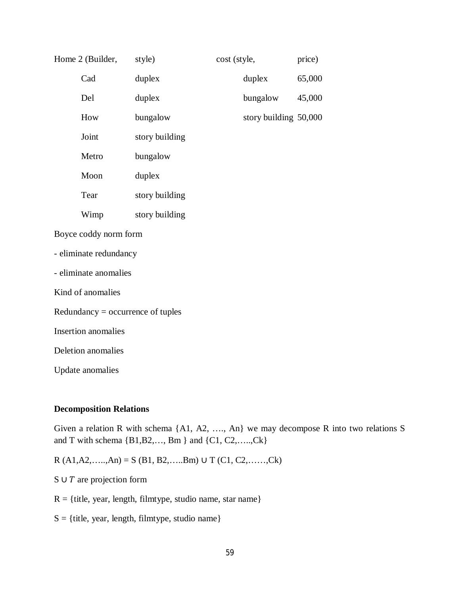|                                     | Home 2 (Builder,       | style)         | cost (style, |                       | price) |
|-------------------------------------|------------------------|----------------|--------------|-----------------------|--------|
|                                     | Cad                    | duplex         |              | duplex                | 65,000 |
|                                     | Del                    | duplex         |              | bungalow              | 45,000 |
|                                     | How                    | bungalow       |              | story building 50,000 |        |
|                                     | Joint                  | story building |              |                       |        |
|                                     | Metro                  | bungalow       |              |                       |        |
|                                     | Moon                   | duplex         |              |                       |        |
|                                     | Tear                   | story building |              |                       |        |
|                                     | Wimp                   | story building |              |                       |        |
|                                     | Boyce coddy norm form  |                |              |                       |        |
|                                     | - eliminate redundancy |                |              |                       |        |
|                                     | - eliminate anomalies  |                |              |                       |        |
|                                     | Kind of anomalies      |                |              |                       |        |
| $Redundancy = occurrence of tuples$ |                        |                |              |                       |        |
| Insertion anomalies                 |                        |                |              |                       |        |
| Deletion anomalies                  |                        |                |              |                       |        |

Update anomalies

#### **Decomposition Relations**

Given a relation R with schema {A1, A2, …., An} we may decompose R into two relations S and T with schema {B1,B2,…, Bm } and {C1, C2,…..,Ck}

R (A1,A2,…..,An) = S (B1, B2,…..Bm) ∪ T (C1, C2,……,Ck)

S ∪  $T$  are projection form

 $R = {title, year, length, filmtype, studio name, star name}$ 

 $S = {title, year, length, filmtype, studio name}$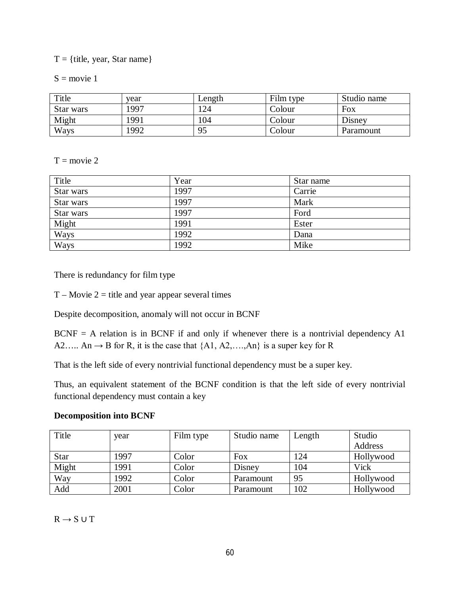$T = \{$ title, year, Star name $\}$ 

 $S = movie 1$ 

| Title     | vear | Length | Film type | Studio name |
|-----------|------|--------|-----------|-------------|
| Star wars | 1997 | 24     | Colour    | Fox         |
| Might     | 1991 | 04     | Colour    | Disney      |
| Ways      | 1992 | 95     | Colour    | Paramount   |

 $T = \text{movie } 2$ 

| Title     | Year | Star name |
|-----------|------|-----------|
| Star wars | 1997 | Carrie    |
| Star wars | 1997 | Mark      |
| Star wars | 1997 | Ford      |
| Might     | 1991 | Ester     |
| Ways      | 1992 | Dana      |
| Ways      | 1992 | Mike      |

There is redundancy for film type

 $T - Movie 2 = title$  and year appear several times

Despite decomposition, anomaly will not occur in BCNF

 $BCNF = A$  relation is in BCNF if and only if whenever there is a nontrivial dependency A1 A2..... An  $\rightarrow$  B for R, it is the case that {A1, A2,...,An} is a super key for R

That is the left side of every nontrivial functional dependency must be a super key.

Thus, an equivalent statement of the BCNF condition is that the left side of every nontrivial functional dependency must contain a key

#### **Decomposition into BCNF**

| Title       | year | Film type | Studio name | Length | Studio    |
|-------------|------|-----------|-------------|--------|-----------|
|             |      |           |             |        | Address   |
| <b>Star</b> | 1997 | Color     | Fox         | 124    | Hollywood |
| Might       | 1991 | Color     | Disney      | 104    | Vick      |
| Way         | 1992 | Color     | Paramount   | 95     | Hollywood |
| Add         | 2001 | Color     | Paramount   | 102    | Hollywood |

 $R \rightarrow S \cup T$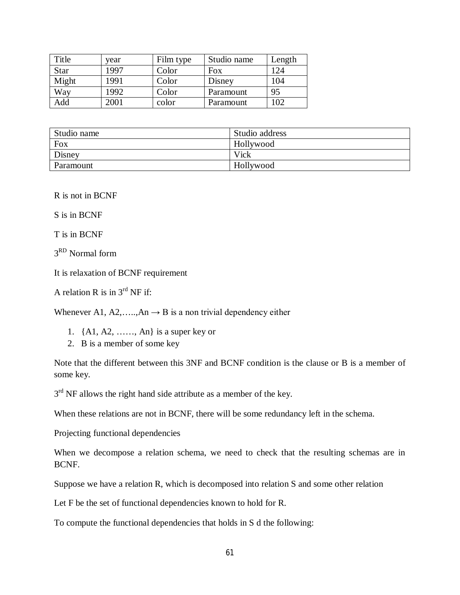| Title       | vear | Film type | Studio name | Length |
|-------------|------|-----------|-------------|--------|
| <b>Star</b> | 1997 | Color     | Fox         | 124    |
| Might       | 1991 | Color     | Disney      | 104    |
| Way         | 1992 | Color     | Paramount   | 95     |
| Add         | 2001 | color     | Paramount   | 102    |

| Studio name | Studio address |
|-------------|----------------|
| Fox         | Hollywood      |
| Disney      | Vick           |
| Paramount   | Hollywood      |

R is not in BCNF

S is in BCNF

T is in BCNF

3 RD Normal form

It is relaxation of BCNF requirement

A relation R is in  $3<sup>rd</sup>$  NF if:

Whenever A1, A2, ….., An  $\rightarrow$  B is a non trivial dependency either

- 1. {A1, A2, ……, An} is a super key or
- 2. B is a member of some key

Note that the different between this 3NF and BCNF condition is the clause or B is a member of some key.

 $3<sup>rd</sup>$  NF allows the right hand side attribute as a member of the key.

When these relations are not in BCNF, there will be some redundancy left in the schema.

Projecting functional dependencies

When we decompose a relation schema, we need to check that the resulting schemas are in BCNF.

Suppose we have a relation R, which is decomposed into relation S and some other relation

Let F be the set of functional dependencies known to hold for R.

To compute the functional dependencies that holds in S d the following: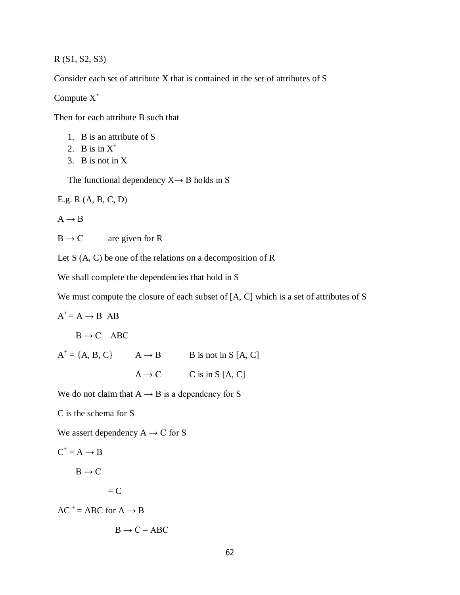R (S1, S2, S3)

Consider each set of attribute X that is contained in the set of attributes of S

Compute  $X^+$ 

Then for each attribute B such that

- 1. B is an attribute of S
- 2. B is in  $X^+$
- 3. B is not in X

The functional dependency  $X \rightarrow B$  holds in S

E.g. R (A, B, C, D)

 $A \rightarrow B$ 

 $B \rightarrow C$  are given for R

Let S (A, C) be one of the relations on a decomposition of R

We shall complete the dependencies that hold in S

We must compute the closure of each subset of [A, C] which is a set of attributes of S

 $A^+=A \rightarrow B \ AB$ 

$$
B \to C \quad ABC
$$

 $A^+ = \{A, B, C\}$   $A \rightarrow B$  B is not in S [A, C]

 $A \rightarrow C$  C is in S [A, C]

We do not claim that  $A \rightarrow B$  is a dependency for S

C is the schema for S

We assert dependency  $A \rightarrow C$  for S

$$
C^+ = A \rightarrow B
$$

 $B \rightarrow C$ 

 $=$  C

 $AC^+$  = ABC for  $A \rightarrow B$ 

$$
B \to C = ABC
$$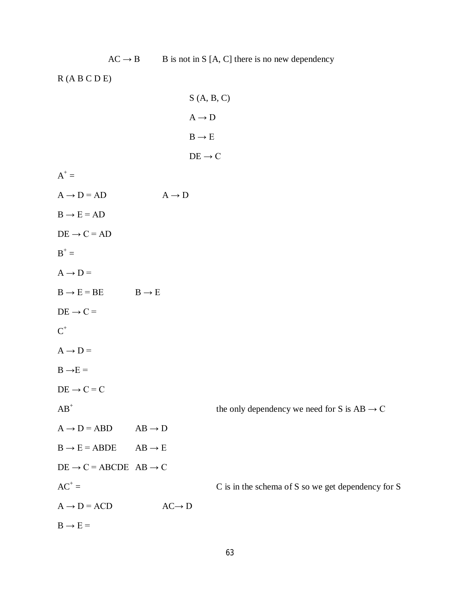| R(A B C D E)                                |                                 |                                                         |
|---------------------------------------------|---------------------------------|---------------------------------------------------------|
|                                             |                                 | S(A, B, C)                                              |
|                                             |                                 | $\mathrm{A}\rightarrow\mathrm{D}$                       |
|                                             |                                 | $\text{B} \rightarrow \text{E}$                         |
|                                             |                                 | $\text{DE} \rightarrow \text{C}$                        |
| $A^+$ =                                     |                                 |                                                         |
| $A \rightarrow D = AD$                      | $\text{A} \rightarrow \text{D}$ |                                                         |
| $B \rightarrow E = AD$                      |                                 |                                                         |
| $DE \rightarrow C = AD$                     |                                 |                                                         |
| $B^+ =$                                     |                                 |                                                         |
| $A \rightarrow D =$                         |                                 |                                                         |
| $B \rightarrow E = BE$                      | $B \rightarrow E$               |                                                         |
| $DE \rightarrow C =$                        |                                 |                                                         |
| $\text{C}^+$                                |                                 |                                                         |
| $A \rightarrow D =$                         |                                 |                                                         |
| $B \rightarrow E =$                         |                                 |                                                         |
| $DE \rightarrow C = C$                      |                                 |                                                         |
| $AB^+$                                      |                                 | the only dependency we need for S is $AB \rightarrow C$ |
| $A \rightarrow D = ABD$                     | $AB \rightarrow D$              |                                                         |
| $B \rightarrow E = ABDE$                    | $AB \rightarrow E$              |                                                         |
| $DE \rightarrow C = ABCDE AB \rightarrow C$ |                                 |                                                         |
| $AC^+ =$                                    |                                 | C is in the schema of S so we get dependency for S      |
| $A \rightarrow D = ACD$                     | $AC \rightarrow D$              |                                                         |
| $B \rightarrow E =$                         |                                 |                                                         |

 $AC \rightarrow B$  B is not in S [A, C] there is no new dependency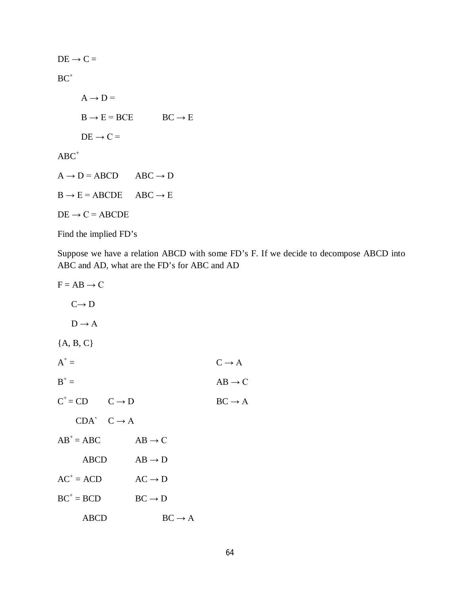$DE \rightarrow C =$  $\mathrm{BC}^+$  $A \rightarrow D =$  $B \rightarrow E = BCE$   $BC \rightarrow E$  $DE \rightarrow C =$  $\mathbf{ABC}^+$  $A \rightarrow D = ABCD$  ABC  $\rightarrow D$  $B \rightarrow E = ABCDE$  ABC  $\rightarrow E$  $DE \rightarrow C = ABCDE$ Find the implied FD's

Suppose we have a relation ABCD with some FD's F. If we decide to decompose ABCD into ABC and AD, what are the FD's for ABC and AD

 $F = AB \rightarrow C$  $C \rightarrow D$  $D \rightarrow A$ {A, B, C}  $A^+$  $C \rightarrow A$  $B^+$  $AB \rightarrow C$  $C^+$  = CD  $C \rightarrow D$  BC  $\rightarrow A$  $CDA^{\wedge}$   $C \rightarrow A$  $AB^+= ABC$   $AB \rightarrow C$  $ABCD \tAB \rightarrow D$  $AC^+ = ACD$  $AC \rightarrow D$  $BC^+=BCD$  $BC \rightarrow D$ ABCD  $BC \rightarrow A$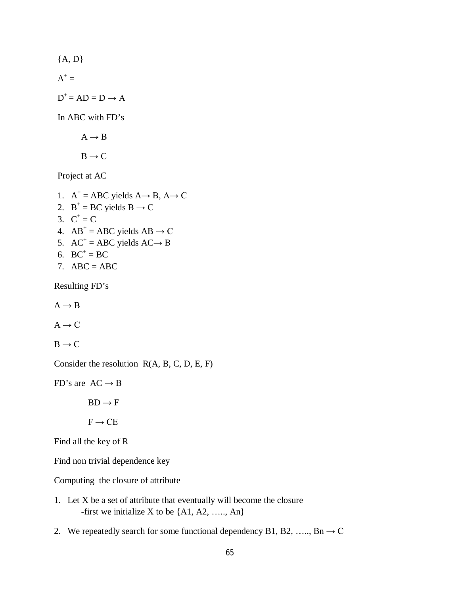${A, D}$  $A^+$  =  $D^+$  = AD = D  $\rightarrow$  A In ABC with FD's  $A \rightarrow B$  $B \rightarrow C$ 

Project at AC

1.  $A^+$  = ABC yields  $A \rightarrow B$ ,  $A \rightarrow C$ 2.  $B^+$  = BC yields  $B \to C$ 3.  $C^+ = C$ 4.  $AB^+ = ABC$  yields  $AB \rightarrow C$ 5.  $AC^+ = ABC$  yields  $AC \rightarrow B$ 6.  $BC^+ = BC$ 7.  $ABC = ABC$ 

Resulting FD's

 $A \rightarrow B$ 

 $A \rightarrow C$ 

 $B \rightarrow C$ 

Consider the resolution R(A, B, C, D, E, F)

FD's are  $AC \rightarrow B$ 

 $BD \rightarrow F$ 

 $F \rightarrow CE$ 

Find all the key of R

Find non trivial dependence key

Computing the closure of attribute

- 1. Let X be a set of attribute that eventually will become the closure -first we initialize X to be  $\{A1, A2, \ldots, An\}$
- 2. We repeatedly search for some functional dependency B1, B2, …, Bn  $\rightarrow$  C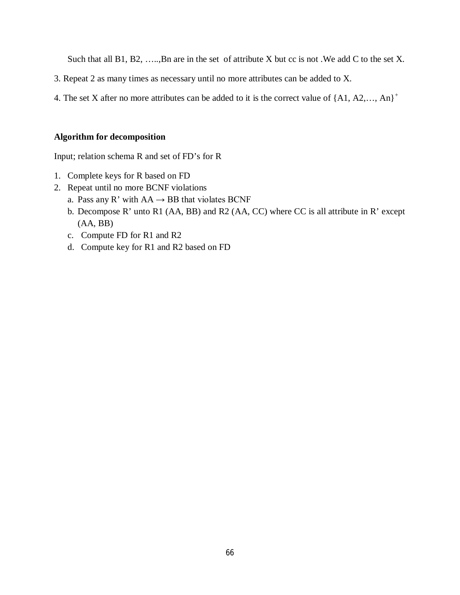Such that all B1, B2, .....,Bn are in the set of attribute X but cc is not. We add C to the set X.

- 3. Repeat 2 as many times as necessary until no more attributes can be added to X.
- 4. The set X after no more attributes can be added to it is the correct value of  $\{A1, A2, \ldots, An\}^+$

#### **Algorithm for decomposition**

Input; relation schema R and set of FD's for R

- 1. Complete keys for R based on FD
- 2. Repeat until no more BCNF violations
	- a. Pass any R' with  $AA \rightarrow BB$  that violates BCNF
	- b. Decompose R' unto R1 (AA, BB) and R2 (AA, CC) where CC is all attribute in R' except (AA, BB)
	- c. Compute FD for R1 and R2
	- d. Compute key for R1 and R2 based on FD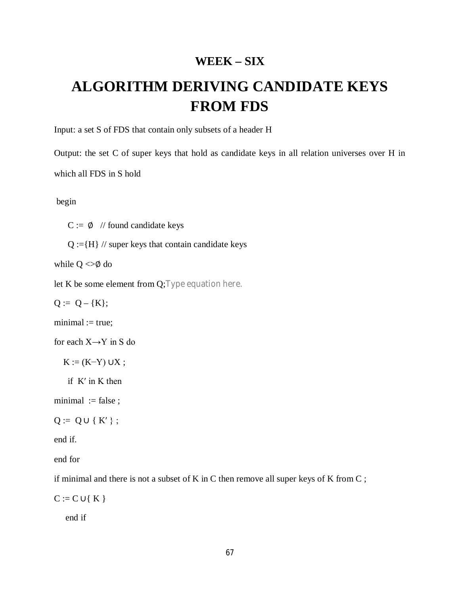# **WEEK – SIX**

# **ALGORITHM DERIVING CANDIDATE KEYS FROM FDS**

Input: a set S of FDS that contain only subsets of a header H

Output: the set C of super keys that hold as candidate keys in all relation universes over H in which all FDS in S hold

begin

 $C := \emptyset$  // found candidate keys

 $Q := {H} / /$  super keys that contain candidate keys

while  $Q \ll \emptyset$  do

let K be some element from Q;Type equation here.

 $Q := Q - \{K\};$ 

 $minimal := true;$ 

for each  $X \rightarrow Y$  in S do

 $K := (K-Y) \cup X;$ 

if  $K'$  in  $K$  then

minimal  $:=$  false ;

$$
Q := Q \cup \{ K' \};
$$

end if.

end for

if minimal and there is not a subset of K in C then remove all super keys of K from C ;

 $C := C \cup \{K\}$ 

end if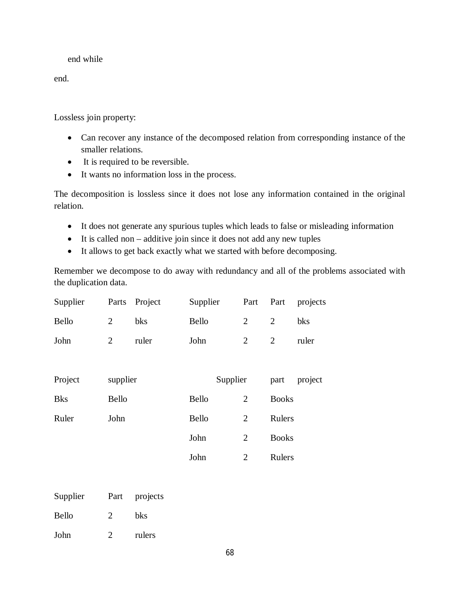#### end while

end.

Lossless join property:

- Can recover any instance of the decomposed relation from corresponding instance of the smaller relations.
- It is required to be reversible.
- It wants no information loss in the process.

The decomposition is lossless since it does not lose any information contained in the original relation.

- It does not generate any spurious tuples which leads to false or misleading information
- It is called non additive join since it does not add any new tuples
- It allows to get back exactly what we started with before decomposing.

Remember we decompose to do away with redundancy and all of the problems associated with the duplication data.

| Supplier     | Parts          | Project | Supplier     | Part           | Part           | projects |
|--------------|----------------|---------|--------------|----------------|----------------|----------|
| <b>Bello</b> | $\overline{2}$ | bks     | Bello        | 2              | $\overline{2}$ | bks      |
| John         | $\overline{2}$ | ruler   | John         | $\overline{2}$ | 2              | ruler    |
|              |                |         |              |                |                |          |
| Project      | supplier       |         | Supplier     |                | part           | project  |
| <b>Bks</b>   | Bello          |         | <b>Bello</b> | $\overline{2}$ | <b>Books</b>   |          |
| Ruler        | John           |         | Bello        | $\overline{2}$ | Rulers         |          |
|              |                |         | John         | $\overline{2}$ | <b>Books</b>   |          |
|              |                |         | John         | $\overline{2}$ | Rulers         |          |

| Supplier     | Part          | projects |
|--------------|---------------|----------|
| <b>Bello</b> | $\mathcal{D}$ | bks      |
| John         |               | rulers   |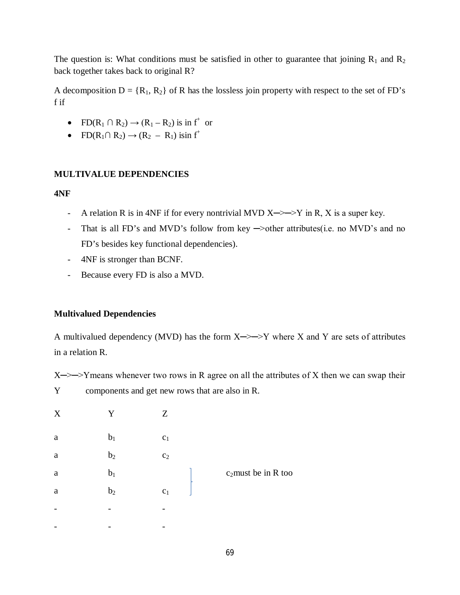The question is: What conditions must be satisfied in other to guarantee that joining  $R_1$  and  $R_2$ back together takes back to original R?

A decomposition  $D = \{R_1, R_2\}$  of R has the lossless join property with respect to the set of FD's f if

- FD( $R_1 \cap R_2$ )  $\rightarrow$  ( $R_1 R_2$ ) is in f<sup>+</sup> or
- FD( $R_1 \cap R_2$ )  $\rightarrow$  ( $R_2 R_1$ ) isin f<sup>+</sup>

# **MULTIVALUE DEPENDENCIES**

# **4NF**

- A relation R is in 4NF if for every nontrivial MVD  $X \rightarrow Y$  in R, X is a super key.
- That is all FD's and MVD's follow from key  $\rightarrow$ other attributes(i.e. no MVD's and no FD's besides key functional dependencies).
- 4NF is stronger than BCNF.
- Because every FD is also a MVD.

# **Multivalued Dependencies**

A multivalued dependency (MVD) has the form  $X \rightarrow Y$  where X and Y are sets of attributes in a relation R.

 $X \rightarrow Y$  means whenever two rows in R agree on all the attributes of X then we can swap their Y components and get new rows that are also in R.

| $\mathbf X$ | Y              | Z              |                        |
|-------------|----------------|----------------|------------------------|
| $\rm{a}$    | $b_1$          | $\mathbf{c}_1$ |                        |
| $\rm{a}$    | b <sub>2</sub> | C <sub>2</sub> |                        |
| $\rm{a}$    | $b_1$          |                | $c_2$ must be in R too |
| $\rm{a}$    | b <sub>2</sub> | $\mathbf{c}_1$ |                        |
| -           |                | -              |                        |
|             |                |                |                        |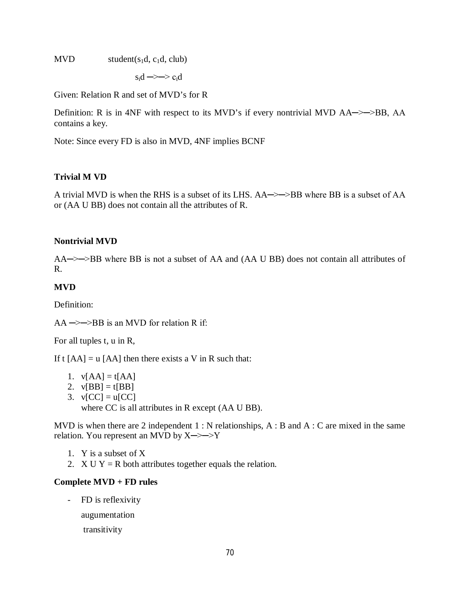$MVD$  student( $s_1d, c_1d, club$ )

 $s_i$ d  $\rightarrow$   $\rightarrow$   $c_i$ d

Given: Relation R and set of MVD's for R

Definition: R is in 4NF with respect to its MVD's if every nontrivial MVD  $AA\rightarrow\rightarrow BB$ , AA contains a key.

Note: Since every FD is also in MVD, 4NF implies BCNF

#### **Trivial M VD**

A trivial MVD is when the RHS is a subset of its LHS. AA─>─>BB where BB is a subset of AA or (AA U BB) does not contain all the attributes of R.

#### **Nontrivial MVD**

AA—>>BB where BB is not a subset of AA and (AA U BB) does not contain all attributes of R.

## **MVD**

Definition:

 $AA \rightarrow\rightarrow BB$  is an MVD for relation R if:

For all tuples t, u in R,

If t  $[AA] = u [AA]$  then there exists a V in R such that:

- 1.  $v[AA] = t[AA]$
- 2.  $v[BB] = t[BB]$
- 3.  $v[CC] = u[CC]$

where CC is all attributes in R except (AA U BB).

MVD is when there are 2 independent  $1 : N$  relationships,  $A : B$  and  $A : C$  are mixed in the same relation. You represent an MVD by X─>─>Y

- 1. Y is a subset of X
- 2.  $X U Y = R$  both attributes together equals the relation.

#### **Complete MVD + FD rules**

- FD is reflexivity

augumentation

transitivity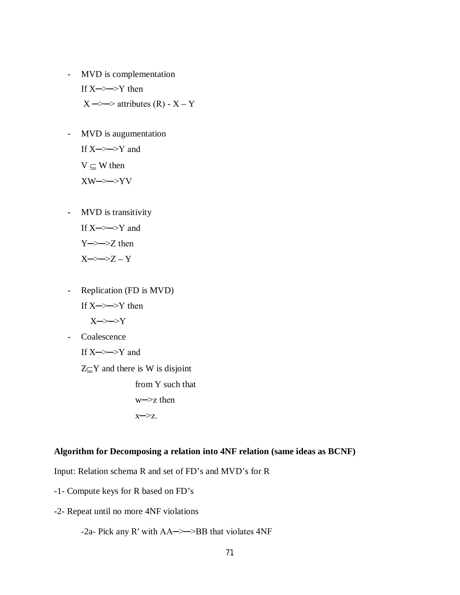- MVD is complementation If  $X \rightarrow Y$  then  $X \rightarrow \rightarrow$  attributes  $(R) - X - Y$
- MVD is augumentation If  $X \rightarrow Y$  and  $V \subseteq W$  then  $XW\rightarrow YV$
- MVD is transitivity If  $X \rightarrow Y$  and Y─>─>Z then

 $X \rightarrow Z - Y$ 

- Replication (FD is MVD) If X─>─>Y then X─>─>Y - Coalescence If  $X \rightarrow Y$  and  $Z \subseteq Y$  and there is W is disjoint from Y such that

w─>z then x─>z.

#### **Algorithm for Decomposing a relation into 4NF relation (same ideas as BCNF)**

Input: Relation schema R and set of FD's and MVD's for R

- -1- Compute keys for R based on FD's
- -2- Repeat until no more 4NF violations

-2a- Pick any R′ with AA─>─>BB that violates 4NF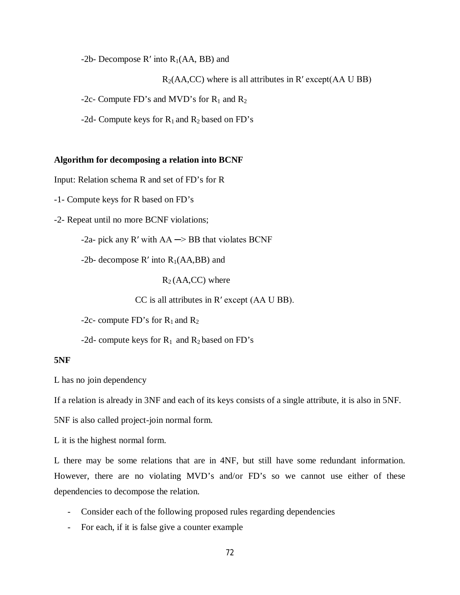-2b- Decompose  $R'$  into  $R_1(AA, BB)$  and

 $R_2(AA,CC)$  where is all attributes in R' except( $AA \cup BB$ )

-2c- Compute FD's and MVD's for  $R_1$  and  $R_2$ 

-2d- Compute keys for  $R_1$  and  $R_2$  based on FD's

#### **Algorithm for decomposing a relation into BCNF**

Input: Relation schema R and set of FD's for R

-1- Compute keys for R based on FD's

-2- Repeat until no more BCNF violations;

-2a- pick any R' with  $AA \rightarrow BB$  that violates BCNF

-2b- decompose  $R'$  into  $R_1(AA,BB)$  and

 $R_2(AA,CC)$  where

CC is all attributes in R′ except (AA U BB).

-2c- compute FD's for  $R_1$  and  $R_2$ 

-2d- compute keys for  $R_1$  and  $R_2$  based on FD's

#### **5NF**

L has no join dependency

If a relation is already in 3NF and each of its keys consists of a single attribute, it is also in 5NF.

5NF is also called project-join normal form.

L it is the highest normal form.

L there may be some relations that are in 4NF, but still have some redundant information. However, there are no violating MVD's and/or FD's so we cannot use either of these dependencies to decompose the relation.

- Consider each of the following proposed rules regarding dependencies
- For each, if it is false give a counter example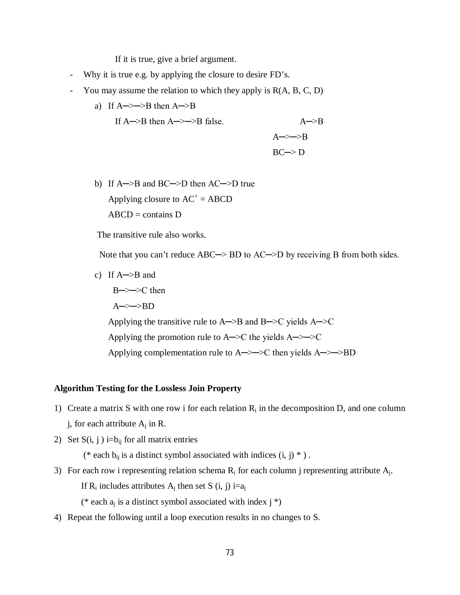If it is true, give a brief argument.

- Why it is true e.g. by applying the closure to desire FD's.
- You may assume the relation to which they apply is  $R(A, B, C, D)$ 
	- a) If  $A \rightarrow B$  then  $A \rightarrow B$

If  $A \rightarrow B$  then  $A \rightarrow \rightarrow B$  false.  $A \rightarrow B$  $A \rightarrow \rightarrow B$  $BC \rightarrow D$ 

b) If A─>B and BC─>D then AC─>D true Applying closure to  $AC^+ = ABCD$  $ABCD =$ contains D

The transitive rule also works.

Note that you can't reduce ABC→ BD to AC→D by receiving B from both sides.

c) If A─>B and

B->→>C then A─>─>BD Applying the transitive rule to  $A \rightarrow B$  and  $B \rightarrow C$  yields  $A \rightarrow C$ Applying the promotion rule to  $A \rightarrow C$  the yields  $A \rightarrow \rightarrow C$ Applying complementation rule to  $A \rightarrow \rightarrow C$  then yields  $A \rightarrow \rightarrow BD$ 

#### **Algorithm Testing for the Lossless Join Property**

- 1) Create a matrix S with one row i for each relation  $R_i$  in the decomposition D, and one column j, for each attribute  $A_j$  in R.
- 2) Set  $S(i, j)$  i=b<sub>ij</sub> for all matrix entries

(\* each  $b_{ij}$  is a distinct symbol associated with indices  $(i, j)$  \* ).

3) For each row i representing relation schema  $R_i$  for each column j representing attribute  $A_i$ . If  $R_i$  includes attributes  $A_i$  then set S (i, j) i=a<sub>i</sub>

(\* each  $a_i$  is a distinct symbol associated with index j \*)

4) Repeat the following until a loop execution results in no changes to S.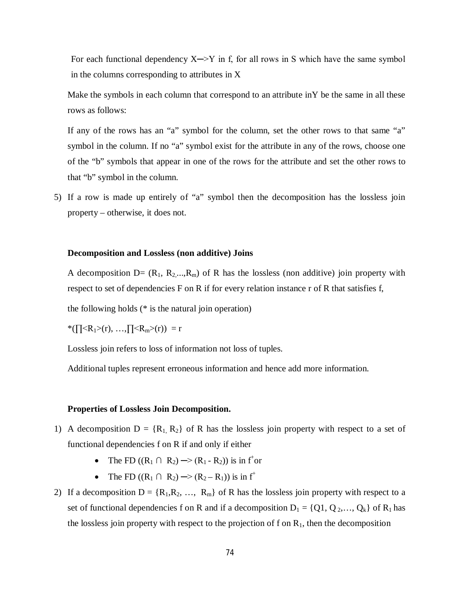For each functional dependency  $X \rightarrow Y$  in f, for all rows in S which have the same symbol in the columns corresponding to attributes in X

Make the symbols in each column that correspond to an attribute inY be the same in all these rows as follows:

If any of the rows has an "a" symbol for the column, set the other rows to that same "a" symbol in the column. If no "a" symbol exist for the attribute in any of the rows, choose one of the "b" symbols that appear in one of the rows for the attribute and set the other rows to that "b" symbol in the column.

5) If a row is made up entirely of "a" symbol then the decomposition has the lossless join property – otherwise, it does not.

#### **Decomposition and Lossless (non additive) Joins**

A decomposition  $D = (R_1, R_2, \ldots, R_m)$  of R has the lossless (non additive) join property with respect to set of dependencies F on R if for every relation instance r of R that satisfies f,

the following holds (\* is the natural join operation)

 $*(\Pi < R_1 > (r), \ldots, \Pi < R_m > (r)) = r$ 

Lossless join refers to loss of information not loss of tuples.

Additional tuples represent erroneous information and hence add more information.

#### **Properties of Lossless Join Decomposition.**

- 1) A decomposition  $D = \{R_1, R_2\}$  of R has the lossless join property with respect to a set of functional dependencies f on R if and only if either
	- The FD  $((R_1 \cap R_2) \to (R_1 R_2))$  is in f<sup>+</sup>or
	- The FD  $((R_1 \cap R_2) \rightarrow (R_2 R_1))$  is in f<sup>+</sup>
- 2) If a decomposition  $D = \{R_1, R_2, ..., R_m\}$  of R has the lossless join property with respect to a set of functional dependencies f on R and if a decomposition  $D_1 = \{Q_1, Q_2, \ldots, Q_k\}$  of  $R_1$  has the lossless join property with respect to the projection of f on  $R_1$ , then the decomposition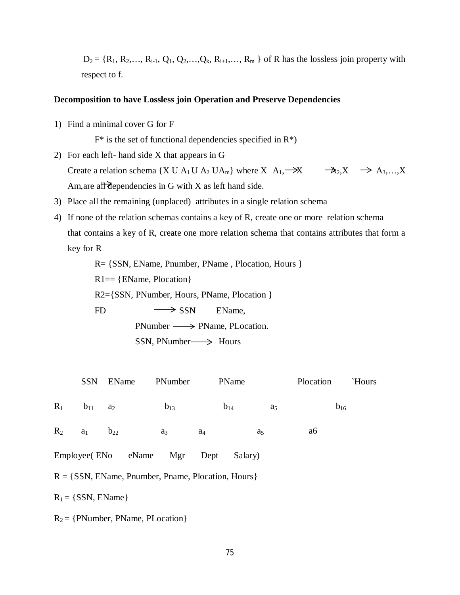$D_2 = \{R_1, R_2, \ldots, R_{i-1}, Q_1, Q_2, \ldots, Q_k, R_{i+1}, \ldots, R_m\}$  of R has the lossless join property with respect to f.

#### **Decomposition to have Lossless join Operation and Preserve Dependencies**

1) Find a minimal cover G for F

 $F^*$  is the set of functional dependencies specified in  $R^*$ )

- 2) For each left- hand side X that appears in G Create a relation schema {X U A<sub>1</sub> U A<sub>2</sub> UA<sub>m</sub>} where X A<sub>1</sub>,  $\rightarrow$  X  $\rightarrow$  A<sub>2</sub>, X  $\rightarrow$  A<sub>3</sub>,..., X Am, are all dependencies in G with X as left hand side.
- 3) Place all the remaining (unplaced) attributes in a single relation schema
- 4) If none of the relation schemas contains a key of R, create one or more relation schema that contains a key of R, create one more relation schema that contains attributes that form a key for R

R= {SSN, EName, Pnumber, PName , Plocation, Hours }

 $R1 = \{EName, Plocation\}$ 

R2={SSN, PNumber, Hours, PName, Plocation }

FD  $\longrightarrow$  SSN EName,

 $\text{PNumber} \longrightarrow \text{PName}, \text{PLocation}.$ 

 $SSN$ , PNumber  $\longrightarrow$  Hours

|       | <b>SSN</b>                                              | <b>EName</b>           | PNumber        |                | PName          | Plocation      | `Hours   |  |  |
|-------|---------------------------------------------------------|------------------------|----------------|----------------|----------------|----------------|----------|--|--|
| $R_1$ | $b_{11}$                                                | a <sub>2</sub>         | $b_{13}$       |                | $b_{14}$       | a <sub>5</sub> | $b_{16}$ |  |  |
| $R_2$ | $a_1$                                                   | $b_{22}$               | a <sub>3</sub> | a <sub>4</sub> | a <sub>5</sub> | a6             |          |  |  |
|       |                                                         | Employee (ENo eName)   | Mgr            | Dept           | Salary)        |                |          |  |  |
|       | $R = \{SSN, EName, Pnumber, Panama, Plocation, Hours\}$ |                        |                |                |                |                |          |  |  |
|       |                                                         | $R_1 = \{SSN, EName\}$ |                |                |                |                |          |  |  |

 $R_2 = \{ \text{PNumber}, \text{PName}, \text{PLocation} \}$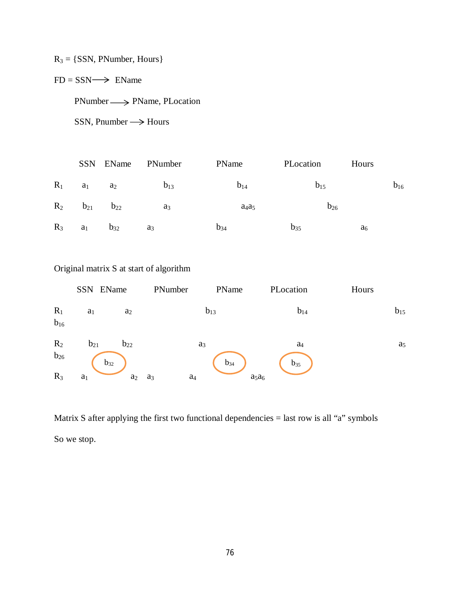## $R_3 = \{SSN, \text{PMumber}, \text{Hours}\}$

## $FD = SSN \longrightarrow EName$

 $PNumber \longrightarrow PName, PLocation$ 

 $SSN$ , Pnumber  $\longrightarrow$  Hours

|       |                | SSN EName | PNumber  | PName    | PLocation | Hours          |          |
|-------|----------------|-----------|----------|----------|-----------|----------------|----------|
| $R_1$ | a <sub>1</sub> | $a_2$     | $b_{13}$ | $b_{14}$ | $b_{15}$  |                | $b_{16}$ |
| $R_2$ | $b_{21}$       | $b_{22}$  | $a_3$    | $a_4a_5$ | $b_{26}$  |                |          |
| $R_3$ | $a_1$          | $b_{32}$  | $a_3$    | $b_{34}$ | $b_{35}$  | a <sub>6</sub> |          |

## Original matrix S at start of algorithm

|                   | SSN EName      |          | PNumber                 | PName    | PLocation      | Hours |                |
|-------------------|----------------|----------|-------------------------|----------|----------------|-------|----------------|
| $R_1$<br>$b_{16}$ | a <sub>1</sub> | $a_2$    |                         | $b_{13}$ | $b_{14}$       |       | $b_{15}$       |
| $R_2$             | $b_{21}$       | $b_{22}$ | a <sub>3</sub>          |          | a <sub>4</sub> |       | $\mathbf{a}_5$ |
| $b_{26}$          | $b_{32}$       |          |                         | $b_{34}$ | $b_{35}$       |       |                |
| $R_3$             | a <sub>1</sub> | $a_2$    | a <sub>4</sub><br>$a_3$ | $a_5a_6$ |                |       |                |

Matrix S after applying the first two functional dependencies = last row is all "a" symbols So we stop.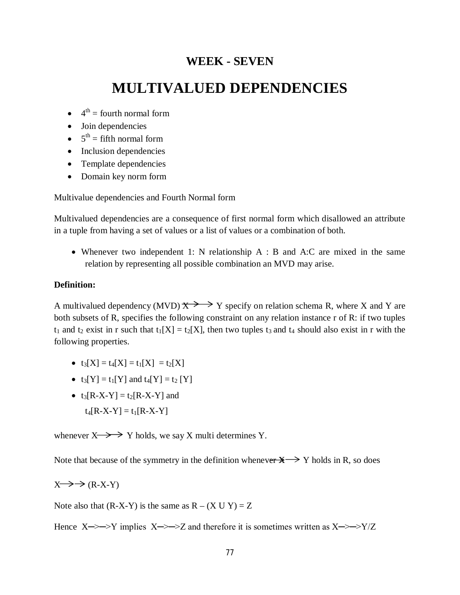## **WEEK - SEVEN**

## **MULTIVALUED DEPENDENCIES**

- $\bullet$  4<sup>th</sup> = fourth normal form
- Join dependencies
- $5^{\text{th}}$  = fifth normal form
- Inclusion dependencies
- Template dependencies
- Domain key norm form

Multivalue dependencies and Fourth Normal form

Multivalued dependencies are a consequence of first normal form which disallowed an attribute in a tuple from having a set of values or a list of values or a combination of both.

 Whenever two independent 1: N relationship A : B and A:C are mixed in the same relation by representing all possible combination an MVD may arise.

#### **Definition:**

A multivalued dependency (MVD)  $\overline{X}$   $\rightarrow$  Y specify on relation schema R, where X and Y are both subsets of R, specifies the following constraint on any relation instance r of R: if two tuples  $t_1$  and  $t_2$  exist in r such that  $t_1[X] = t_2[X]$ , then two tuples  $t_3$  and  $t_4$  should also exist in r with the following properties.

- $t_3[X] = t_4[X] = t_1[X] = t_2[X]$
- $t_3[Y] = t_1[Y]$  and  $t_4[Y] = t_2[Y]$
- $t_3[R-X-Y] = t_2[R-X-Y]$  and  $t_4[R-X-Y] = t_1[R-X-Y]$

whenever  $X \rightarrow Y$  holds, we say X multi determines Y.

Note that because of the symmetry in the definition whenever  $\mathbb{X} \longrightarrow Y$  holds in R, so does

 $X \rightarrow \rightarrow (R-X-Y)$ 

Note also that  $(R-X-Y)$  is the same as  $R - (X \cup Y) = Z$ 

Hence  $X \rightarrow Y$  implies  $X \rightarrow Z$  and therefore it is sometimes written as  $X \rightarrow Y/Z$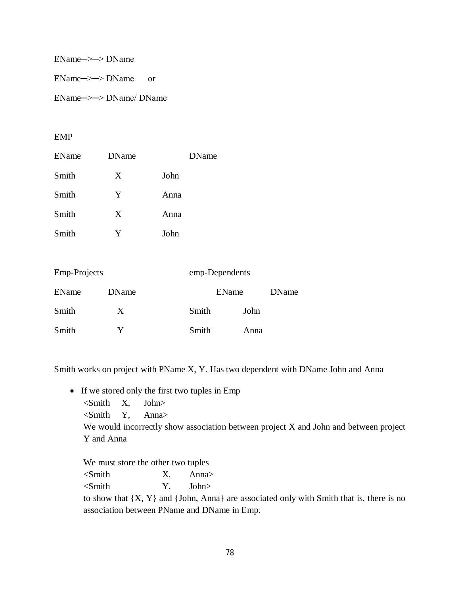EName─>─> DName

EName─>─> DName or

EName─>─> DName/ DName

#### EMP

| EName | <b>DName</b> | <b>DName</b> |
|-------|--------------|--------------|
| Smith | X            | John         |
| Smith | Y            | Anna         |
| Smith | X            | Anna         |
| Smith | Y            | John         |
|       |              |              |

| <b>Emp-Projects</b> |       |       | emp-Dependents |  |  |  |
|---------------------|-------|-------|----------------|--|--|--|
| <b>EName</b>        | DName |       | <b>EName</b>   |  |  |  |
| Smith               | X     | Smith | John           |  |  |  |
| Smith               |       | Smith | Anna           |  |  |  |

Smith works on project with PName X, Y. Has two dependent with DName John and Anna

- If we stored only the first two tuples in Emp
	- $\le$ Smith X, John>

<Smith Y, Anna>

We would incorrectly show association between project X and John and between project Y and Anna

We must store the other two tuples

 $\le$ Smith X, Anna>

<Smith Y, John>

to show that  $\{X, Y\}$  and  $\{John, Anna\}$  are associated only with Smith that is, there is no association between PName and DName in Emp.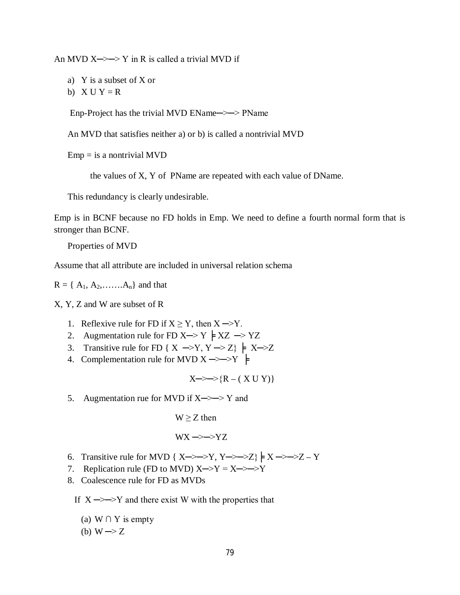An MVD  $X \rightarrow Y$  in R is called a trivial MVD if

a) Y is a subset of X or

b)  $X U Y = R$ 

Enp-Project has the trivial MVD EName->-> PName

An MVD that satisfies neither a) or b) is called a nontrivial MVD

 $Emp = is a nontrivial MVD$ 

the values of X, Y of PName are repeated with each value of DName.

This redundancy is clearly undesirable.

Emp is in BCNF because no FD holds in Emp. We need to define a fourth normal form that is stronger than BCNF.

Properties of MVD

Assume that all attribute are included in universal relation schema

 $R = \{ A_1, A_2, \ldots, A_n \}$  and that

X, Y, Z and W are subset of R

- 1. Reflexive rule for FD if  $X \ge Y$ , then  $X \rightarrow Y$ .
- 2. Augmentation rule for FD X  $\rightarrow$  Y  $\models$  XZ  $\rightarrow$  YZ
- 3. Transitive rule for FD { X  $\rightarrow$  Y, Y  $\rightarrow$  Z}  $\models$  X $\rightarrow$  Z
- 4. Complementation rule for MVD  $X \rightarrow Y$   $\models$

$$
X \rightarrow \rightarrow \{R - (XUY)\}
$$

5. Augmentation rue for MVD if  $X \rightarrow Y$  and

 $W \geq Z$  then

$$
WX \rightarrow YZ
$$

- 6. Transitive rule for MVD {  $X \rightarrow Y$ ,  $Y \rightarrow Z$ }  $\neq X \rightarrow Z Y$
- 7. Replication rule (FD to MVD)  $X \rightarrow Y = X \rightarrow Y$
- 8. Coalescence rule for FD as MVDs

If  $X \rightarrow Y$  and there exist W with the properties that

(a) W  $\cap$  Y is empty

(b)  $W \rightarrow Z$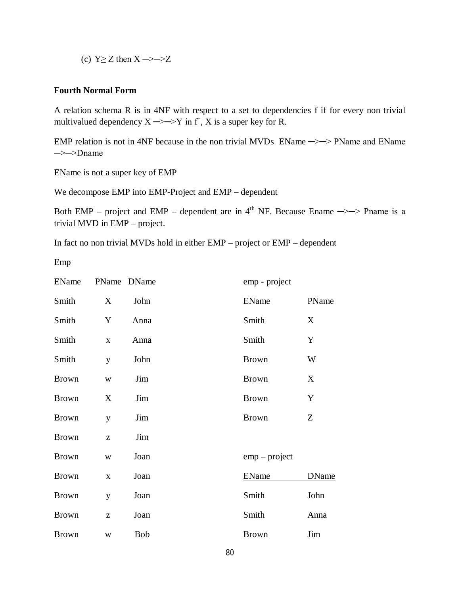(c)  $Y>Z$  then  $X \rightarrow Z$ 

#### **Fourth Normal Form**

A relation schema R is in 4NF with respect to a set to dependencies f if for every non trivial multivalued dependency  $X \rightarrow Y$  in  $f^*$ , X is a super key for R.

EMP relation is not in 4NF because in the non trivial MVDs EName  $\rightarrow$  >> PName and EName ─>─>Dname

EName is not a super key of EMP

We decompose EMP into EMP-Project and EMP – dependent

Both EMP – project and EMP – dependent are in  $4<sup>th</sup>$  NF. Because Ename  $\rightarrow$  > Pname is a trivial MVD in EMP – project.

In fact no non trivial MVDs hold in either EMP – project or EMP – dependent

Emp

| EName        |             | PName DName | emp - project   |              |
|--------------|-------------|-------------|-----------------|--------------|
| Smith        | X           | John        | EName           | PName        |
| Smith        | Y           | Anna        | Smith           | X            |
| Smith        | $\mathbf X$ | Anna        | Smith           | Y            |
| Smith        | y           | John        | <b>Brown</b>    | W            |
| <b>Brown</b> | W           | Jim         | <b>Brown</b>    | X            |
| <b>Brown</b> | X           | Jim         | <b>Brown</b>    | Y            |
| <b>Brown</b> | y           | Jim         | <b>Brown</b>    | Z            |
| <b>Brown</b> | Z           | Jim         |                 |              |
| <b>Brown</b> | W           | Joan        | $emp$ – project |              |
| <b>Brown</b> | $\mathbf X$ | Joan        | <b>EName</b>    | <b>DName</b> |
| <b>Brown</b> | y           | Joan        | Smith           | John         |
| <b>Brown</b> | Z           | Joan        | Smith           | Anna         |
| <b>Brown</b> | W           | <b>Bob</b>  | <b>Brown</b>    | Jim          |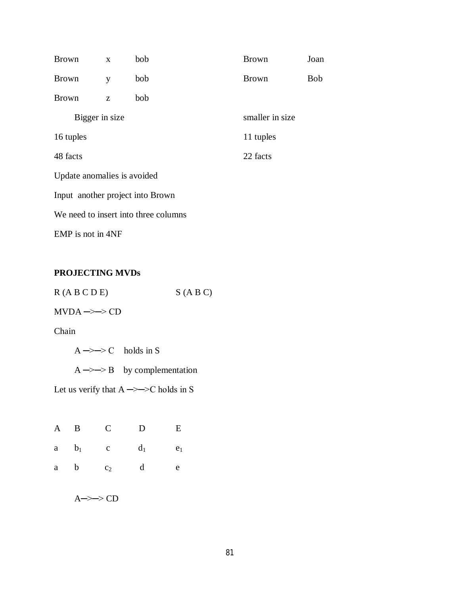| <b>Brown</b>                | $\mathbf{X}$ | bob                                  | <b>Brown</b>    | Joan       |  |
|-----------------------------|--------------|--------------------------------------|-----------------|------------|--|
| <b>Brown</b>                | y            | bob                                  | <b>Brown</b>    | <b>Bob</b> |  |
| <b>Brown</b>                | Z            | bob                                  |                 |            |  |
| Bigger in size              |              |                                      | smaller in size |            |  |
| 16 tuples                   |              |                                      | 11 tuples       |            |  |
| 48 facts                    |              |                                      | 22 facts        |            |  |
| Update anomalies is avoided |              |                                      |                 |            |  |
|                             |              | Input another project into Brown     |                 |            |  |
|                             |              | We need to insert into three columns |                 |            |  |
| EMP is not in 4NF           |              |                                      |                 |            |  |

## **PROJECTING MVDs**

| R(A B C D E) | S(ABC) |
|--------------|--------|
|              |        |

## $MVDA \rightarrow DCD$

Chain

 $A \rightarrow D$  C holds in S

 $A \rightarrow B$  by complementation

Let us verify that  $A \rightarrow \rightarrow C$  holds in S

|     | A B C D |                                | $\mathbf{E}$ |
|-----|---------|--------------------------------|--------------|
|     |         | a $b_1$ c $d_1$ e <sub>1</sub> |              |
| a b | $c_2$ d |                                | e            |

A─>─> CD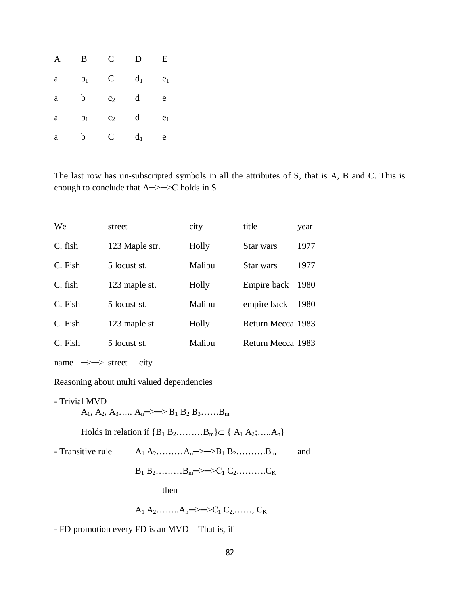| A           | B              | C              | D              | E              |
|-------------|----------------|----------------|----------------|----------------|
| a           | b <sub>1</sub> | $\mathsf{C}$   | d <sub>1</sub> | e <sub>1</sub> |
| a           | b              | c <sub>2</sub> | d              | e              |
| $\mathbf a$ | $b_1$          | c <sub>2</sub> | d              | e <sub>1</sub> |
| a           | b              | $\mathsf{C}$   | $d_1$          | e              |

The last row has un-subscripted symbols in all the attributes of S, that is A, B and C. This is enough to conclude that A─>─>C holds in S

| We                           | street         | city   | title             | year |
|------------------------------|----------------|--------|-------------------|------|
| C. fish                      | 123 Maple str. | Holly  | Star wars         | 1977 |
| C. Fish                      | 5 locust st.   | Malibu | Star wars         | 1977 |
| C. fish                      | 123 maple st.  | Holly  | Empire back       | 1980 |
| C. Fish                      | 5 locust st.   | Malibu | empire back       | 1980 |
| C. Fish                      | 123 maple st   | Holly  | Return Mecca 1983 |      |
| C. Fish                      | 5 locust st.   | Malibu | Return Mecca 1983 |      |
| $\Rightarrow$ street<br>name | city           |        |                   |      |

Reasoning about multi valued dependencies

- Trivial MVD  $A_1, A_2, A_3, \ldots, A_n \rightarrow \rightarrow B_1 B_2 B_3, \ldots, B_m$ Holds in relation if  ${B_1 B_2...........,B_m} \subseteq {A_1 A_2;....A_n}$ - Transitive rule  $A_1 A_2$ ……… $A_n \rightarrow B_1 B_2$ ……… $B_m$  and  $B_1 B_2$ ……… $B_m \rightarrow \rightarrow C_1 C_2$ ………... then A<sub>1</sub> A<sub>2</sub>…….. $A_n \rightarrow \rightarrow C_1 C_2$ ……, C<sub>K</sub>

- FD promotion every FD is an MVD = That is, if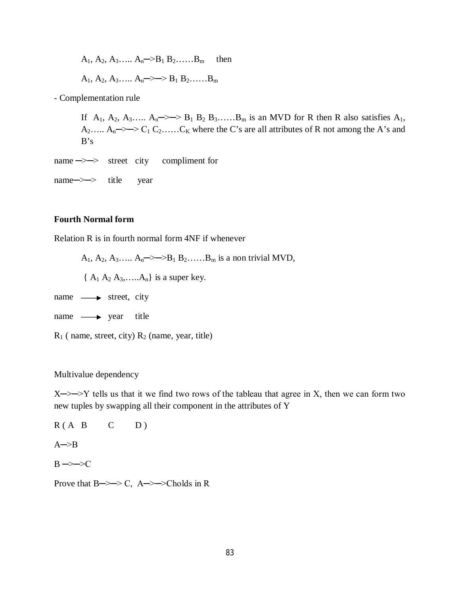A<sub>1</sub>, A<sub>2</sub>, A<sub>3</sub>,..., A<sub>n</sub>—>B<sub>1</sub> B<sub>2</sub>,..., B<sub>m</sub> then  
A<sub>1</sub>, A<sub>2</sub>, A<sub>3</sub>,..., A<sub>n</sub>—> 
$$
\gg
$$
 B<sub>1</sub> B<sub>2</sub>,..., B<sub>m</sub>

- Complementation rule

If  $A_1$ ,  $A_2$ ,  $A_3$ .....  $A_n \rightarrow \rightarrow B_1 B_2 B_3$ ...... $B_m$  is an MVD for R then R also satisfies  $A_1$ , A<sub>2</sub>..... A<sub>n</sub> - > - > C<sub>1</sub> C<sub>2</sub>..... C<sub>K</sub> where the C's are all attributes of R not among the A's and  $B's$ 

name —>  $\rightarrow$  street city compliment for

name—> $\rightarrow$  title year

#### **Fourth Normal form**

Relation R is in fourth normal form 4NF if whenever

A<sub>1</sub>, A<sub>2</sub>, A<sub>3</sub>…… A<sub>n</sub>  $\Rightarrow$   $\Rightarrow$  B<sub>1</sub> B<sub>2</sub>…… B<sub>m</sub> is a non trivial MVD,

 ${A_1 A_2 A_3, \ldots, A_n}$  is a super key.

- name  $\longrightarrow$  street, city
- $name \longrightarrow year$  title
- $R_1$  ( name, street, city)  $R_2$  (name, year, title)

#### Multivalue dependency

 $X \rightarrow Y$  tells us that it we find two rows of the tableau that agree in X, then we can form two new tuples by swapping all their component in the attributes of Y

 $R(A \ B \ C \ D)$  $A \rightarrow B$  $B \rightarrow D$ 

Prove that  $B \rightarrow \rightarrow C$ ,  $A \rightarrow \rightarrow$ Cholds in R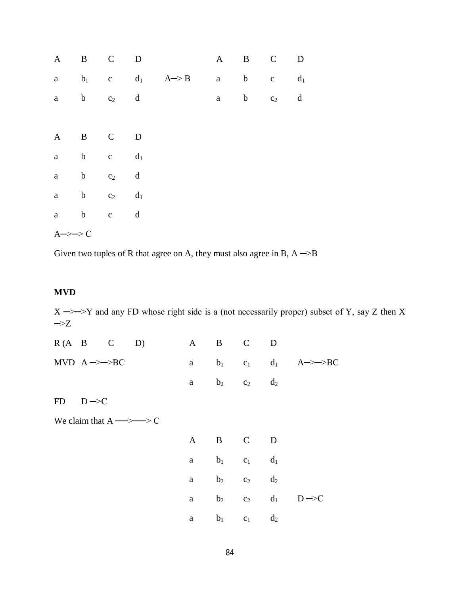| $\mathbf{A}$      | B C D       |             |                |                                         | A B C |         | ${\bf D}$ |
|-------------------|-------------|-------------|----------------|-----------------------------------------|-------|---------|-----------|
|                   |             |             |                | a $b_1$ c $d_1$ $A \rightarrow B$ a b c |       |         | $d_1$     |
|                   | a b $c_2$ d |             |                |                                         | a b   | $c_2$ d |           |
|                   |             |             |                |                                         |       |         |           |
| $\mathbf{A}$      | B C         |             | $\overline{D}$ |                                         |       |         |           |
|                   | a b c $d_1$ |             |                |                                         |       |         |           |
|                   | a b $c_2$ d |             |                |                                         |       |         |           |
|                   | a b $c_2$   |             | $d_1$          |                                         |       |         |           |
|                   | a b c       | $\mathbf d$ |                |                                         |       |         |           |
| $A \rightarrow D$ |             |             |                |                                         |       |         |           |

Given two tuples of R that agree on A, they must also agree in B,  $A \rightarrow B$ 

## **MVD**

 $X \rightarrow Y$  and any FD whose right side is a (not necessarily proper) subset of Y, say Z then X  $\rightarrow$ Z

| $R(A \quad B \quad C \quad D)$                      | A |         | B C D             |             |                                             |
|-----------------------------------------------------|---|---------|-------------------|-------------|---------------------------------------------|
| MVD $A \rightarrow BC$                              | a |         |                   |             | $b_1$ c <sub>1</sub> d <sub>1</sub> A->->BC |
|                                                     | a |         | $b_2$ $c_2$ $d_2$ |             |                                             |
| $FD$ $D \rightarrow C$                              |   |         |                   |             |                                             |
| We claim that $A \longrightarrow \longrightarrow C$ |   |         |                   |             |                                             |
|                                                     |   | A B C D |                   |             |                                             |
|                                                     | a |         | $b_1$ $c_1$ $d_1$ |             |                                             |
|                                                     | a | $b_2$   | $c_2$ $d_2$       |             |                                             |
|                                                     | a | $b_2$   |                   | $c_2$ $d_1$ | $D \rightarrow C$                           |
|                                                     | a | $b_1$   | $c_1$ $d_2$       |             |                                             |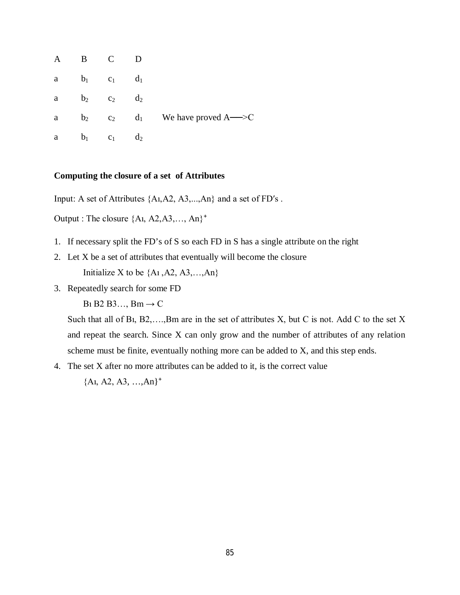| $\mathbf{A}$ | B              |                | D              |                                  |
|--------------|----------------|----------------|----------------|----------------------------------|
| a            | b <sub>1</sub> | c <sub>1</sub> | d <sub>1</sub> |                                  |
| a            | b <sub>2</sub> | C <sub>2</sub> | $d_2$          |                                  |
| a            | b <sub>2</sub> | c <sub>2</sub> | $d_1$          | We have proved $A \rightarrow C$ |
| a            | $b_1$          | c <sub>1</sub> | $d_2$          |                                  |

#### **Computing the closure of a set of Attributes**

Input: A set of Attributes {Aı,A2, A3,...,An} and a set of FDʹs .

Output : The closure  ${A_1, A_2, A_3, \ldots, A_n}^+$ 

- 1. If necessary split the FD's of S so each FD in S has a single attribute on the right
- 2. Let X be a set of attributes that eventually will become the closure Initialize X to be  $\{A_1, A_2, A_3, \ldots, A_n\}$
- 3. Repeatedly search for some FD

B<sub>1</sub> B<sub>2</sub> B<sub>3</sub>..., B<sub>m</sub> $\rightarrow$  C

Such that all of Bı, B2,….,Bm are in the set of attributes X, but C is not. Add C to the set X and repeat the search. Since X can only grow and the number of attributes of any relation scheme must be finite, eventually nothing more can be added to X, and this step ends.

4. The set X after no more attributes can be added to it, is the correct value

 ${A1, A2, A3, ..., An}^+$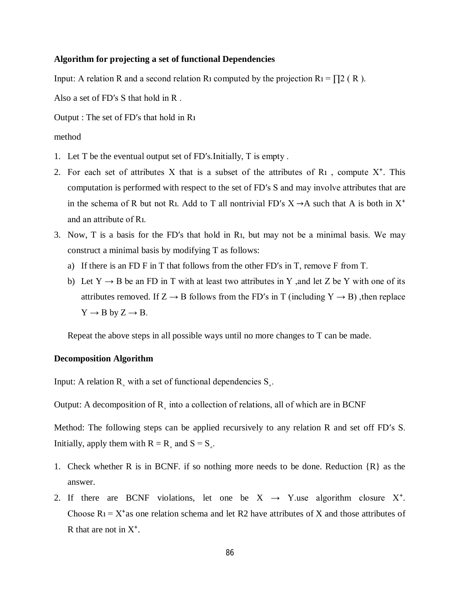#### **Algorithm for projecting a set of functional Dependencies**

Input: A relation R and a second relation R<sub>1</sub> computed by the projection R<sub>1</sub> =  $\prod$ 2 (R).

Also a set of FDʹs S that hold in R .

Output : The set of FDʹs that hold in Rı

#### method

- 1. Let T be the eventual output set of FDʹs.Initially, T is empty .
- 2. For each set of attributes X that is a subset of the attributes of  $R_1$ , compute  $X^+$ . This computation is performed with respect to the set of FDʹs S and may involve attributes that are in the schema of R but not R<sub>1</sub>. Add to T all nontrivial FD's  $X \rightarrow A$  such that A is both in  $X^+$ and an attribute of Rı.
- 3. Now, T is a basis for the FDʹs that hold in Rı, but may not be a minimal basis. We may construct a minimal basis by modifying T as follows:
	- a) If there is an FD F in T that follows from the other FD's in T, remove F from T.
	- b) Let  $Y \rightarrow B$  be an FD in T with at least two attributes in Y , and let Z be Y with one of its attributes removed. If  $Z \rightarrow B$  follows from the FD's in T (including  $Y \rightarrow B$ ), then replace  $Y \rightarrow B$  by  $Z \rightarrow B$ .

Repeat the above steps in all possible ways until no more changes to T can be made.

#### **Decomposition Algorithm**

Input: A relation  $R_{\alpha}$  with a set of functional dependencies  $S_{\alpha}$ .

Output: A decomposition of  $R_{\text{S}}$  into a collection of relations, all of which are in BCNF

Method: The following steps can be applied recursively to any relation R and set off FDʹs S. Initially, apply them with  $R = R_\circ$  and  $S = S_\circ$ .

- 1. Check whether R is in BCNF. if so nothing more needs to be done. Reduction {R} as the answer.
- 2. If there are BCNF violations, let one be  $X \rightarrow Y$  use algorithm closure  $X^+$ . Choose  $R_1 = X^*$ as one relation schema and let R2 have attributes of X and those attributes of R that are not in  $X^*$ .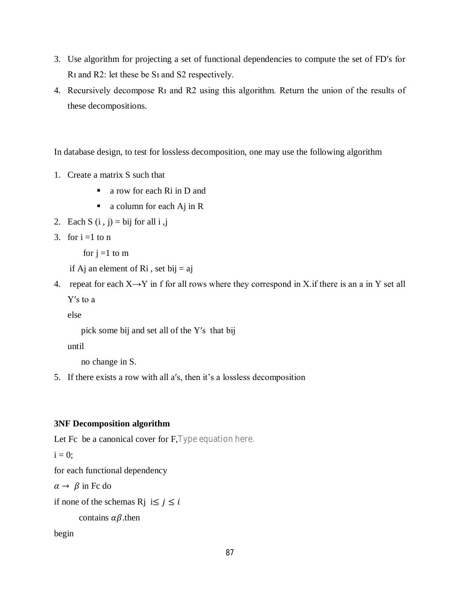- 3. Use algorithm for projecting a set of functional dependencies to compute the set of FDʹs for Rı and R2: let these be Sı and S2 respectively.
- 4. Recursively decompose Rı and R2 using this algorithm. Return the union of the results of these decompositions.

In database design, to test for lossless decomposition, one may use the following algorithm

- 1. Create a matrix S such that
	- a row for each Ri in D and
	- a column for each Aj in R
- 2. Each S  $(i, j) = bij$  for all  $i, j$
- 3. for  $i = 1$  to n

for  $j = 1$  to m

- if Aj an element of Ri, set bij  $=$  aj
- 4. repeat for each  $X \rightarrow Y$  in f for all rows where they correspond in X. if there is an a in Y set all Yʹs to a

else

```
pick some bij and set all of the Yʹs that bij
```
until

```
no change in S.
```
5. If there exists a row with all aʹs, then it's a lossless decomposition

#### **3NF Decomposition algorithm**

```
Let Fc be a canonical cover for F, Type equation here.
```
 $i = 0$ ;

for each functional dependency

 $\alpha \rightarrow \beta$  in Fc do

if none of the schemas R<sub>j</sub> i $\leq i$ 

```
contains \alpha\beta.then
```
begin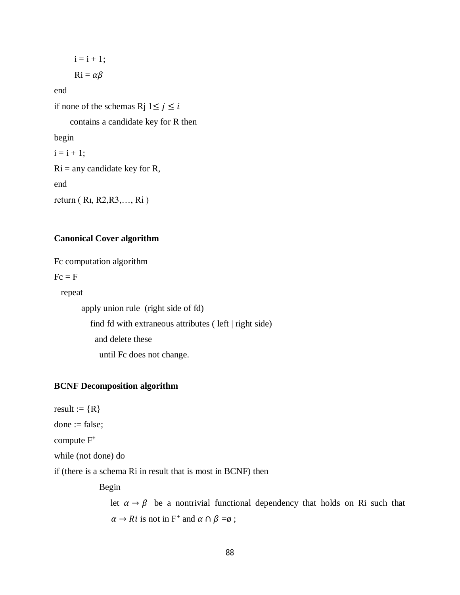$i = i + 1$ ;  $\mathbf{R} \mathbf{i} = \alpha \beta$ 

$$
R_1=\alpha
$$

end

if none of the schemas Rj  $1 \le j \le i$ 

contains a candidate key for R then

begin

 $i = i + 1;$ 

 $Ri =$ any candidate key for R,

end

return ( Rı, R2,R3,…, Ri )

#### **Canonical Cover algorithm**

Fc computation algorithm

 $Fc = F$ 

repeat

 apply union rule (right side of fd) find fd with extraneous attributes ( left | right side) and delete these until Fc does not change.

#### **BCNF Decomposition algorithm**

result :=  ${R}$ 

done := false;

compute  $F^+$ 

while (not done) do

if (there is a schema Ri in result that is most in BCNF) then

Begin

let  $\alpha \rightarrow \beta$  be a nontrivial functional dependency that holds on Ri such that  $\alpha \rightarrow Ri$  is not in F<sup>+</sup> and  $\alpha \cap \beta = \emptyset$ ;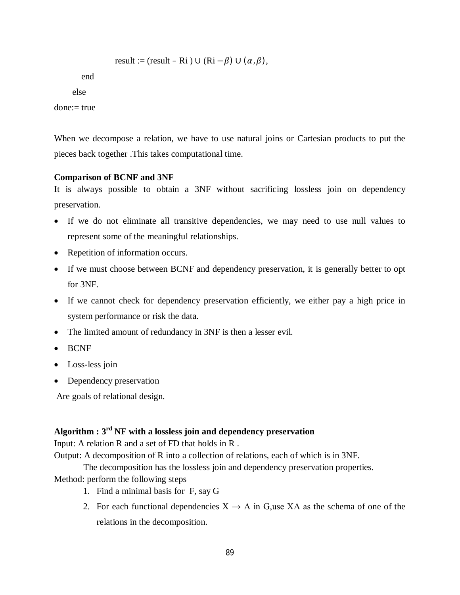result := (result - Ri) 
$$
\cup
$$
 (Ri –  $\beta$ )  $\cup$  ( $\alpha$ ,  $\beta$ ),

end

else

done:= true

When we decompose a relation, we have to use natural joins or Cartesian products to put the pieces back together .This takes computational time.

#### **Comparison of BCNF and 3NF**

It is always possible to obtain a 3NF without sacrificing lossless join on dependency preservation.

- If we do not eliminate all transitive dependencies, we may need to use null values to represent some of the meaningful relationships.
- Repetition of information occurs.
- If we must choose between BCNF and dependency preservation, it is generally better to opt for 3NF.
- If we cannot check for dependency preservation efficiently, we either pay a high price in system performance or risk the data.
- The limited amount of redundancy in 3NF is then a lesser evil.
- BCNF
- Loss-less join
- Dependency preservation

Are goals of relational design.

## **Algorithm : 3rd NF with a lossless join and dependency preservation**

Input: A relation R and a set of FD that holds in R .

Output: A decomposition of R into a collection of relations, each of which is in 3NF.

The decomposition has the lossless join and dependency preservation properties.

Method: perform the following steps

- 1. Find a minimal basis for F, say G
- 2. For each functional dependencies  $X \rightarrow A$  in G,use XA as the schema of one of the relations in the decomposition.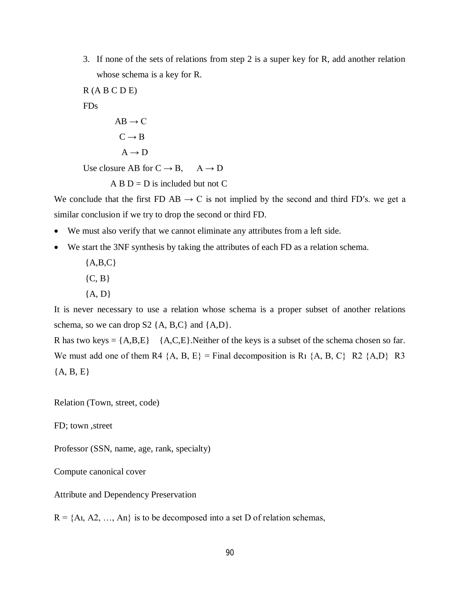3. If none of the sets of relations from step 2 is a super key for R, add another relation whose schema is a key for R.

 $R (A B C D E)$ 

FDs

$$
AB \to C
$$

$$
C \to B
$$

 $A \rightarrow D$ 

Use closure AB for  $C \rightarrow B$ ,  $A \rightarrow D$ 

 $A$  B  $D = D$  is included but not C

We conclude that the first FD AB  $\rightarrow$  C is not implied by the second and third FD's. we get a similar conclusion if we try to drop the second or third FD.

- We must also verify that we cannot eliminate any attributes from a left side.
- We start the 3NF synthesis by taking the attributes of each FD as a relation schema.
	- ${A, B, C}$  ${C, B}$
	- ${A, D}$

It is never necessary to use a relation whose schema is a proper subset of another relations schema, so we can drop  $S2 \{A, B, C\}$  and  $\{A, D\}$ .

R has two keys =  ${A,B,E}$  {A,C,E}. Neither of the keys is a subset of the schema chosen so far. We must add one of them R4  $\{A, B, E\}$  = Final decomposition is R<sub>1</sub>  $\{A, B, C\}$  R<sub>2</sub>  $\{A, D\}$  R<sub>3</sub>  ${A, B, E}$ 

Relation (Town, street, code)

FD; town ,street

Professor (SSN, name, age, rank, specialty)

Compute canonical cover

Attribute and Dependency Preservation

 $R = \{A_1, A_2, \ldots, A_n\}$  is to be decomposed into a set D of relation schemas,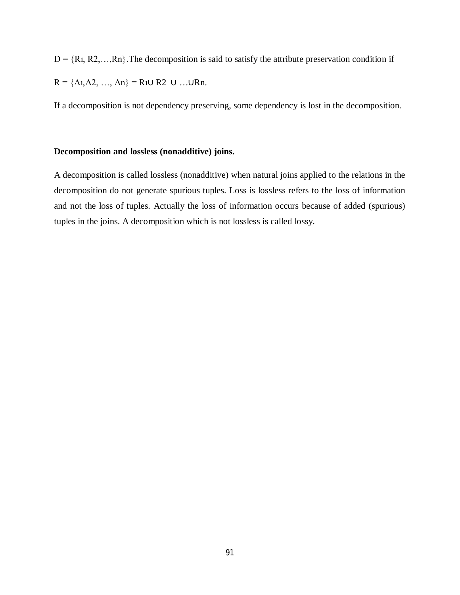$D = {R_1, R_2, \ldots, R_n}$ . The decomposition is said to satisfy the attribute preservation condition if  $R = \{A_1, A_2, ..., A_n\} = R_1 \cup R_2 \cup ... \cup R_n$ .

If a decomposition is not dependency preserving, some dependency is lost in the decomposition.

#### **Decomposition and lossless (nonadditive) joins.**

A decomposition is called lossless (nonadditive) when natural joins applied to the relations in the decomposition do not generate spurious tuples. Loss is lossless refers to the loss of information and not the loss of tuples. Actually the loss of information occurs because of added (spurious) tuples in the joins. A decomposition which is not lossless is called lossy.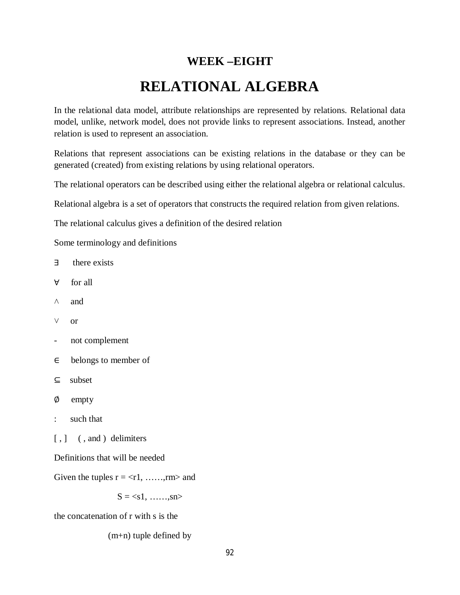# **WEEK –EIGHT RELATIONAL ALGEBRA**

In the relational data model, attribute relationships are represented by relations. Relational data model, unlike, network model, does not provide links to represent associations. Instead, another relation is used to represent an association.

Relations that represent associations can be existing relations in the database or they can be generated (created) from existing relations by using relational operators.

The relational operators can be described using either the relational algebra or relational calculus.

Relational algebra is a set of operators that constructs the required relation from given relations.

The relational calculus gives a definition of the desired relation

Some terminology and definitions

- ∃ there exists
- ∀ for all
- $\wedge$  and
- ˅ or
- not complement
- ∈ belongs to member of
- ⊆ subset
- ∅ empty
- : such that
- [,]  $($ , and ) delimiters

Definitions that will be needed

Given the tuples  $r = \langle r1, \dots, rm \rangle$  and

 $S = \langle s1, \ldots, sn \rangle$ 

the concatenation of r with s is the

(m+n) tuple defined by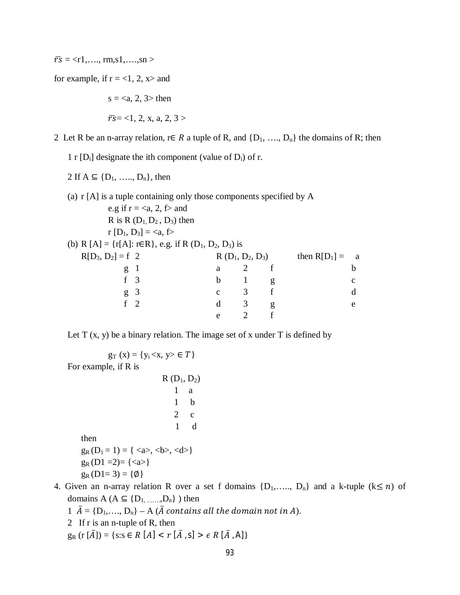$\bar{r}$ s = <r1,...., rm,s1,....,sn >

for example, if  $r = <1$ , 2,  $x>$  and

 $s =$  then  $\overline{rs}$  = <1, 2, x, a, 2, 3 >

2 Let R be an n-array relation, r∈ R a tuple of R, and  $\{D_1, ..., D_n\}$  the domains of R; then

1 r  $[D_i]$  designate the ith component (value of  $D_i$ ) of r.

2 If  $A \subseteq \{D_1, \ldots, D_n\}$ , then

(a) r [A] is a tuple containing only those components specified by A e.g if  $r = \langle a, 2, f \rangle$  and R is R  $(D_1, D_2, D_3)$  then r  $[D_1, D_3] = \langle a, f \rangle$ (b) R [A] = {r[A]: r∈R}, e.g. if R (D<sub>1</sub>, D<sub>2</sub>, D<sub>3</sub>) is  $R[D_3, D_2] = f \t2$   $R(D_1, D_2, D_3)$  then  $R[D_1] = a$ g 1 a 2 f b f 3 b 1 g c g 3 c 3 f d f 2 d 3 g e e 2 f

Let  $T(x, y)$  be a binary relation. The image set of x under  $T$  is defined by

 $g_T(x) = \{y_i < x, y > \in T\}$ For example, if R is  $R(D_1, D_2)$ 1 a 1 b 2 c 1 d then  $g_R(D_1 = 1) = \{ \langle a \rangle, \langle b \rangle, \langle d \rangle \}$  $g_R(D1=2)=\{\langle a\rangle\}$ 

 $g_R(D1=3) = \{\emptyset\}$ 

- 4. Given an n-array relation R over a set f domains  $\{D_1, \ldots, D_n\}$  and a k-tuple  $(k \le n)$  of domains  $A (A \subseteq \{D_1, \ldots, D_n\})$  then
	- 1  $\overline{A} = \{D_1, ..., D_n\} A$  ( $\overline{A}$  contains all the domain not in A).
	- 2 If r is an n-tuple of R, then

 $g_R$  (r  $[\bar{A}]$ ) = {s:s  $\in$  R  $[A]$  < r  $[\bar{A}, S]$  >  $\in$  R  $[\bar{A}, A]$ }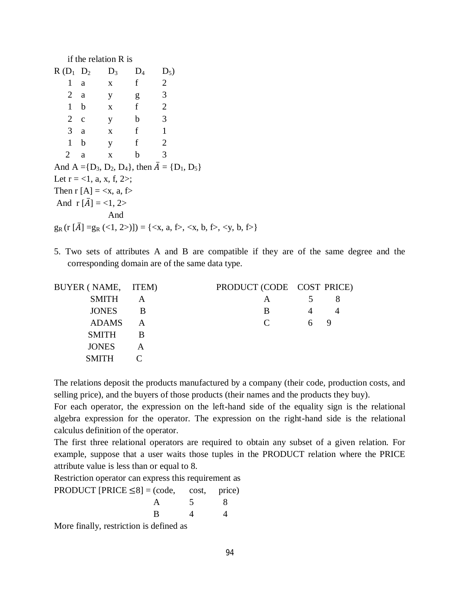if the relation R is

|               | $R(D_1 \ D_2 \ D_3)$                   |              | $D_4$                                    | $D_5$                                                                                                                  |
|---------------|----------------------------------------|--------------|------------------------------------------|------------------------------------------------------------------------------------------------------------------------|
| 1             | a                                      | $\mathbf X$  | f                                        | 2                                                                                                                      |
| $2 \text{ a}$ |                                        | y            | g                                        | 3                                                                                                                      |
| $1$ b         |                                        | $\mathbf{X}$ | f                                        | $\overline{2}$                                                                                                         |
| $2\quad c$    |                                        | $\mathbf{y}$ | $\overline{\phantom{a}}$<br>$\mathbf{b}$ |                                                                                                                        |
| $3 \text{ a}$ |                                        | $x \quad f$  |                                          | $\mathbf{1}$                                                                                                           |
| $1$ b         |                                        | y            | $\mathbf f$                              | 2                                                                                                                      |
| 2             | a                                      | X            | $\mathbf b$                              | 3                                                                                                                      |
|               |                                        |              |                                          | And $A = \{D_3, D_2, D_4\}$ , then $A = \{D_1, D_5\}$                                                                  |
|               | Let $r = <1$ , a, x, f, 2>;            |              |                                          |                                                                                                                        |
|               | Then r [A] = $\langle x, a, f \rangle$ |              |                                          |                                                                                                                        |
|               | And $r[A] = <1, 2>$                    |              |                                          |                                                                                                                        |
|               |                                        | And          |                                          |                                                                                                                        |
|               |                                        |              |                                          | $g_R(r[A] = g_R (\langle 1, 2 \rangle)) = {\langle x, a, f \rangle, \langle x, b, f \rangle, \langle y, b, f \rangle}$ |

5. Two sets of attributes A and B are compatible if they are of the same degree and the corresponding domain are of the same data type.

| BUYER (NAME, ITEM) |   | PRODUCT (CODE COST PRICE)   |   |   |
|--------------------|---|-----------------------------|---|---|
| <b>SMITH</b>       |   | A                           |   |   |
| <b>JONES</b>       |   | B                           |   |   |
| ADAMS              | А | $\mathcal{C}_{\mathcal{C}}$ | 6 | 9 |
| <b>SMITH</b>       |   |                             |   |   |
| <b>JONES</b>       |   |                             |   |   |
| <b>SMITH</b>       |   |                             |   |   |

The relations deposit the products manufactured by a company (their code, production costs, and selling price), and the buyers of those products (their names and the products they buy).

For each operator, the expression on the left-hand side of the equality sign is the relational algebra expression for the operator. The expression on the right-hand side is the relational calculus definition of the operator.

The first three relational operators are required to obtain any subset of a given relation. For example, suppose that a user waits those tuples in the PRODUCT relation where the PRICE attribute value is less than or equal to 8.

Restriction operator can express this requirement as

| PRODUCT [PRICE $\leq 8$ ] = (code, cost, price) |          |  |
|-------------------------------------------------|----------|--|
|                                                 | $\sim$   |  |
|                                                 | $\Delta$ |  |
|                                                 |          |  |

More finally, restriction is defined as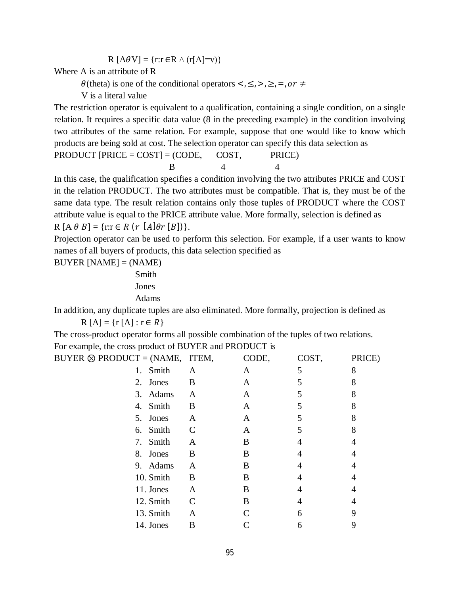$$
R [A\theta V] = \{r:r \in R \land (r[A]=v)\}
$$

Where A is an attribute of R

 $\theta$ (theta) is one of the conditional operators <,  $\leq, \geq, \geq, \geq, \sigma \neq \pm$ 

V is a literal value

The restriction operator is equivalent to a qualification, containing a single condition, on a single relation. It requires a specific data value (8 in the preceding example) in the condition involving two attributes of the same relation. For example, suppose that one would like to know which products are being sold at cost. The selection operator can specify this data selection as

PRODUCT  $|PRICE = COST| = (CODE, COST, PRICE)$ **B** 4 4

In this case, the qualification specifies a condition involving the two attributes PRICE and COST in the relation PRODUCT. The two attributes must be compatible. That is, they must be of the same data type. The result relation contains only those tuples of PRODUCT where the COST attribute value is equal to the PRICE attribute value. More formally, selection is defined as  $R[A \theta B] = \{r:r \in R (r [A] \theta r [B])\}.$ 

Projection operator can be used to perform this selection. For example, if a user wants to know names of all buyers of products, this data selection specified as

 $BUYER [NAME] = (NAME)$ 

Smith Jones Adams

In addition, any duplicate tuples are also eliminated. More formally, projection is defined as

 $R[A] = \{r[A] : r \in R\}$ 

The cross-product operator forms all possible combination of the tuples of two relations. For example, the cross product of BUYER and PRODUCT is

| BUYER $\otimes$ PRODUCT = (NAME, ITEM, |               | CODE, | COST, | PRICE) |
|----------------------------------------|---------------|-------|-------|--------|
| 1. Smith                               | A             | A     | 5     | 8      |
| 2. Jones                               | B             | A     | 5     | 8      |
| 3. Adams                               | A             | A     |       | 8      |
| 4. Smith                               | B             | A     |       | 8      |
| 5. Jones                               | A             | A     |       | 8      |
| 6. Smith                               | $\mathcal{C}$ | A     | 5     | 8      |
| 7. Smith                               | A             | B     |       | 4      |
| 8. Jones                               | B             | B     |       | 4      |
| 9. Adams                               | A             | B     |       |        |
| 10. Smith                              | B             | B     | 4     |        |
| 11. Jones                              | A             | B     | 4     |        |
| 12. Smith                              | C             | B     | 4     |        |
| 13. Smith                              | A             |       | 6     | 9      |
| 14. Jones                              | B             |       | 6     | 9      |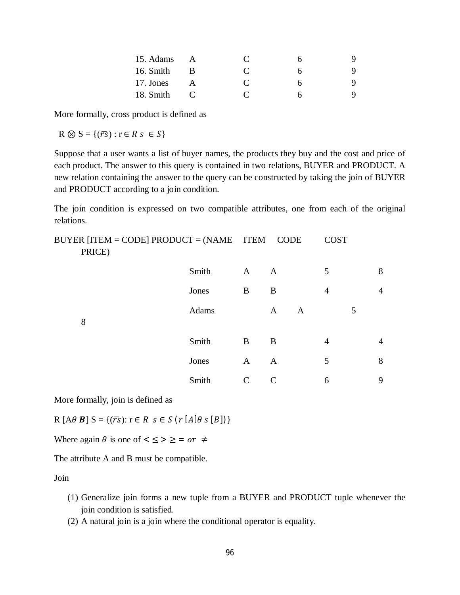| 15. Adams |            |              |  |
|-----------|------------|--------------|--|
| 16. Smith | R          | $\mathbf{C}$ |  |
| 17. Jones |            | $\mathbf{C}$ |  |
| 18. Smith | $\sqrt{2}$ |              |  |

More formally, cross product is defined as

 $R \otimes S = \{(\overline{rs}) : r \in R s \in S\}$ 

Suppose that a user wants a list of buyer names, the products they buy and the cost and price of each product. The answer to this query is contained in two relations, BUYER and PRODUCT. A new relation containing the answer to the query can be constructed by taking the join of BUYER and PRODUCT according to a join condition.

The join condition is expressed on two compatible attributes, one from each of the original relations.

BUYER [ITEM = CODE] PRODUCT = (NAME ITEM CODE COST PRICE)  $Smith \tA \tA \t5 \t8$  $Jones$  B B 4 4 Adams A A 5 8 Smith B B  $4$  4  $Jones$  A A 5 8 Smith C C 6 9

More formally, join is defined as

 $R[A\theta B] S = \{(\overline{rs}) : r \in R \text{ s} \in S \text{ (r } [A]\theta \text{ s } [B])\}$ 

Where again  $\theta$  is one of  $\leq \leq > \geq =$  or  $\neq$ 

The attribute A and B must be compatible.

Join

- (1) Generalize join forms a new tuple from a BUYER and PRODUCT tuple whenever the join condition is satisfied.
- (2) A natural join is a join where the conditional operator is equality.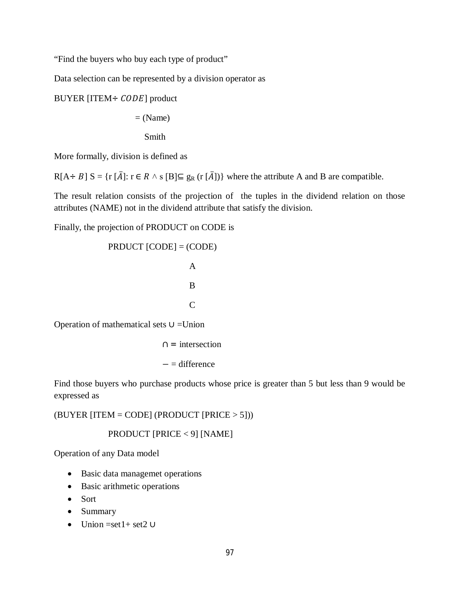"Find the buyers who buy each type of product"

Data selection can be represented by a division operator as

BUYER [ITEM  $\div$  *CODE*] product

 $=$  (Name)

Smith

More formally, division is defined as

 $R[A \div B] S = \{r [\overline{A}]: r \in R \wedge s [B] \subseteq g_R (r [\overline{A}])\}$  where the attribute A and B are compatible.

The result relation consists of the projection of the tuples in the dividend relation on those attributes (NAME) not in the dividend attribute that satisfy the division.

Finally, the projection of PRODUCT on CODE is

PROUCT [CODE] = (CODE)

\nA

\nB

\nC

\nOperation of mathematical sets 
$$
U = Union
$$

 $\cap$  = intersection − = difference

Find those buyers who purchase products whose price is greater than 5 but less than 9 would be expressed as

 $(BUYER | ITEM = CODE | (PRODUCT | PRICE > 5]))$ 

## PRODUCT [PRICE < 9] [NAME]

Operation of any Data model

- Basic data managemet operations
- Basic arithmetic operations
- Sort
- Summary
- Union =set1+ set2 ∪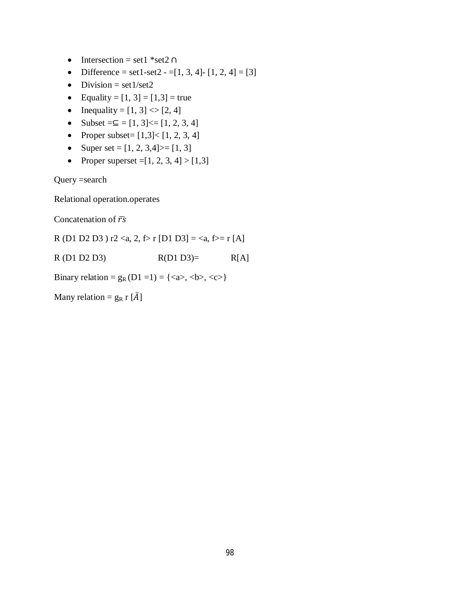- Intersection = set1 \*set2 ∩
- Difference = set1-set2 = [1, 3, 4] [1, 2, 4] = [3]
- $\bullet$  Division = set1/set2
- Equality =  $[1, 3] = [1,3] =$  true
- Inequality =  $[1, 3]$  <  $[2, 4]$
- Subset = $\subseteq$  = [1, 3] < = [1, 2, 3, 4]
- Proper subset=  $[1,3] < [1, 2, 3, 4]$
- Super set =  $[1, 2, 3, 4]$  > =  $[1, 3]$
- Proper superset =  $[1, 2, 3, 4]$  >  $[1,3]$

Query =search

Relational operation.operates

Concatenation of  $\bar{r}$ s

R (D1 D2 D3 ) r2 <a, 2,  $f$  r [D1 D3] = <a,  $f$  = r [A]

 $R(D1 D2 D3)$   $R(D1 D3)=$   $R[A]$ 

Binary relation =  $g_R(D1 = 1) = \{ \langle a \rangle, \langle b \rangle, \langle c \rangle \}$ 

Many relation =  $g_R$  r  $[\bar{A}]$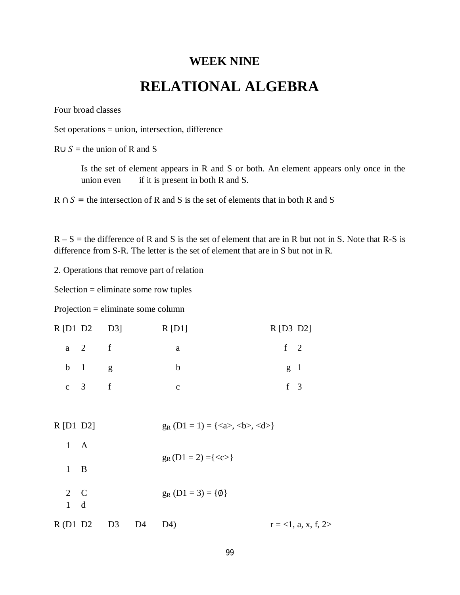## **WEEK NINE RELATIONAL ALGEBRA**

Four broad classes

Set operations = union, intersection, difference

 $R \cup S =$  the union of R and S

Is the set of element appears in R and S or both. An element appears only once in the union even if it is present in both  $R$  and  $S$ .

 $R \cap S$  = the intersection of R and S is the set of elements that in both R and S

 $R - S$  = the difference of R and S is the set of element that are in R but not in S. Note that R-S is difference from S-R. The letter is the set of element that are in S but not in R.

2. Operations that remove part of relation

Selection = eliminate some row tuples

Projection = eliminate some column

|             | R[D1 D2 D3]         |                | R[D1]                            | $R$ [D <sub>3</sub> D <sub>2</sub> ]                                          |
|-------------|---------------------|----------------|----------------------------------|-------------------------------------------------------------------------------|
|             | $a \quad 2 \quad f$ |                | $\mathbf{a}$                     | $f \quad 2$                                                                   |
|             | $b \quad 1 \quad g$ |                | $\mathbf b$                      | g <sub>1</sub>                                                                |
|             | $c \quad 3 \quad f$ |                | $\mathbf{C}$                     | $f \quad 3$                                                                   |
|             |                     |                |                                  |                                                                               |
| $R$ [D1 D2] |                     |                |                                  | $g_R(D1 = 1) = \{ \langle a \rangle, \langle b \rangle, \langle d \rangle \}$ |
|             | $1 \quad A$         |                |                                  |                                                                               |
|             | $1 \quad B$         |                | $g_R(D1 = 2) = \{  \}$           |                                                                               |
|             | $2\quad C$<br>$1$ d |                | $g_R$ (D1 = 3) = { $\emptyset$ } |                                                                               |
|             | R(D1 D2 D3          | D <sub>4</sub> | D4)                              | $r = 1$ , a, x, f, 2>                                                         |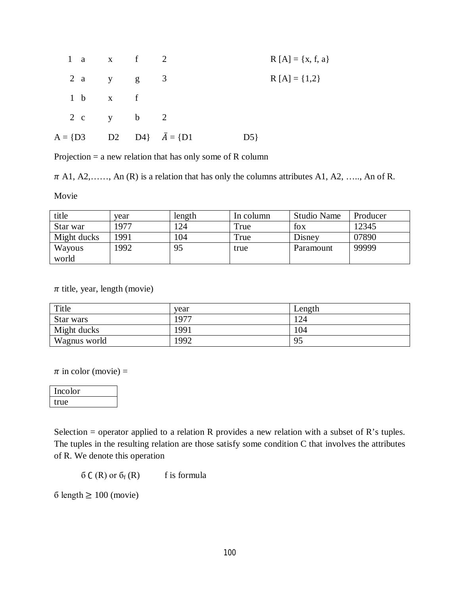| 1 a $x$ f 2   |  |                         |    | $R[A] = \{x, f, a\}$ |
|---------------|--|-------------------------|----|----------------------|
| 2 a $y$ $g$ 3 |  |                         |    | $R[A] = \{1,2\}$     |
| 1 b x f       |  |                         |    |                      |
| 2 c y b 2     |  |                         |    |                      |
| $A = \{D3$    |  | D2 D4} $\bar{A} = \{D1$ | D5 |                      |

Projection = a new relation that has only some of R column

 $\pi$  A1, A2, …, An (R) is a relation that has only the columns attributes A1, A2, …, An of R.

Movie

| title       | vear | length | In column | <b>Studio Name</b> | Producer |
|-------------|------|--------|-----------|--------------------|----------|
| Star war    | 1977 | 124    | True      | fox                | 12345    |
| Might ducks | 1991 | 104    | True      | Disney             | 07890    |
| Wayous      | 1992 | 95     | true      | Paramount          | 99999    |
| world       |      |        |           |                    |          |

 $\pi$  title, year, length (movie)

| Title        | year | Length |
|--------------|------|--------|
| Star wars    | 1977 | 24     |
| Might ducks  | 1991 | 04     |
| Wagnus world | 1992 | 95     |

 $\pi$  in color (movie) =

| Incolor |  |
|---------|--|
| true    |  |

Selection = operator applied to a relation R provides a new relation with a subset of R's tuples. The tuples in the resulting relation are those satisfy some condition C that involves the attributes of R. We denote this operation

 $\delta C(R)$  or  $\delta_f(R)$  f is formula

б length  $\geq 100$  (movie)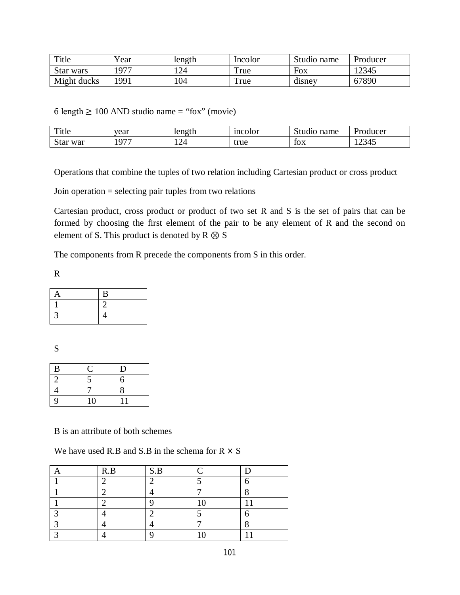| Title       | Year | length | Incolor | Studio name | Producer |
|-------------|------|--------|---------|-------------|----------|
| Star wars   | 1977 | 124    | True    | Fox         | 12345    |
| Might ducks | '991 | 104    | True    | disney      | 67890    |

 $6$  length  $\geq 100$  AND studio name = "fox" (movie)

| m.<br>1 it le | year             | length     | mcolor    | name<br>$+1$<br>. | $\blacksquare$<br>Producer |
|---------------|------------------|------------|-----------|-------------------|----------------------------|
| war<br>Star   | $\cap$<br>◡<br>. | . <i>.</i> | true<br>. | tox               | $\sim$ $\sim$<br>2343.     |

Operations that combine the tuples of two relation including Cartesian product or cross product

Join operation = selecting pair tuples from two relations

Cartesian product, cross product or product of two set R and S is the set of pairs that can be formed by choosing the first element of the pair to be any element of R and the second on element of S. This product is denoted by  $R \otimes S$ 

The components from R precede the components from S in this order.

R

| А | $\bf{B}$ |
|---|----------|
|   |          |
|   | 4        |

S

| $\, {\bf B}$ |    | D |
|--------------|----|---|
| 2            | 5  | 6 |
| 4            |    | 8 |
| 9            | 10 |   |

B is an attribute of both schemes

We have used R.B and S.B in the schema for  $R \times S$ 

|   | R.B | S.B |            |   |
|---|-----|-----|------------|---|
|   |     |     |            |   |
|   |     |     |            |   |
|   |     |     | $\sqrt{ }$ | ٠ |
|   |     |     |            |   |
|   |     |     |            |   |
| ╭ |     |     |            | ٠ |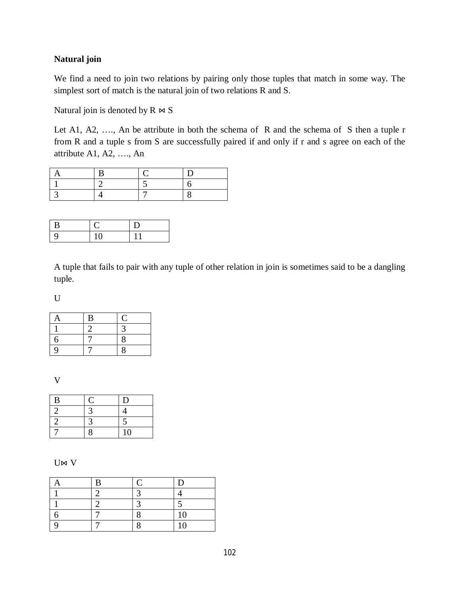## **Natural join**

We find a need to join two relations by pairing only those tuples that match in some way. The simplest sort of match is the natural join of two relations R and S.

Natural join is denoted by  $R \Join S$ 

Let A1, A2, …., An be attribute in both the schema of R and the schema of S then a tuple r from R and a tuple s from S are successfully paired if and only if r and s agree on each of the attribute A1, A2, …., An

| B |    |  |
|---|----|--|
| 9 | 10 |  |

A tuple that fails to pair with any tuple of other relation in join is sometimes said to be a dangling tuple.

U

| A | B              | Ċ |
|---|----------------|---|
|   | $\overline{2}$ |   |
| 6 |                | 8 |
| 9 |                | 8 |

V

| B | U | D              |
|---|---|----------------|
| 2 |   |                |
| 2 |   |                |
|   |   | 1 <sub>0</sub> |

U⊠ V

| B |    |
|---|----|
|   |    |
|   |    |
|   | 10 |
|   | 10 |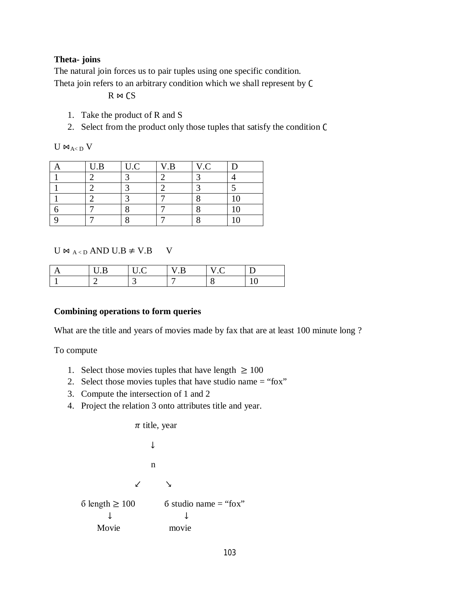#### **Theta- joins**

The natural join forces us to pair tuples using one specific condition. Theta join refers to an arbitrary condition which we shall represent by  $\mathsf C$ 

 $R \bowtie CS$ 

- 1. Take the product of R and S
- 2. Select from the product only those tuples that satisfy the condition  $\mathsf C$

 $U \Join_{A < D} V$ 

| U.B | U.C | V.B | V.C |  |
|-----|-----|-----|-----|--|
|     |     |     |     |  |
|     |     |     |     |  |
|     |     |     |     |  |
|     |     |     |     |  |
|     |     |     |     |  |

## $U \bowtie_{A \leq D} AND U.B \neq V.B$  V

|  | $\overline{\phantom{0}}$ | . . |  |
|--|--------------------------|-----|--|
|  |                          |     |  |

#### **Combining operations to form queries**

What are the title and years of movies made by fax that are at least 100 minute long ?

To compute

- 1. Select those movies tuples that have length  $\geq 100$
- 2. Select those movies tuples that have studio name = "fox"
- 3. Compute the intersection of 1 and 2
- 4. Project the relation 3 onto attributes title and year.

| $\pi$ title, year |                     |
|-------------------|---------------------|
| 1                 | n                   |
| 2                 | 3                   |
| 3                 | 4                   |
| 4                 | 5                   |
| 5                 | length $\geq 100$   |
| 6                 | static name = "fox" |
| 4                 | 4                   |
| Movie             | movie               |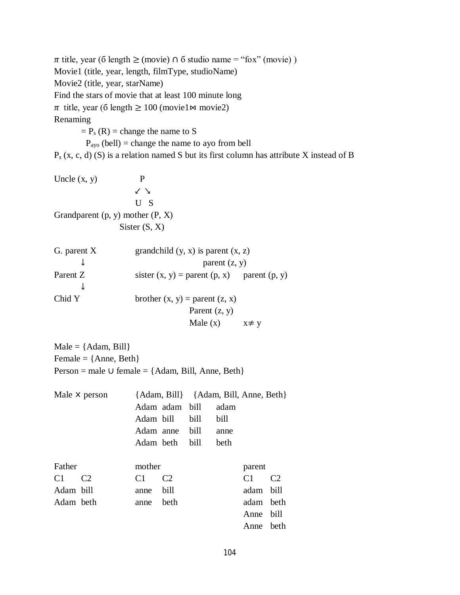$\pi$  title, year (6 length  $\geq$  (movie)  $\cap$  6 studio name = "fox" (movie)) Movie1 (title, year, length, filmType, studioName) Movie2 (title, year, starName) Find the stars of movie that at least 100 minute long  $\pi$  title, year (6 length  $\geq 100$  (movie1  $\bowtie$  movie2) Renaming  $= P_s (R) =$  change the name to S  $P_{\text{ayo}}$  (bell) = change the name to ayo from bell  $P_s$  (x, c, d) (S) is a relation named S but its first column has attribute X instead of B

Uncle  $(x, y)$  P ↙ ↘ U S Grandparent  $(p, y)$  mother  $(P, X)$ Sister (S, X)

| G. parent X |                                                   | grandchild $(y, x)$ is parent $(x, z)$ |  |  |
|-------------|---------------------------------------------------|----------------------------------------|--|--|
|             | parent $(z, y)$                                   |                                        |  |  |
| Parent Z    | sister $(x, y)$ = parent $(p, x)$ parent $(p, y)$ |                                        |  |  |
|             |                                                   |                                        |  |  |
| Chid Y      | brother $(x, y)$ = parent $(z, x)$                |                                        |  |  |
|             | Parent $(z, y)$                                   |                                        |  |  |
|             | Male $(x)$                                        | $x \neq y$                             |  |  |

 $Male = \{Adam, Bill\}$ Female = {Anne, Beth} Person = male ∪ female = {Adam, Bill, Anne, Beth}

|           | Male $\times$ person |                |                | {Adam, Bill} {Adam, Bill, Anne, Beth} |      |                |                |
|-----------|----------------------|----------------|----------------|---------------------------------------|------|----------------|----------------|
|           |                      |                | Adam adam bill |                                       | adam |                |                |
|           |                      | Adam bill      |                | bill                                  | bill |                |                |
|           |                      | Adam anne      |                | bill                                  | anne |                |                |
|           |                      | Adam beth      |                | bill                                  | beth |                |                |
|           |                      |                |                |                                       |      |                |                |
| Father    |                      | mother         |                |                                       |      | parent         |                |
| C1        | C <sub>2</sub>       | C <sub>1</sub> | C <sub>2</sub> |                                       |      | C <sub>1</sub> | C <sub>2</sub> |
| Adam bill |                      | anne           | bill           |                                       |      | adam bill      |                |
| Adam beth |                      | anne           | beth           |                                       |      | adam beth      |                |
|           |                      |                |                |                                       |      | Anne           | bill           |
|           |                      |                |                |                                       |      | Anne           | beth           |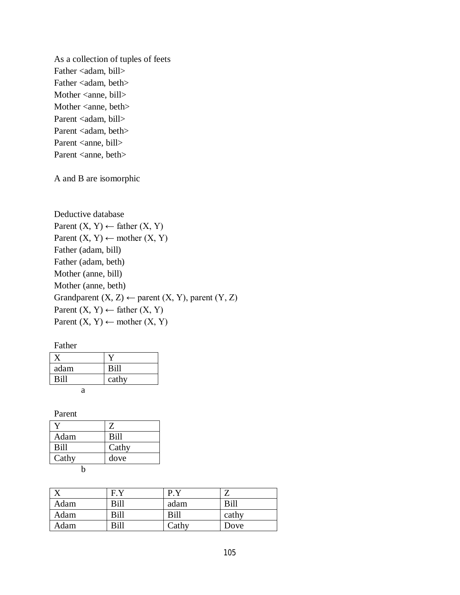As a collection of tuples of feets Father <adam, bill> Father <adam, beth> Mother <anne, bill> Mother <anne, beth> Parent <adam, bill> Parent <adam, beth> Parent <anne, bill> Parent <anne, beth>

A and B are isomorphic

Deductive database Parent  $(X, Y) \leftarrow$  father  $(X, Y)$ Parent  $(X, Y) \leftarrow$  mother  $(X, Y)$ Father (adam, bill) Father (adam, beth) Mother (anne, bill) Mother (anne, beth) Grandparent  $(X, Z) \leftarrow$  parent  $(X, Y)$ , parent  $(Y, Z)$ Parent  $(X, Y) \leftarrow$  father  $(X, Y)$ Parent  $(X, Y) \leftarrow$  mother  $(X, Y)$ 

| adam | Bill  |
|------|-------|
| Bill | cathy |
| я    |       |

Parent

|       | Z     |
|-------|-------|
| Adam  | Bill  |
| Bill  | Cathy |
| Cathy | dove  |
|       |       |

|      | F.Y  | рy    |       |
|------|------|-------|-------|
| Adam | Bill | adam  | Bill  |
| Adam | Bill | Bill  | cathy |
| Adam | Bill | Cathy | Dove  |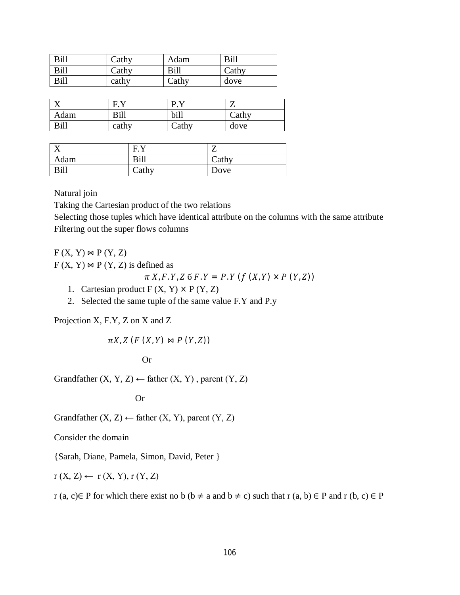| Bill | Cathy | Adam  | Bill  |
|------|-------|-------|-------|
| Bill | Cathy | Bill  | Cathy |
| Bill | cathy | Cathy | dove  |

| $\mathbf{x}$ | EV    | <b>D</b> V |       |
|--------------|-------|------------|-------|
| Adam         | Bill  | bill       | Cathy |
| Bill         | cathy | Cathy      | dove  |

|      | EV          |       |
|------|-------------|-------|
| Adam | <b>Bill</b> | Cathy |
| Bill | Cathy       | Dove  |

Natural join

Taking the Cartesian product of the two relations

Selecting those tuples which have identical attribute on the columns with the same attribute Filtering out the super flows columns

 $F(X, Y) \bowtie P(Y, Z)$ 

 $F(X, Y) \bowtie P(Y, Z)$  is defined as

$$
\pi X, F, Y, Z \in F, Y = P, Y (f (X, Y) \times P (Y, Z))
$$

- 1. Cartesian product  $F(X, Y) \times P(Y, Z)$
- 2. Selected the same tuple of the same value F.Y and P.y

Projection X, F.Y, Z on X and Z

 $\pi X$ , Z (F  $(X, Y) \bowtie P(Y, Z)$ )

**Or** Or

Grandfather  $(X, Y, Z) \leftarrow$  father  $(X, Y)$ , parent  $(Y, Z)$ 

Or

Grandfather  $(X, Z) \leftarrow$  father  $(X, Y)$ , parent  $(Y, Z)$ 

Consider the domain

{Sarah, Diane, Pamela, Simon, David, Peter }

$$
r(X, Z) \leftarrow r(X, Y), r(Y, Z)
$$

r (a, c)∈ P for which there exist no b (b  $\neq$  a and b  $\neq$  c) such that r (a, b) ∈ P and r (b, c) ∈ P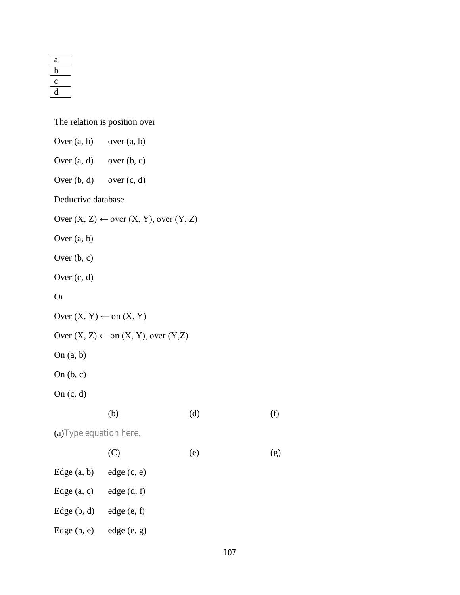| а |  |
|---|--|
|   |  |
|   |  |
|   |  |

The relation is position over

| Over $(a, b)$ over $(a, b)$          |                                                        |     |     |
|--------------------------------------|--------------------------------------------------------|-----|-----|
| Over $(a, d)$ over $(b, c)$          |                                                        |     |     |
| Over $(b, d)$ over $(c, d)$          |                                                        |     |     |
| Deductive database                   |                                                        |     |     |
|                                      | Over $(X, Z) \leftarrow$ over $(X, Y)$ , over $(Y, Z)$ |     |     |
| Over $(a, b)$                        |                                                        |     |     |
| Over $(b, c)$                        |                                                        |     |     |
| Over $(c, d)$                        |                                                        |     |     |
| <b>Or</b>                            |                                                        |     |     |
| Over $(X, Y) \leftarrow$ on $(X, Y)$ |                                                        |     |     |
|                                      | Over $(X, Z) \leftarrow$ on $(X, Y)$ , over $(Y, Z)$   |     |     |
| On $(a, b)$                          |                                                        |     |     |
| On $(b, c)$                          |                                                        |     |     |
| On $(c, d)$                          |                                                        |     |     |
|                                      | (b)                                                    | (d) | (f) |
| (a) Type equation here.              |                                                        |     |     |
|                                      | (C)                                                    | (e) | (g) |
| Edge (a, b)                          | edge (c, e)                                            |     |     |
| Edge $(a, c)$                        | edge (d, f)                                            |     |     |
| Edge $(b, d)$                        | edge (e, f)                                            |     |     |
| Edge $(b, e)$                        | edge (e, g)                                            |     |     |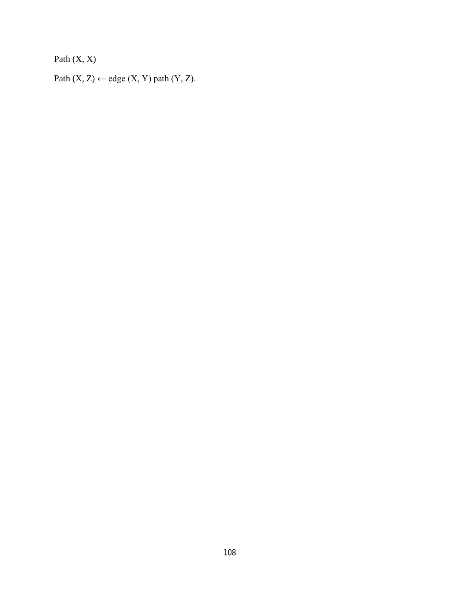Path  $(X, X)$ 

Path  $(X, Z) \leftarrow$  edge  $(X, Y)$  path  $(Y, Z)$ .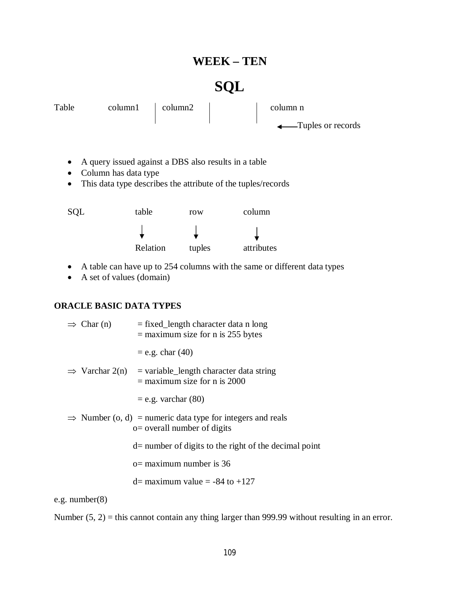# **WEEK – TEN**

# **SQL**

| Table | $\text{column1}$   $\text{column2}$ |  | column n                       |
|-------|-------------------------------------|--|--------------------------------|
|       |                                     |  | $\leftarrow$ Tuples or records |
|       |                                     |  |                                |

- A query issued against a DBS also results in a table
- Column has data type
- This data type describes the attribute of the tuples/records

| SQL | table    | row    | column     |
|-----|----------|--------|------------|
|     |          |        |            |
|     | Relation | tuples | attributes |

- A table can have up to 254 columns with the same or different data types
- A set of values (domain)

# **ORACLE BASIC DATA TYPES**

| $\Rightarrow$ Char (n) | $=$ fixed_length character data n long<br>$=$ maximum size for n is 255 bytes                           |
|------------------------|---------------------------------------------------------------------------------------------------------|
|                        | $=$ e.g. char $(40)$                                                                                    |
|                        | $\implies$ Varchar 2(n) = variable_length character data string<br>$=$ maximum size for n is 2000       |
|                        | $=$ e.g. varchar $(80)$                                                                                 |
|                        | $\Rightarrow$ Number (o, d) = numeric data type for integers and reals<br>$o=$ overall number of digits |
|                        | $d=$ number of digits to the right of the decimal point                                                 |
|                        | $o =$ maximum number is 36                                                                              |
|                        | $d=$ maximum value = -84 to +127                                                                        |
| e.g. $number(8)$       |                                                                                                         |

Number (5, 2) = this cannot contain any thing larger than 999.99 without resulting in an error.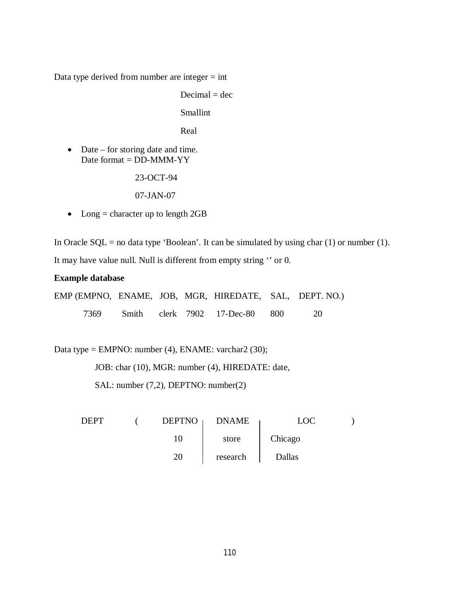Data type derived from number are integer  $=$  int

 $Decimal = dec$ 

Smallint

Real

• Date – for storing date and time. Date format  $=$  DD-MMM-YY

23-OCT-94

07-JAN-07

• Long  $=$  character up to length 2GB

In Oracle  $SQL = no$  data type 'Boolean'. It can be simulated by using char (1) or number (1).

It may have value null. Null is different from empty string '' or 0.

#### **Example database**

EMP (EMPNO, ENAME, JOB, MGR, HIREDATE, SAL, DEPT. NO.) 7369 Smith clerk 7902 17-Dec-80 800 20

Data type = EMPNO: number (4), ENAME: varchar2 (30);

JOB: char (10), MGR: number (4), HIREDATE: date,

SAL: number (7,2), DEPTNO: number(2)

| <b>DEPT</b> | <b>DEPTNO</b> | <b>DNAME</b> | _OC     |  |
|-------------|---------------|--------------|---------|--|
|             | 10            | store        | Chicago |  |
|             | 20            | research     | Dallas  |  |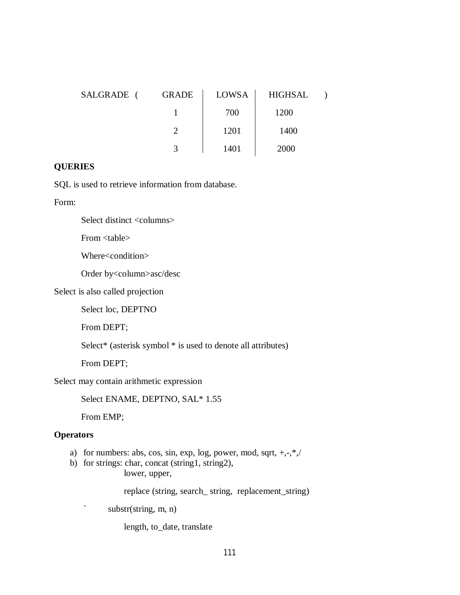| SALGRADE ( | <b>GRADE</b> | LOWSA | <b>HIGHSAL</b> |  |
|------------|--------------|-------|----------------|--|
|            |              | 700   | 1200           |  |
|            |              | 1201  | 1400           |  |
|            |              | 1401  | 2000           |  |

# **QUERIES**

SQL is used to retrieve information from database.

Form:

Select distinct <columns>

From <table>

Where<condition>

Order by<column>asc/desc

Select is also called projection

Select loc, DEPTNO

From DEPT;

Select\* (asterisk symbol \* is used to denote all attributes)

From DEPT;

Select may contain arithmetic expression

Select ENAME, DEPTNO, SAL\* 1.55

From EMP;

# **Operators**

- a) for numbers: abs, cos, sin, exp, log, power, mod, sqrt, +,-,\*,/
- b) for strings: char, concat (string1, string2), lower, upper,

replace (string, search\_ string, replacement\_string)

` substr(string, m, n)

length, to\_date, translate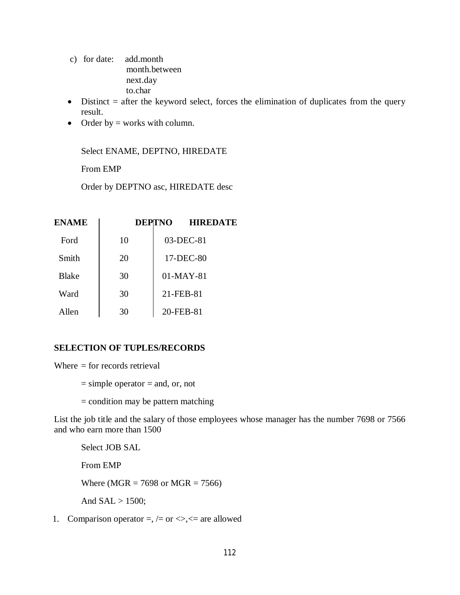- c) for date: add.month month.between next.day to.char
- $\bullet$  Distinct = after the keyword select, forces the elimination of duplicates from the query result.
- Order by  $=$  works with column.

Select ENAME, DEPTNO, HIREDATE

From EMP

Order by DEPTNO asc, HIREDATE desc

| <b>ENAME</b> |    | <b>DEPTNO</b> | <b>HIREDATE</b> |
|--------------|----|---------------|-----------------|
| Ford         | 10 |               | 03-DEC-81       |
| Smith        | 20 |               | 17-DEC-80       |
| Blake        | 30 |               | $01-MAY-81$     |
| Ward         | 30 |               | 21-FEB-81       |
| Allen        | 30 |               | 20-FEB-81       |

# **SELECTION OF TUPLES/RECORDS**

Where  $=$  for records retrieval

- $=$  simple operator  $=$  and, or, not
- $=$  condition may be pattern matching

List the job title and the salary of those employees whose manager has the number 7698 or 7566 and who earn more than 1500

Select JOB SAL From EMP Where (MGR =  $7698$  or MGR =  $7566$ ) And  $SAL > 1500$ ;

1. Comparison operator  $=$ ,  $/=$  or  $\lt$ , $\lt$ = are allowed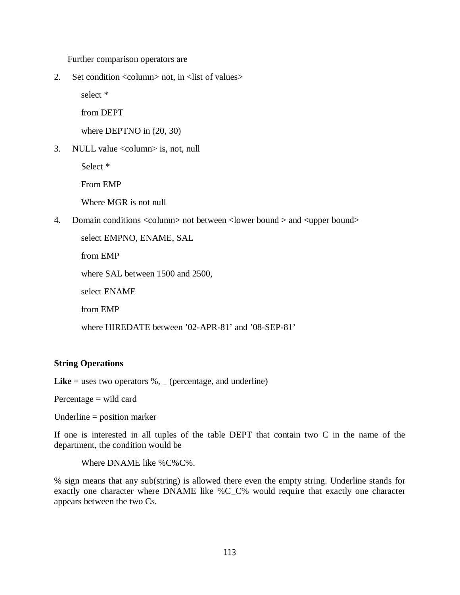Further comparison operators are

2. Set condition <column> not, in <list of values>

select \*

from DEPT

where DEPTNO in  $(20, 30)$ 

3. NULL value <column> is, not, null

Select \*

From EMP

Where MGR is not null

4. Domain conditions <column> not between <lower bound > and <upper bound>

select EMPNO, ENAME, SAL from EMP where SAL between 1500 and 2500, select ENAME from EMP where HIREDATE between '02-APR-81' and '08-SEP-81'

#### **String Operations**

**Like** = uses two operators  $\%$ , (percentage, and underline)

Percentage = wild card

Underline = position marker

If one is interested in all tuples of the table DEPT that contain two C in the name of the department, the condition would be

Where DNAME like %C%C%.

% sign means that any sub(string) is allowed there even the empty string. Underline stands for exactly one character where DNAME like %C\_C% would require that exactly one character appears between the two Cs.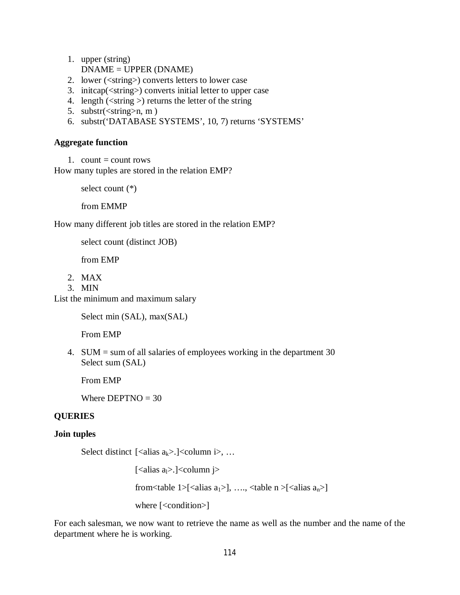- 1. upper (string) DNAME = UPPER (DNAME)
- 2. lower (<string>) converts letters to lower case
- 3. initcap(<string>) converts initial letter to upper case
- 4. length  $(\leq$ tring  $)$  returns the letter of the string
- 5. substr $(\leq$ string>n, m)
- 6. substr('DATABASE SYSTEMS', 10, 7) returns 'SYSTEMS'

#### **Aggregate function**

1. count  $=$  count rows

How many tuples are stored in the relation EMP?

select count (\*)

from EMMP

How many different job titles are stored in the relation EMP?

select count (distinct JOB)

from EMP

- 2. MAX
- 3. MIN

List the minimum and maximum salary

Select min (SAL), max(SAL)

From EMP

4. SUM = sum of all salaries of employees working in the department 30 Select sum (SAL)

From EMP

Where  $DEPTNO = 30$ 

# **QUERIES**

#### **Join tuples**

Select distinct [<alias  $a_k$ >.]<column i>, ...

[<alias  $a<sub>l</sub>$ >.]<column j>

from<table 1>[<alias  $a_1$ >], …., <table  $n$  >[<alias  $a_n$ >]

where [<condition>]

For each salesman, we now want to retrieve the name as well as the number and the name of the department where he is working.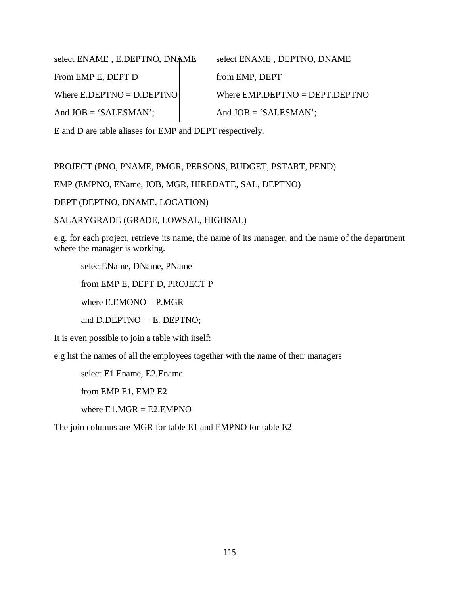select ENAME, E.DEPTNO, DNAME select ENAME, DEPTNO, DNAME From EMP E, DEPT D from EMP, DEPT Where  $E.DEPTNO = D.DEPTNO$  Where  $EMP.DEPTNO = DEPT.DEPTNO$ And  $JOB = 'SALESMAN';$  And  $JOB = 'SALESMAN';$ 

E and D are table aliases for EMP and DEPT respectively.

PROJECT (PNO, PNAME, PMGR, PERSONS, BUDGET, PSTART, PEND)

EMP (EMPNO, EName, JOB, MGR, HIREDATE, SAL, DEPTNO)

DEPT (DEPTNO, DNAME, LOCATION)

SALARYGRADE (GRADE, LOWSAL, HIGHSAL)

e.g. for each project, retrieve its name, the name of its manager, and the name of the department where the manager is working.

selectEName, DName, PName

from EMP E, DEPT D, PROJECT P

where  $E.EMONO = P.MGR$ 

and D.DEPTNO  $=$  E. DEPTNO;

It is even possible to join a table with itself:

e.g list the names of all the employees together with the name of their managers

select E1.Ename, E2.Ename

from EMP E1, EMP E2

where  $E1.MGR = E2.EMPNO$ 

The join columns are MGR for table E1 and EMPNO for table E2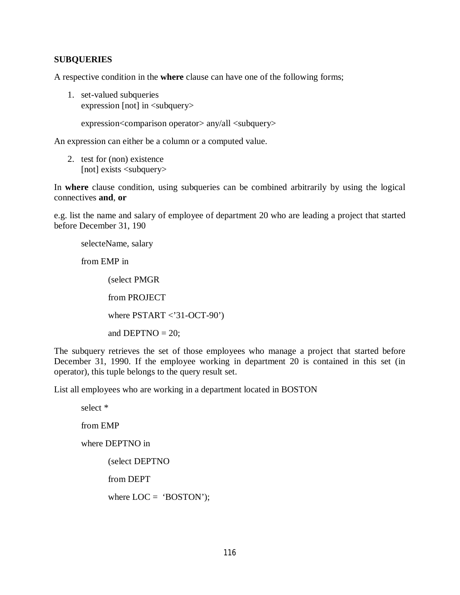#### **SUBQUERIES**

A respective condition in the **where** clause can have one of the following forms;

1. set-valued subqueries expression [not] in <subquery>

expression<comparison operator> any/all <subquery>

An expression can either be a column or a computed value.

2. test for (non) existence [not] exists <subquery>

In **where** clause condition, using subqueries can be combined arbitrarily by using the logical connectives **and**, **or**

e.g. list the name and salary of employee of department 20 who are leading a project that started before December 31, 190

selecteName, salary

from EMP in

(select PMGR from PROJECT

where  $PSTART < 31-OCT-90'$ 

and DEPTNO  $= 20$ ;

The subquery retrieves the set of those employees who manage a project that started before December 31, 1990. If the employee working in department 20 is contained in this set (in operator), this tuple belongs to the query result set.

List all employees who are working in a department located in BOSTON

select \* from EMP where DEPTNO in (select DEPTNO from DEPT where  $LOC = 'BOSTON$ <sup>\*</sup>);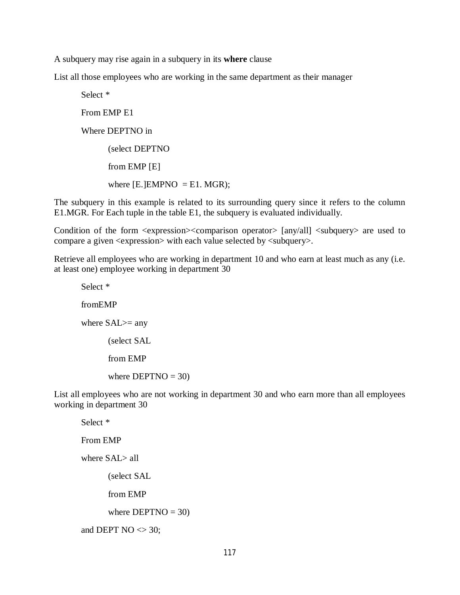A subquery may rise again in a subquery in its **where** clause

List all those employees who are working in the same department as their manager

```
Select * 
From EMP E1
Where DEPTNO in 
      (select DEPTNO
      from EMP [E]
      where [E.]EMPNO = E1. MGR);
```
The subquery in this example is related to its surrounding query since it refers to the column E1.MGR. For Each tuple in the table E1, the subquery is evaluated individually.

Condition of the form <expression><comparison operator> [any/all] <subquery> are used to compare a given  $\langle$  expression $\rangle$  with each value selected by  $\langle$  subquery $\rangle$ .

Retrieve all employees who are working in department 10 and who earn at least much as any (i.e. at least one) employee working in department 30

Select \* fromEMP where SAL>= any (select SAL from EMP where  $DEPTNO = 30$ )

List all employees who are not working in department 30 and who earn more than all employees working in department 30

Select \* From EMP where SAL> all (select SAL from EMP where  $DEPTNO = 30$ ) and DEPT  $NO \ll 30$ ;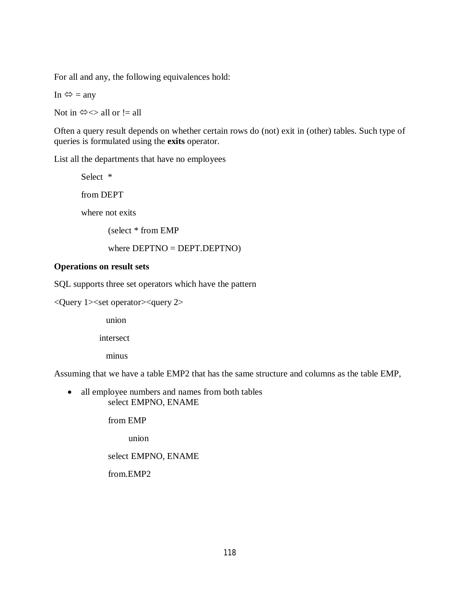For all and any, the following equivalences hold:

In  $\Leftrightarrow$  = any

Not in  $\Leftrightarrow \Leftrightarrow$  all or  $!=$  all

Often a query result depends on whether certain rows do (not) exit in (other) tables. Such type of queries is formulated using the **exits** operator.

List all the departments that have no employees

Select \* from DEPT

where not exits

(select \* from EMP

where DEPTNO = DEPT.DEPTNO)

# **Operations on result sets**

SQL supports three set operators which have the pattern

 $\langle$ Query 1 $\rangle$ set operator $\langle$ query 2 $\rangle$ 

union

intersect

minus

Assuming that we have a table EMP2 that has the same structure and columns as the table EMP,

• all employee numbers and names from both tables select EMPNO, ENAME

from EMP

union

#### select EMPNO, ENAME

from.EMP2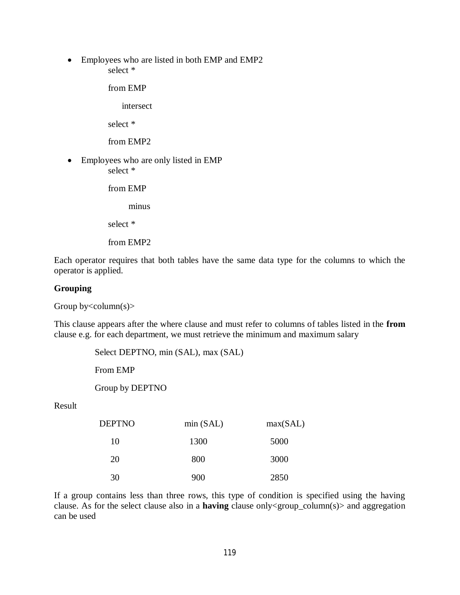Employees who are listed in both EMP and EMP2 select \*

from EMP

intersect

select \*

from EMP2

 Employees who are only listed in EMP select \*

from EMP

minus

select \*

from EMP2

Each operator requires that both tables have the same data type for the columns to which the operator is applied.

# **Grouping**

Group by  $\leq$  column(s)  $>$ 

This clause appears after the where clause and must refer to columns of tables listed in the **from** clause e.g. for each department, we must retrieve the minimum and maximum salary

Select DEPTNO, min (SAL), max (SAL)

From EMP

Group by DEPTNO

Result

| <b>DEPTNO</b> | min(SAL) | max(SAL) |
|---------------|----------|----------|
| 10            | 1300     | 5000     |
| 20            | 800      | 3000     |
| 30            | 900      | 2850     |

If a group contains less than three rows, this type of condition is specified using the having clause. As for the select clause also in a **having** clause only<group\_column(s)> and aggregation can be used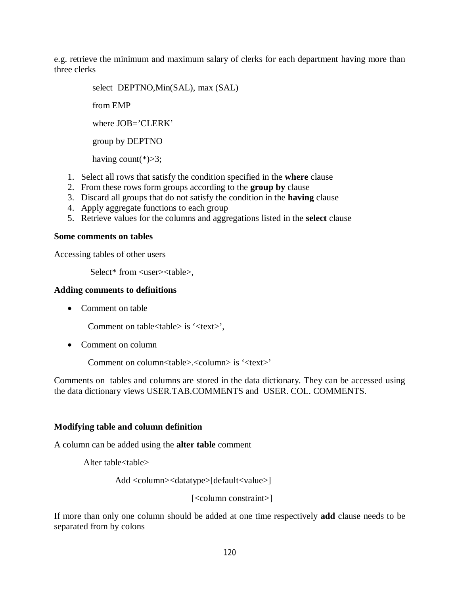e.g. retrieve the minimum and maximum salary of clerks for each department having more than three clerks

> select DEPTNO,Min(SAL), max (SAL) from EMP where  $JOB = CLERK'$  group by DEPTNO having count( $*)>3$ ;

- 1. Select all rows that satisfy the condition specified in the **where** clause
- 2. From these rows form groups according to the **group by** clause
- 3. Discard all groups that do not satisfy the condition in the **having** clause
- 4. Apply aggregate functions to each group
- 5. Retrieve values for the columns and aggregations listed in the **select** clause

#### **Some comments on tables**

Accessing tables of other users

Select\* from <user><table>,

#### **Adding comments to definitions**

• Comment on table

Comment on table<table> is '<text>',

• Comment on column

Comment on column<table>.<column> is '<text>'

Comments on tables and columns are stored in the data dictionary. They can be accessed using the data dictionary views USER.TAB.COMMENTS and USER. COL. COMMENTS.

# **Modifying table and column definition**

A column can be added using the **alter table** comment

Alter table<table>

Add <column><datatype>[default<value>]

[<column constraint>]

If more than only one column should be added at one time respectively **add** clause needs to be separated from by colons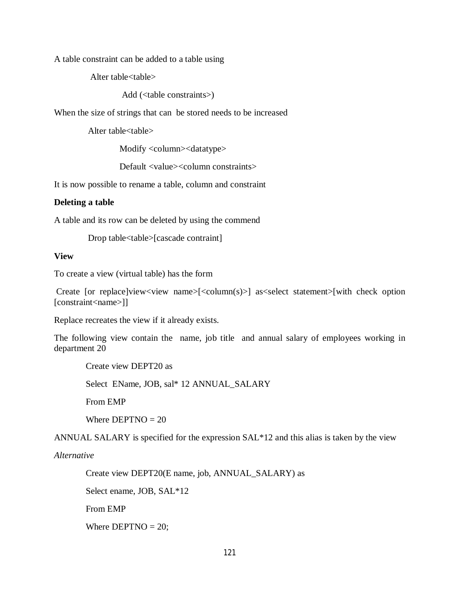A table constraint can be added to a table using

Alter table<table>

Add (<table constraints>)

When the size of strings that can be stored needs to be increased

Alter table<table>

Modify <column><datatype>

Default <value><column constraints>

It is now possible to rename a table, column and constraint

#### **Deleting a table**

A table and its row can be deleted by using the commend

Drop table<table>[cascade contraint]

#### **View**

To create a view (virtual table) has the form

Create [or replace]view<view name> $\leq$ column $(s)$ >] as<select statement>[with check option] [constraint<name>]]

Replace recreates the view if it already exists.

The following view contain the name, job title and annual salary of employees working in department 20

Create view DEPT20 as

Select EName, JOB, sal\* 12 ANNUAL\_SALARY

From EMP

Where  $DEFINO = 20$ 

ANNUAL SALARY is specified for the expression SAL\*12 and this alias is taken by the view

#### *Alternative*

Create view DEPT20(E name, job, ANNUAL\_SALARY) as

Select ename, JOB, SAL\*12

From EMP

Where  $DEFINO = 20$ ;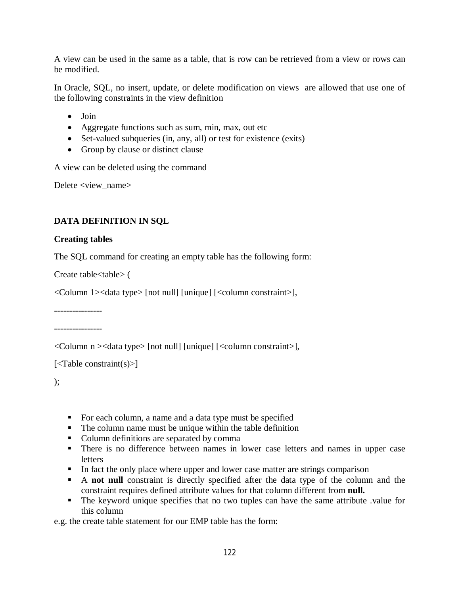A view can be used in the same as a table, that is row can be retrieved from a view or rows can be modified.

In Oracle, SQL, no insert, update, or delete modification on views are allowed that use one of the following constraints in the view definition

- Join
- Aggregate functions such as sum, min, max, out etc
- Set-valued subqueries (in, any, all) or test for existence (exits)
- Group by clause or distinct clause

A view can be deleted using the command

Delete <view\_name>

# **DATA DEFINITION IN SQL**

#### **Creating tables**

The SQL command for creating an empty table has the following form:

Create table<table> (

<Column 1><data type> [not null] [unique] [<column constraint>],

----------------

----------------

<Column n ><data type> [not null] [unique] [<column constraint>],

```
\vert <Table constraint(s)>]
```
);

- For each column, a name and a data type must be specified
- The column name must be unique within the table definition
- Column definitions are separated by comma
- There is no difference between names in lower case letters and names in upper case **letters**
- In fact the only place where upper and lower case matter are strings comparison
- A **not null** constraint is directly specified after the data type of the column and the constraint requires defined attribute values for that column different from **null.**
- The keyword unique specifies that no two tuples can have the same attribute .value for this column

e.g. the create table statement for our EMP table has the form: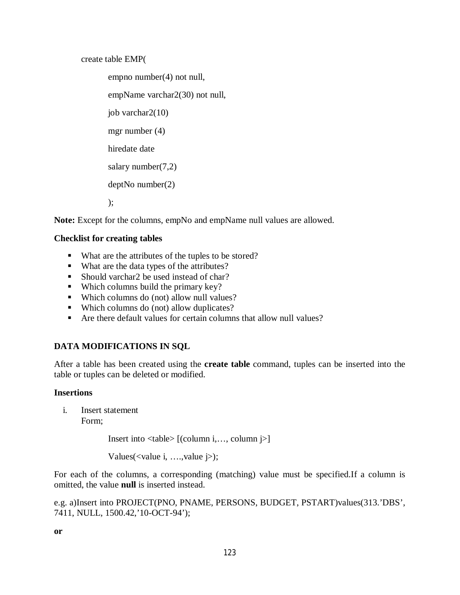create table EMP(

empno number(4) not null, empName varchar2(30) not null, job varchar2(10) mgr number (4) hiredate date salary number(7,2) deptNo number(2) );

Note: Except for the columns, empNo and empName null values are allowed.

# **Checklist for creating tables**

- What are the attributes of the tuples to be stored?
- What are the data types of the attributes?
- Should varchar2 be used instead of char?
- Which columns build the primary key?
- Which columns do (not) allow null values?
- Which columns do (not) allow duplicates?
- Are there default values for certain columns that allow null values?

# **DATA MODIFICATIONS IN SQL**

After a table has been created using the **create table** command, tuples can be inserted into the table or tuples can be deleted or modified.

# **Insertions**

i. Insert statement Form;

Insert into <table> [(column i,…, column j>]

Values(<value i, ….,value j>);

For each of the columns, a corresponding (matching) value must be specified.If a column is omitted, the value **null** is inserted instead.

e.g. a)Insert into PROJECT(PNO, PNAME, PERSONS, BUDGET, PSTART)values(313.'DBS', 7411, NULL, 1500.42,'10-OCT-94');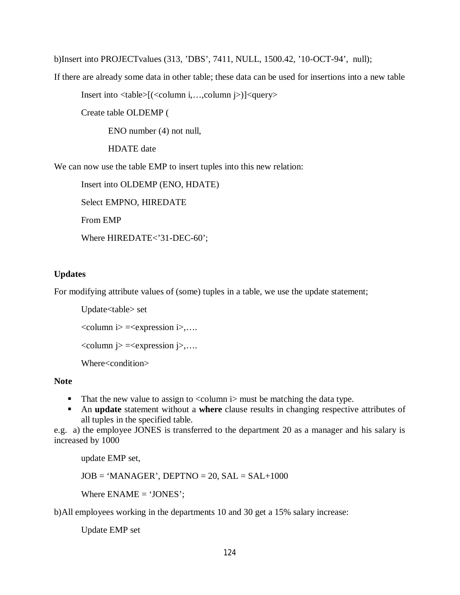b)Insert into PROJECTvalues (313, 'DBS', 7411, NULL, 1500.42, '10-OCT-94', null);

If there are already some data in other table; these data can be used for insertions into a new table

Insert into <table>[(<column i,…,column j>)]<query>

Create table OLDEMP (

ENO number (4) not null,

HDATE date

We can now use the table EMP to insert tuples into this new relation:

Insert into OLDEMP (ENO, HDATE)

Select EMPNO, HIREDATE

From EMP

Where HIREDATE<'31-DEC-60';

#### **Updates**

For modifying attribute values of (some) tuples in a table, we use the update statement;

Update<table> set  $\le$ column i $\ge$  = $\le$ expression i $\ge$ ,...  $\le$ column j>  $=\le$ expression j>,.... Where<condition>

#### **Note**

- That the new value to assign to  $\leq$  column i $>$  must be matching the data type.
- An **update** statement without a **where** clause results in changing respective attributes of all tuples in the specified table.

e.g. a) the employee JONES is transferred to the department 20 as a manager and his salary is increased by 1000

update EMP set,

 $JOB = 'MANAGER'$ ,  $DEPTNO = 20$ ,  $SAL = SAL+1000$ 

Where ENAME = 'JONES';

b)All employees working in the departments 10 and 30 get a 15% salary increase:

Update EMP set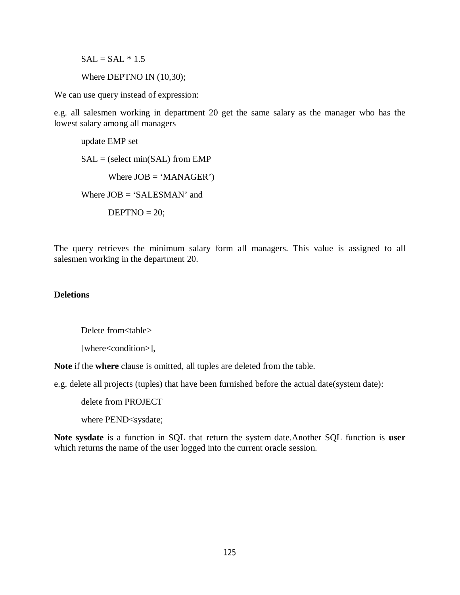$SAL = SAL * 1.5$ 

Where DEPTNO IN (10,30);

We can use query instead of expression:

e.g. all salesmen working in department 20 get the same salary as the manager who has the lowest salary among all managers

update EMP set  $SAL =$  (select min( $SAL$ ) from EMP Where  $JOB = 'MANAGER'$ Where  $JOB = 'SALESMAN'$  and  $DEFINO = 20;$ 

The query retrieves the minimum salary form all managers. This value is assigned to all salesmen working in the department 20.

#### **Deletions**

Delete from<table>

[where<condition>],

**Note** if the **where** clause is omitted, all tuples are deleted from the table.

e.g. delete all projects (tuples) that have been furnished before the actual date(system date):

delete from PROJECT

where PEND<sysdate;

**Note sysdate** is a function in SQL that return the system date.Another SQL function is **user** which returns the name of the user logged into the current oracle session.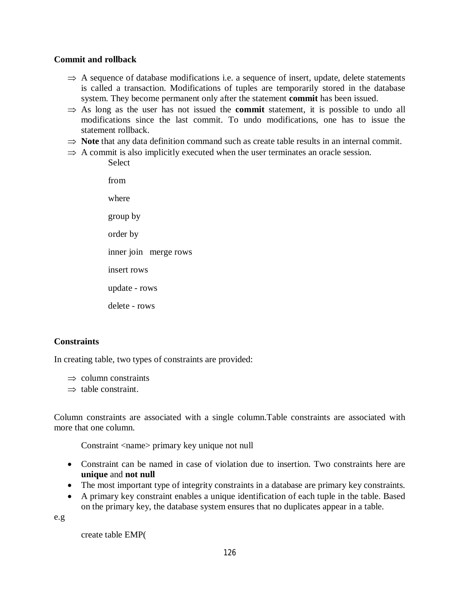# **Commit and rollback**

- $\Rightarrow$  A sequence of database modifications i.e. a sequence of insert, update, delete statements is called a transaction. Modifications of tuples are temporarily stored in the database system. They become permanent only after the statement **commit** has been issued.
- $\Rightarrow$  As long as the user has not issued the **commit** statement, it is possible to undo all modifications since the last commit. To undo modifications, one has to issue the statement rollback.
- $\Rightarrow$  **Note** that any data definition command such as create table results in an internal commit.
- $\Rightarrow$  A commit is also implicitly executed when the user terminates an oracle session. **Select**

from where group by order by inner join merge rows insert rows update - rows delete - rows

# **Constraints**

In creating table, two types of constraints are provided:

 $\Rightarrow$  column constraints

 $\Rightarrow$  table constraint.

Column constraints are associated with a single column.Table constraints are associated with more that one column.

Constraint <name> primary key unique not null

- Constraint can be named in case of violation due to insertion. Two constraints here are **unique** and **not null**
- The most important type of integrity constraints in a database are primary key constraints.
- A primary key constraint enables a unique identification of each tuple in the table. Based on the primary key, the database system ensures that no duplicates appear in a table.

e.g

create table EMP(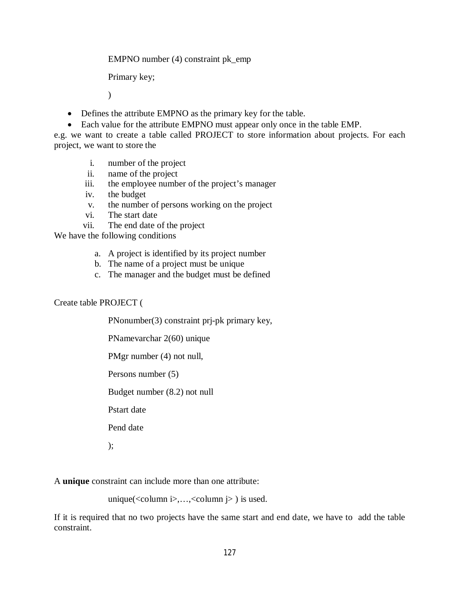EMPNO number (4) constraint pk\_emp

Primary key;

 $\lambda$ 

- Defines the attribute EMPNO as the primary key for the table.
- Each value for the attribute EMPNO must appear only once in the table EMP.

e.g. we want to create a table called PROJECT to store information about projects. For each project, we want to store the

- i. number of the project
- ii. name of the project
- iii. the employee number of the project's manager
- iv. the budget
- v. the number of persons working on the project
- vi. The start date
- vii. The end date of the project

We have the following conditions

- a. A project is identified by its project number
- b. The name of a project must be unique
- c. The manager and the budget must be defined

# Create table PROJECT (

PNonumber(3) constraint prj-pk primary key,

PNamevarchar 2(60) unique

PMgr number (4) not null,

Persons number (5)

Budget number (8.2) not null

Pstart date

Pend date

);

A **unique** constraint can include more than one attribute:

unique( $\langle \text{column } i \rangle, \ldots, \langle \text{column } j \rangle$ ) is used.

If it is required that no two projects have the same start and end date, we have to add the table constraint.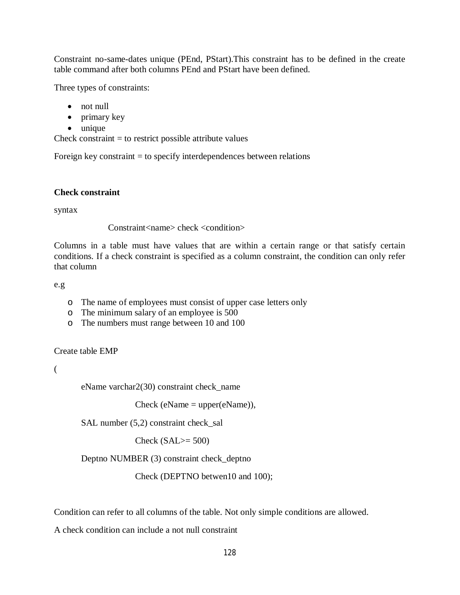Constraint no-same-dates unique (PEnd, PStart).This constraint has to be defined in the create table command after both columns PEnd and PStart have been defined.

Three types of constraints:

- not null
- primary key
- unique

Check constraint  $=$  to restrict possible attribute values

Foreign key constraint  $=$  to specify interdependences between relations

# **Check constraint**

syntax

Constraint<name> check <condition>

Columns in a table must have values that are within a certain range or that satisfy certain conditions. If a check constraint is specified as a column constraint, the condition can only refer that column

e.g

- o The name of employees must consist of upper case letters only
- o The minimum salary of an employee is 500
- o The numbers must range between 10 and 100

Create table EMP

(

eName varchar2(30) constraint check\_name

 $Check (eName = upper(eName)),$ 

SAL number (5,2) constraint check\_sal

Check  $(SAL)=500$ 

Deptno NUMBER (3) constraint check\_deptno

Check (DEPTNO betwen10 and 100);

Condition can refer to all columns of the table. Not only simple conditions are allowed.

A check condition can include a not null constraint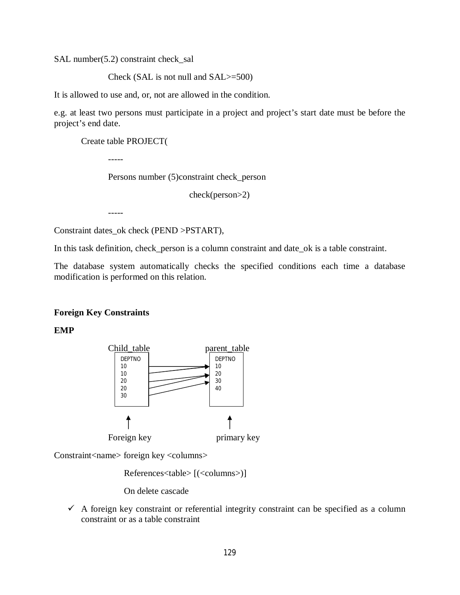SAL number(5.2) constraint check sal

Check (SAL is not null and SAL>=500)

It is allowed to use and, or, not are allowed in the condition.

e.g. at least two persons must participate in a project and project's start date must be before the project's end date.

Create table PROJECT(

-----

Persons number (5)constraint check\_person

check(person>2)

-----

Constraint dates\_ok check (PEND >PSTART),

In this task definition, check\_person is a column constraint and date\_ok is a table constraint.

The database system automatically checks the specified conditions each time a database modification is performed on this relation.

# **Foreign Key Constraints**

**EMP**



Constraint<name> foreign key <columns>

References<table> [(<columns>)]

On delete cascade

 $\checkmark$  A foreign key constraint or referential integrity constraint can be specified as a column constraint or as a table constraint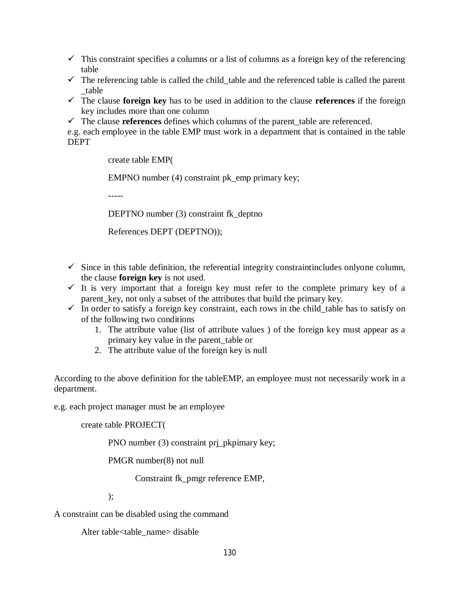$\checkmark$  This constraint specifies a columns or a list of columns as a foreign key of the referencing table

- $\checkmark$  The referencing table is called the child table and the referenced table is called the parent \_table
- The clause **foreign key** has to be used in addition to the clause **references** if the foreign key includes more than one column
- $\checkmark$  The clause **references** defines which columns of the parent table are referenced.

e.g. each employee in the table EMP must work in a department that is contained in the table DEPT

create table EMP(

EMPNO number (4) constraint pk\_emp primary key;

-----

DEPTNO number (3) constraint fk\_deptno

References DEPT (DEPTNO));

- $\checkmark$  Since in this table definition, the referential integrity constraintincludes onlyone column, the clause **foreign key** is not used.
- $\checkmark$  It is very important that a foreign key must refer to the complete primary key of a parent key, not only a subset of the attributes that build the primary key.
- In order to satisfy a foreign key constraint, each rows in the child table has to satisfy on of the following two conditions
	- 1. The attribute value (list of attribute values ) of the foreign key must appear as a primary key value in the parent\_table or
	- 2. The attribute value of the foreign key is null

According to the above definition for the tableEMP, an employee must not necessarily work in a department.

e.g. each project manager must be an employee

create table PROJECT(

PNO number (3) constraint pri\_pkpimary key;

PMGR number(8) not null

Constraint fk\_pmgr reference EMP,

);

A constraint can be disabled using the command

Alter table<table\_name> disable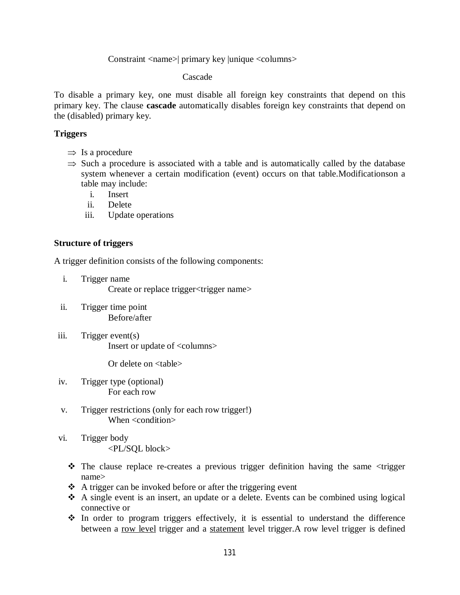#### Constraint <name>| primary key |unique <columns>

Cascade

To disable a primary key, one must disable all foreign key constraints that depend on this primary key. The clause **cascade** automatically disables foreign key constraints that depend on the (disabled) primary key.

# **Triggers**

- $\Rightarrow$  Is a procedure
- $\Rightarrow$  Such a procedure is associated with a table and is automatically called by the database system whenever a certain modification (event) occurs on that table.Modificationson a table may include:
	- i. Insert
	- ii. Delete
	- iii. Update operations

# **Structure of triggers**

A trigger definition consists of the following components:

- i. Trigger name Create or replace trigger<trigger name>
- ii. Trigger time point Before/after
- iii. Trigger event(s) Insert or update of <columns>

Or delete on <table>

- iv. Trigger type (optional) For each row
- v. Trigger restrictions (only for each row trigger!) When <condition>
- vi. Trigger body <PL/SQL block>
	- The clause replace re-creates a previous trigger definition having the same <trigger name>
	- $\triangle$  A trigger can be invoked before or after the triggering event
	- $\triangle$  A single event is an insert, an update or a delete. Events can be combined using logical connective or
	- $\cdot$  In order to program triggers effectively, it is essential to understand the difference between a row level trigger and a statement level trigger.A row level trigger is defined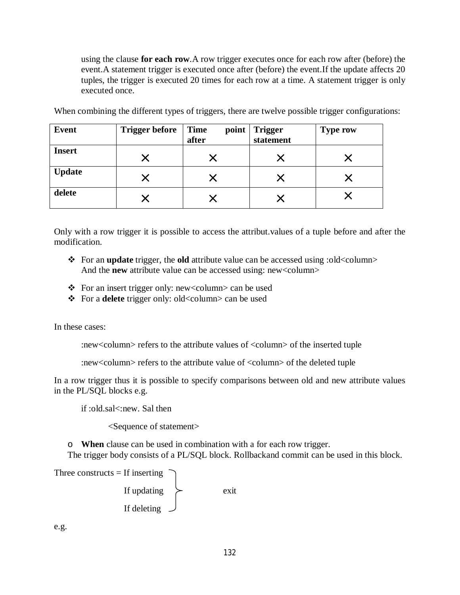using the clause **for each row**.A row trigger executes once for each row after (before) the event.A statement trigger is executed once after (before) the event.If the update affects 20 tuples, the trigger is executed 20 times for each row at a time. A statement trigger is only executed once.

| <b>Event</b>  | <b>Trigger before</b> | <b>Time</b><br>point<br>after | <b>Trigger</b><br>statement | <b>Type row</b> |
|---------------|-----------------------|-------------------------------|-----------------------------|-----------------|
| <b>Insert</b> |                       |                               |                             |                 |
| <b>Update</b> |                       |                               |                             |                 |
| delete        |                       |                               |                             |                 |

When combining the different types of triggers, there are twelve possible trigger configurations:

Only with a row trigger it is possible to access the attribut.values of a tuple before and after the modification.

- \* For an **update** trigger, the **old** attribute value can be accessed using :old<column> And the **new** attribute value can be accessed using: new<column>
- For an insert trigger only: new<column> can be used
- For a **delete** trigger only: old<column> can be used

In these cases:

:new<column> refers to the attribute values of <column> of the inserted tuple

:new<column> refers to the attribute value of <column> of the deleted tuple

In a row trigger thus it is possible to specify comparisons between old and new attribute values in the PL/SQL blocks e.g.

if :old.sal<:new. Sal then

<Sequence of statement>

o **When** clause can be used in combination with a for each row trigger. The trigger body consists of a PL/SQL block. Rollbackand commit can be used in this block.

Three constructs  $=$  If inserting

If updating  $\ge$  exit If deleting

e.g.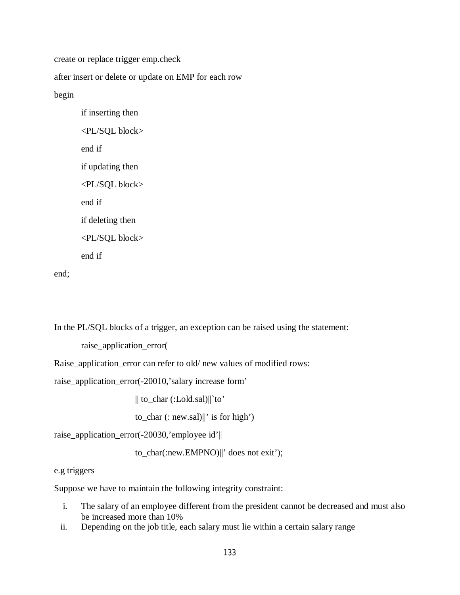create or replace trigger emp.check

after insert or delete or update on EMP for each row

begin

if inserting then <PL/SQL block> end if if updating then <PL/SQL block> end if if deleting then <PL/SQL block> end if

end;

In the PL/SQL blocks of a trigger, an exception can be raised using the statement:

raise\_application\_error(

Raise\_application\_error can refer to old/ new values of modified rows:

raise\_application\_error(-20010,'salary increase form'

|| to\_char (:Lold.sal)||`to'

to\_char (: new.sal)||' is for high')

raise\_application\_error(-20030,'employee id'||

to\_char(:new.EMPNO)||' does not exit');

e.g triggers

Suppose we have to maintain the following integrity constraint:

- i. The salary of an employee different from the president cannot be decreased and must also be increased more than 10%
- ii. Depending on the job title, each salary must lie within a certain salary range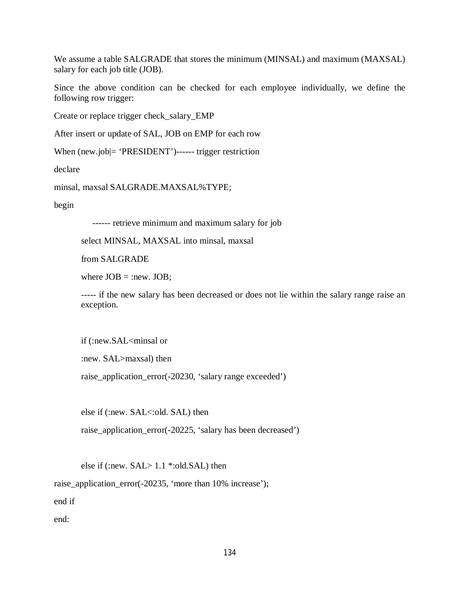We assume a table SALGRADE that stores the minimum (MINSAL) and maximum (MAXSAL) salary for each job title (JOB).

Since the above condition can be checked for each employee individually, we define the following row trigger:

Create or replace trigger check\_salary\_EMP

After insert or update of SAL, JOB on EMP for each row

When (new.job|= 'PRESIDENT')------ trigger restriction

declare

minsal, maxsal SALGRADE.MAXSAL%TYPE;

begin

------ retrieve minimum and maximum salary for job

select MINSAL, MAXSAL into minsal, maxsal

from SALGRADE

where  $JOB =$ :new.  $JOB$ ;

----- if the new salary has been decreased or does not lie within the salary range raise an exception.

if (:new.SAL<minsal or

:new. SAL>maxsal) then

raise\_application\_error(-20230, 'salary range exceeded')

else if (:new. SAL<:old. SAL) then

raise\_application\_error(-20225, 'salary has been decreased')

else if (:new. SAL> 1.1 \*:old.SAL) then

raise\_application\_error(-20235, 'more than 10% increase');

end if

end: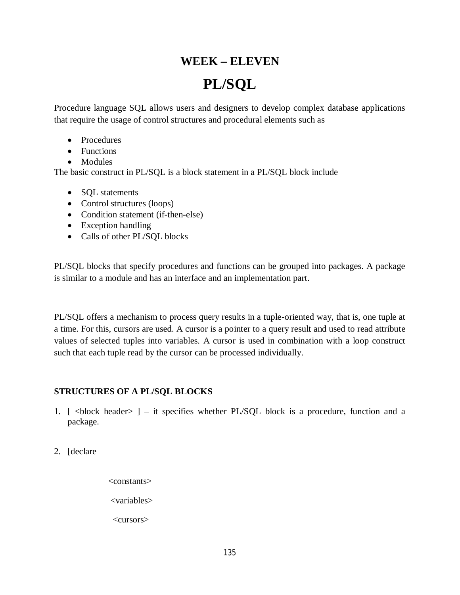# **WEEK – ELEVEN PL/SQL**

Procedure language SQL allows users and designers to develop complex database applications that require the usage of control structures and procedural elements such as

- Procedures
- Functions
- Modules

The basic construct in PL/SQL is a block statement in a PL/SQL block include

- SQL statements
- Control structures (loops)
- Condition statement (if-then-else)
- Exception handling
- Calls of other PL/SQL blocks

PL/SQL blocks that specify procedures and functions can be grouped into packages. A package is similar to a module and has an interface and an implementation part.

PL/SQL offers a mechanism to process query results in a tuple-oriented way, that is, one tuple at a time. For this, cursors are used. A cursor is a pointer to a query result and used to read attribute values of selected tuples into variables. A cursor is used in combination with a loop construct such that each tuple read by the cursor can be processed individually.

# **STRUCTURES OF A PL/SQL BLOCKS**

- 1.  $\lceil$  <br/>block header>  $\rceil$  it specifies whether PL/SQL block is a procedure, function and a package.
- 2. [declare
- <constants> <variables>

<cursors>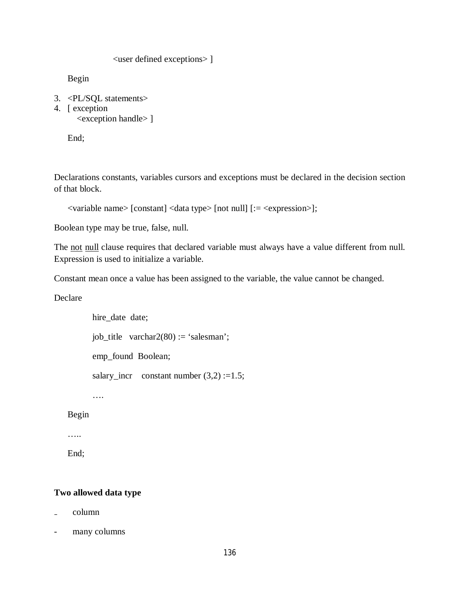<user defined exceptions> ]

Begin

- 3. <PL/SQL statements>
- 4. [ exception <exception handle> ]

End;

Declarations constants, variables cursors and exceptions must be declared in the decision section of that block.

```
<variable name> [constant] <data type> [not null] [:= <expression>];
```
Boolean type may be true, false, null.

The not null clause requires that declared variable must always have a value different from null. Expression is used to initialize a variable.

Constant mean once a value has been assigned to the variable, the value cannot be changed.

Declare

 hire\_date date; job\_title varchar2(80) := 'salesman'; emp\_found Boolean; salary\_incr constant number  $(3,2) := 1.5$ ;

….

Begin

…..

End;

#### **Two allowed data type**

- ₋ column
- many columns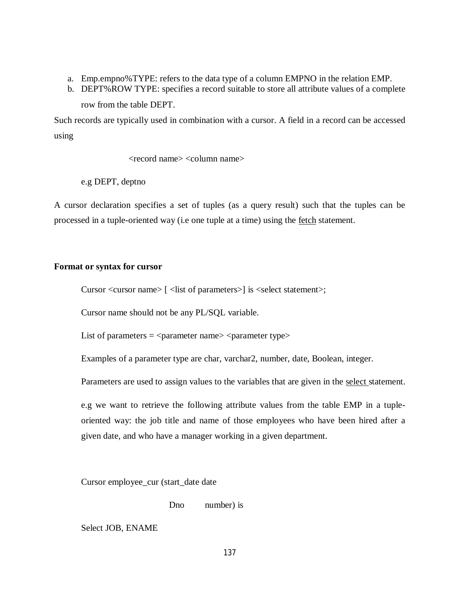- a. Emp.empno%TYPE: refers to the data type of a column EMPNO in the relation EMP.
- b. DEPT%ROW TYPE: specifies a record suitable to store all attribute values of a complete row from the table DEPT.

Such records are typically used in combination with a cursor. A field in a record can be accessed using

<record name> <column name>

e.g DEPT, deptno

A cursor declaration specifies a set of tuples (as a query result) such that the tuples can be processed in a tuple-oriented way (i.e one tuple at a time) using the fetch statement.

# **Format or syntax for cursor**

Cursor <cursor name> [ <list of parameters>] is <select statement>;

Cursor name should not be any PL/SQL variable.

List of parameters  $=$   $\langle$  parameter name $\rangle$   $\langle$  parameter type $\rangle$ 

Examples of a parameter type are char, varchar2, number, date, Boolean, integer.

Parameters are used to assign values to the variables that are given in the select statement.

e.g we want to retrieve the following attribute values from the table EMP in a tupleoriented way: the job title and name of those employees who have been hired after a given date, and who have a manager working in a given department.

Cursor employee\_cur (start\_date date

Dno number) is

Select JOB, ENAME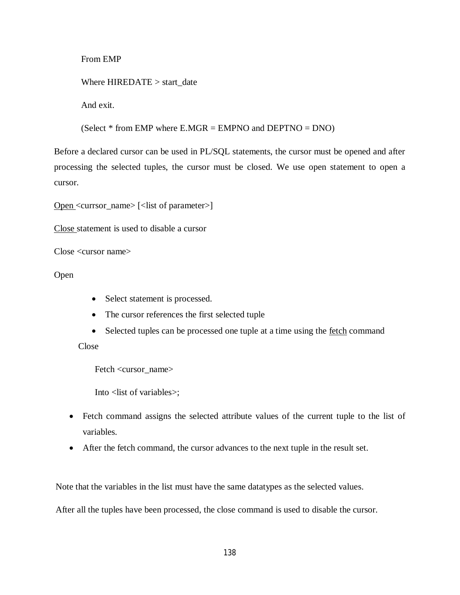From EMP

Where HIREDATE > start\_date

And exit.

(Select  $*$  from EMP where E.MGR = EMPNO and DEPTNO = DNO)

Before a declared cursor can be used in PL/SQL statements, the cursor must be opened and after processing the selected tuples, the cursor must be closed. We use open statement to open a cursor.

Open <currsor\_name> [<list of parameter>]

Close statement is used to disable a cursor

Close <cursor name>

Open

- Select statement is processed.
- The cursor references the first selected tuple
- Selected tuples can be processed one tuple at a time using the <u>fetch</u> command

Close

Fetch <cursor\_name>

Into <list of variables>;

- Fetch command assigns the selected attribute values of the current tuple to the list of variables.
- After the fetch command, the cursor advances to the next tuple in the result set.

Note that the variables in the list must have the same datatypes as the selected values.

After all the tuples have been processed, the close command is used to disable the cursor.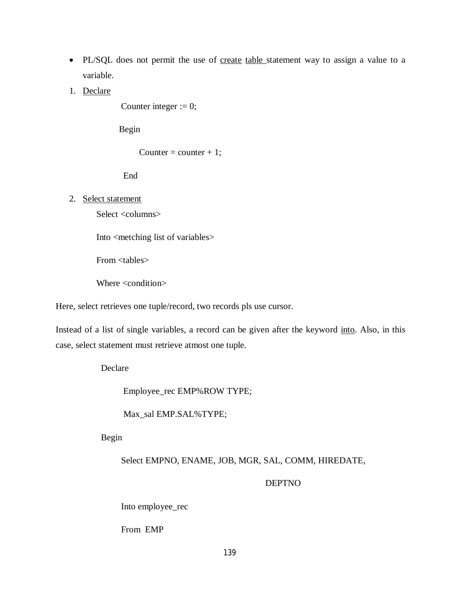- PL/SQL does not permit the use of create table statement way to assign a value to a variable.
- 1. Declare

Counter integer  $:= 0$ ;

Begin

Counter = counter + 1;

End

2. Select statement

Select <columns>

Into <metching list of variables>

From <tables>

Where <condition>

Here, select retrieves one tuple/record, two records pls use cursor.

Instead of a list of single variables, a record can be given after the keyword into. Also, in this case, select statement must retrieve atmost one tuple.

Declare

Employee\_rec EMP%ROW TYPE;

Max\_sal EMP.SAL%TYPE;

Begin

Select EMPNO, ENAME, JOB, MGR, SAL, COMM, HIREDATE,

DEPTNO

Into employee\_rec

From EMP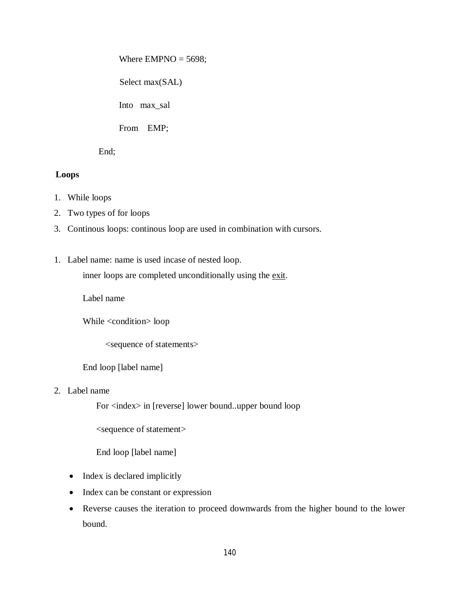Where  $EMPNO = 5698$ ;

Select max(SAL)

Into max\_sal

From EMP;

End;

# **Loops**

- 1. While loops
- 2. Two types of for loops
- 3. Continous loops: continous loop are used in combination with cursors.
- 1. Label name: name is used incase of nested loop.

inner loops are completed unconditionally using the exit.

Label name

While <condition> loop

<sequence of statements>

End loop [label name]

2. Label name

For <index> in [reverse] lower bound..upper bound loop

<sequence of statement>

End loop [label name]

- Index is declared implicitly
- Index can be constant or expression
- Reverse causes the iteration to proceed downwards from the higher bound to the lower bound.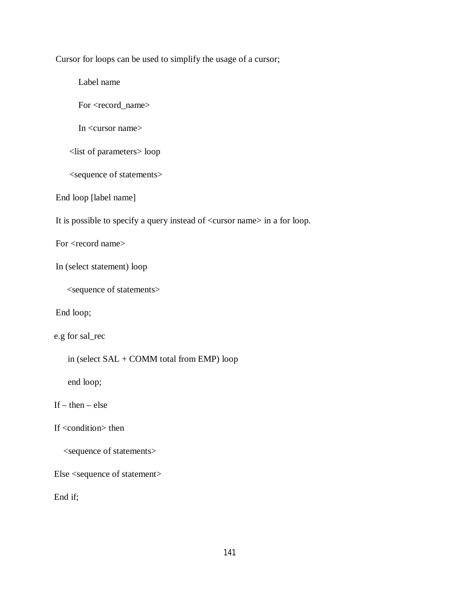Cursor for loops can be used to simplify the usage of a cursor;

Label name

For <record\_name>

In <cursor name>

<list of parameters> loop

<sequence of statements>

End loop [label name]

It is possible to specify a query instead of <cursor name> in a for loop.

For <record name>

In (select statement) loop

<sequence of statements>

End loop;

e.g for sal\_rec

in (select SAL + COMM total from EMP) loop

end loop;

If  $-$  then  $-$  else

If <condition> then

<sequence of statements>

Else <sequence of statement>

End if;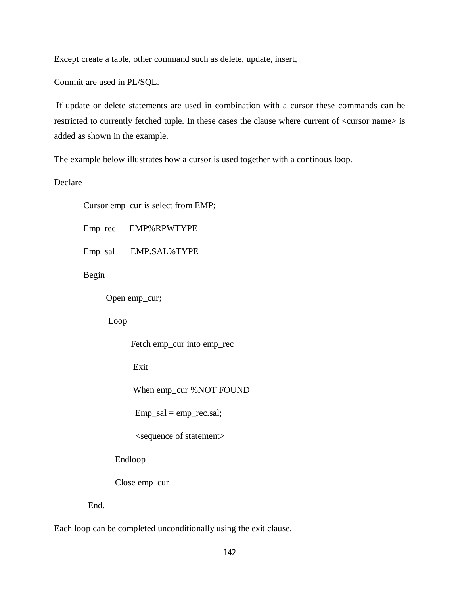Except create a table, other command such as delete, update, insert,

Commit are used in PL/SQL.

If update or delete statements are used in combination with a cursor these commands can be restricted to currently fetched tuple. In these cases the clause where current of <cursor name> is added as shown in the example.

The example below illustrates how a cursor is used together with a continous loop.

Declare

Cursor emp\_cur is select from EMP;

Emp\_rec EMP%RPWTYPE

Emp\_sal EMP.SAL%TYPE

Begin

Open emp\_cur;

Loop

Fetch emp\_cur into emp\_rec

Exit

When emp\_cur %NOT FOUND

 $Emp\_sal = emp\_rec.sal;$ 

<sequence of statement>

Endloop

Close emp\_cur

End.

Each loop can be completed unconditionally using the exit clause.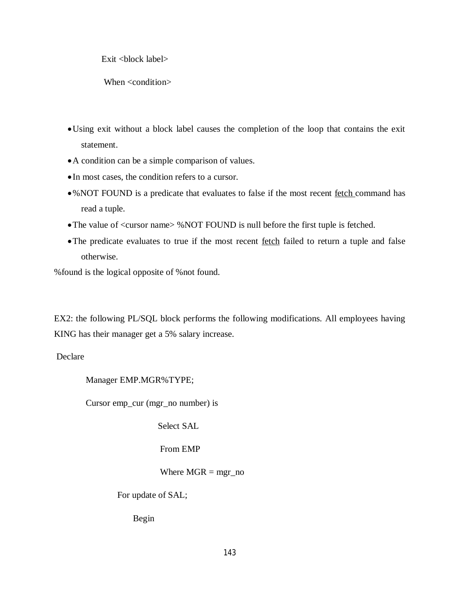Exit <br/>block label>

When <condition>

- Using exit without a block label causes the completion of the loop that contains the exit statement.
- A condition can be a simple comparison of values.
- In most cases, the condition refers to a cursor.
- •%NOT FOUND is a predicate that evaluates to false if the most recent fetch command has read a tuple.
- The value of <cursor name> % NOT FOUND is null before the first tuple is fetched.
- The predicate evaluates to true if the most recent <u>fetch</u> failed to return a tuple and false otherwise.

%found is the logical opposite of %not found.

EX2: the following PL/SQL block performs the following modifications. All employees having KING has their manager get a 5% salary increase.

Declare

Manager EMP.MGR%TYPE;

Cursor emp\_cur (mgr\_no number) is

Select SAL

From EMP

Where  $MGR = mgr$  no

For update of SAL;

Begin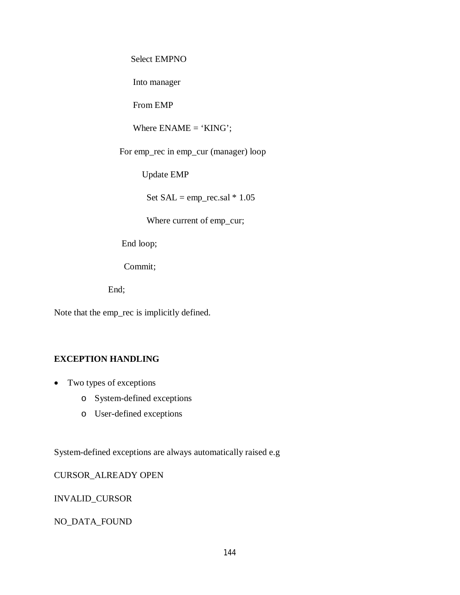Select EMPNO

Into manager

From EMP

Where  $ENAME = 'KING';$ 

For emp\_rec in emp\_cur (manager) loop

Update EMP

Set  $SAL = emp\_rec.sal * 1.05$ 

Where current of emp\_cur;

End loop;

Commit;

End;

Note that the emp\_rec is implicitly defined.

# **EXCEPTION HANDLING**

- Two types of exceptions
	- o System-defined exceptions
	- o User-defined exceptions

System-defined exceptions are always automatically raised e.g

CURSOR\_ALREADY OPEN

INVALID\_CURSOR

NO\_DATA\_FOUND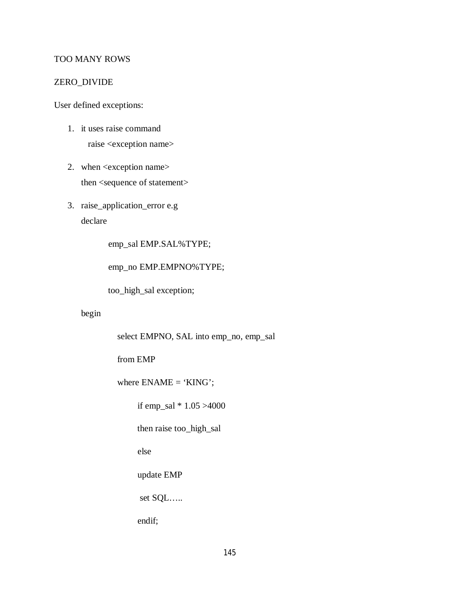# TOO MANY ROWS

### ZERO\_DIVIDE

User defined exceptions:

- 1. it uses raise command raise <exception name>
- 2. when <exception name> then <sequence of statement>
- 3. raise\_application\_error e.g declare

emp\_sal EMP.SAL%TYPE;

emp\_no EMP.EMPNO%TYPE;

too\_high\_sal exception;

begin

select EMPNO, SAL into emp\_no, emp\_sal

from EMP

where ENAME = 'KING';

if emp\_sal \* 1.05 >4000

then raise too\_high\_sal

else

update EMP

set SQL…..

endif;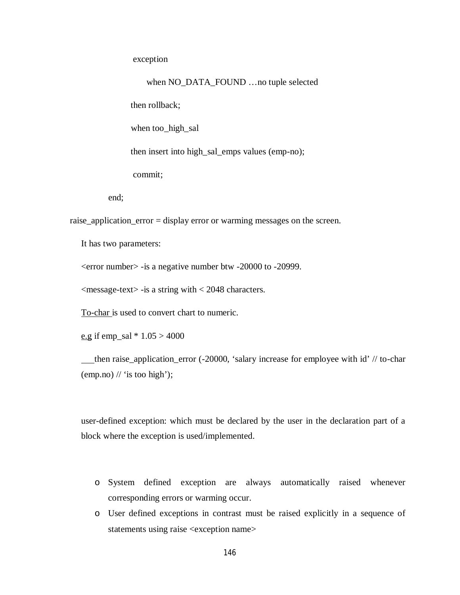exception

 when NO\_DATA\_FOUND …no tuple selected then rollback; when too high sal then insert into high\_sal\_emps values (emp-no); commit;

end;

raise\_application\_error = display error or warming messages on the screen.

It has two parameters:

<error number> -is a negative number btw -20000 to -20999.

 $\langle$  message-text $>$ -is a string with  $\langle$  2048 characters.

To-char is used to convert chart to numeric.

e.g if emp\_sal  $* 1.05 > 4000$ 

 then raise\_application\_error (-20000, 'salary increase for employee with id' // to-char  $\pmod{\mathcal{N}}$  is too high');

user-defined exception: which must be declared by the user in the declaration part of a block where the exception is used/implemented.

- o System defined exception are always automatically raised whenever corresponding errors or warming occur.
- o User defined exceptions in contrast must be raised explicitly in a sequence of statements using raise <exception name>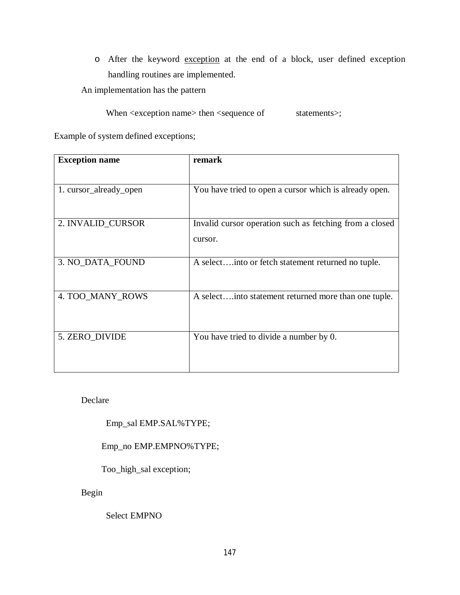o After the keyword exception at the end of a block, user defined exception handling routines are implemented.

An implementation has the pattern

When <exception name> then <sequence of statements>;

Example of system defined exceptions;

| <b>Exception name</b>  | remark                                                             |
|------------------------|--------------------------------------------------------------------|
|                        |                                                                    |
| 1. cursor_already_open | You have tried to open a cursor which is already open.             |
| 2. INVALID_CURSOR      | Invalid cursor operation such as fetching from a closed<br>cursor. |
| 3. NO_DATA_FOUND       | A select into or fetch statement returned no tuple.                |
| 4. TOO_MANY_ROWS       | A selectinto statement returned more than one tuple.               |
| 5. ZERO_DIVIDE         | You have tried to divide a number by 0.                            |

Declare

Emp\_sal EMP.SAL%TYPE;

Emp\_no EMP.EMPNO%TYPE;

Too\_high\_sal exception;

Begin

Select EMPNO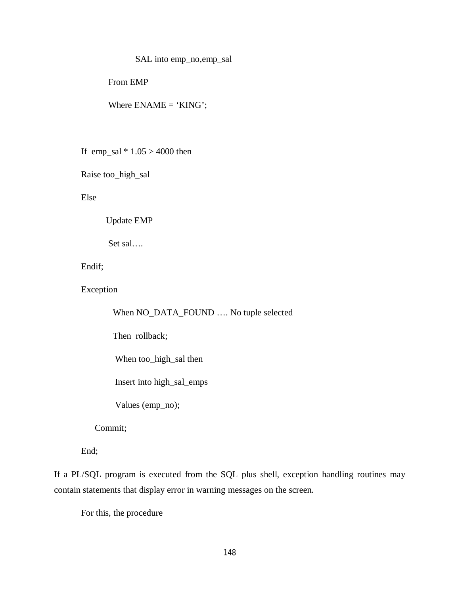# SAL into emp\_no,emp\_sal

From EMP

Where  $ENAME = 'KING';$ 

If emp\_sal  $* 1.05 > 4000$  then

Raise too\_high\_sal

Else

Update EMP

Set sal….

Endif;

Exception

When NO\_DATA\_FOUND …. No tuple selected

Then rollback;

When too\_high\_sal then

Insert into high\_sal\_emps

Values (emp\_no);

Commit;

End;

If a PL/SQL program is executed from the SQL plus shell, exception handling routines may contain statements that display error in warning messages on the screen.

For this, the procedure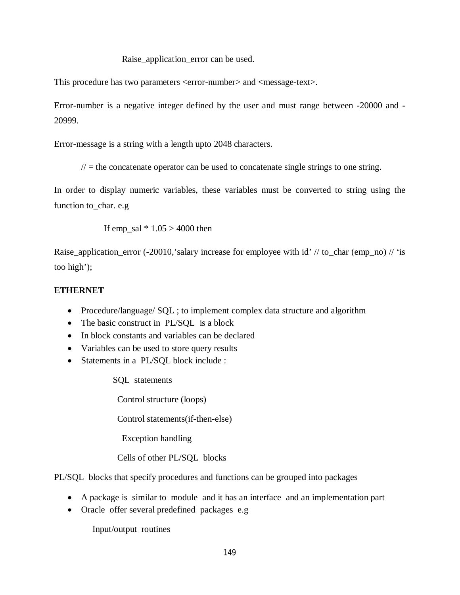Raise\_application\_error can be used.

This procedure has two parameters <error-number> and <message-text>.

Error-number is a negative integer defined by the user and must range between -20000 and - 20999.

Error-message is a string with a length upto 2048 characters.

 $\ell$  = the concatenate operator can be used to concatenate single strings to one string.

In order to display numeric variables, these variables must be converted to string using the function to\_char. e.g

If emp\_sal  $* 1.05 > 4000$  then

Raise\_application\_error (-20010,'salary increase for employee with id' // to\_char (emp\_no) // 'is too high');

# **ETHERNET**

- Procedure/language/ SQL ; to implement complex data structure and algorithm
- The basic construct in PL/SQL is a block
- In block constants and variables can be declared
- Variables can be used to store query results
- Statements in a PL/SOL block include :

SQL statements

Control structure (loops)

Control statements(if-then-else)

Exception handling

Cells of other PL/SQL blocks

PL/SQL blocks that specify procedures and functions can be grouped into packages

- A package is similar to module and it has an interface and an implementation part
- Oracle offer several predefined packages e.g

Input/output routines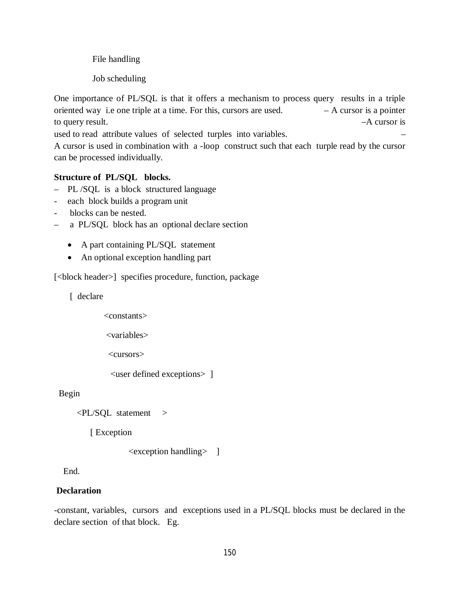File handling

Job scheduling

One importance of PL/SQL is that it offers a mechanism to process query results in a triple oriented way i.e one triple at a time. For this, cursors are used.  $- A$  cursor is a pointer to query result. –A cursor is

used to read attribute values of selected turples into variables. –

A cursor is used in combination with a -loop construct such that each turple read by the cursor can be processed individually.

# **Structure of PL/SQL blocks.**

- PL /SQL is a block structured language
- each block builds a program unit
- blocks can be nested.
- a PL/SQL block has an optional declare section
	- A part containing PL/SQL statement
	- An optional exception handling part

[<br/>block header>] specifies procedure, function, package

[ declare

 <constants> <variables> <cursors> <user defined exceptions> ]

Begin

<PL/SQL statement >

[ Exception

<exception handling> ]

End.

## **Declaration**

-constant, variables, cursors and exceptions used in a PL/SQL blocks must be declared in the declare section of that block. Eg.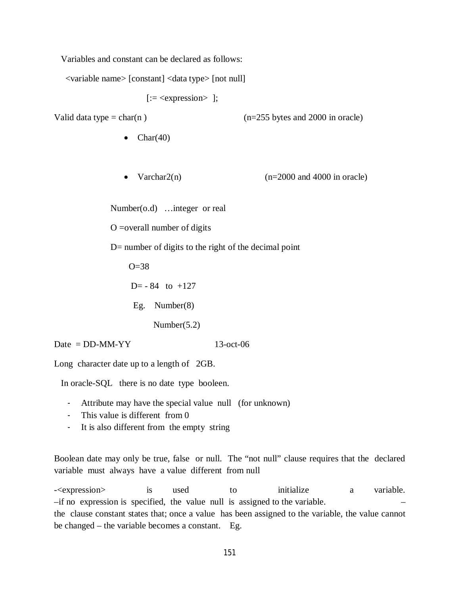Variables and constant can be declared as follows:

<variable name> [constant] <data type> [not null]

[:= <expression> ];

Valid data type = char(n)  $(n=255 \text{ bytes and } 2000 \text{ in oracle})$ 

- $\bullet$  Char(40)
- Varchar $2(n)$  (n=2000 and 4000 in oracle)

Number(o.d) …integer or real

O =overall number of digits

D= number of digits to the right of the decimal point

 $O=38$ 

 $D = -84$  to  $+127$ 

Eg. Number(8)

Number(5.2)

 $Date = DD-MM-YY$  13-oct-06

Long character date up to a length of 2GB.

In oracle-SQL there is no date type booleen.

- Attribute may have the special value null (for unknown)
- This value is different from 0
- It is also different from the empty string

Boolean date may only be true, false or null. The "not null" clause requires that the declared variable must always have a value different from null

-<expression> is used to initialize a variable. –if no expression is specified, the value null is assigned to the variable. – the clause constant states that; once a value has been assigned to the variable, the value cannot be changed – the variable becomes a constant. Eg.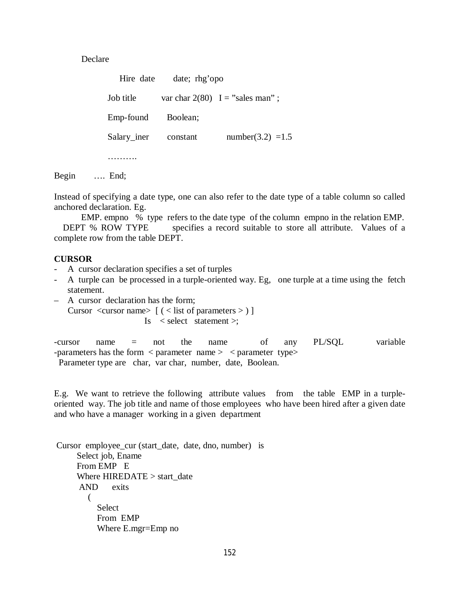Declare

Hire date date; rhg'opo Job title var char  $2(80)$  I = "sales man" ; Emp-found Boolean; Salary iner constant number(3.2) =1.5 …………

Begin …. End;

Instead of specifying a date type, one can also refer to the date type of a table column so called anchored declaration. Eg.

EMP. empno % type refers to the date type of the column empno in the relation EMP.

DEPT % ROW TYPE specifies a record suitable to store all attribute. Values of a complete row from the table DEPT.

#### **CURSOR**

- A cursor declaration specifies a set of turples
- A turple can be processed in a turple-oriented way. Eg, one turple at a time using the fetch statement.
- A cursor declaration has the form; Cursor  $\langle \text{cursor name} \rangle$   $( \langle \text{list of parameters} \rangle )$ Is < select statement >;

-cursor name = not the name of any PL/SQL variable -parameters has the form < parameter name > < parameter type> Parameter type are char, var char, number, date, Boolean.

E.g. We want to retrieve the following attribute values from the table EMP in a turpleoriented way. The job title and name of those employees who have been hired after a given date and who have a manager working in a given department

Cursor employee\_cur (start\_date, date, dno, number) is Select job, Ename From EMP E Where HIREDATE > start\_date AND exits  $\sim$  ( **Select**  From EMP Where E.mgr=Emp no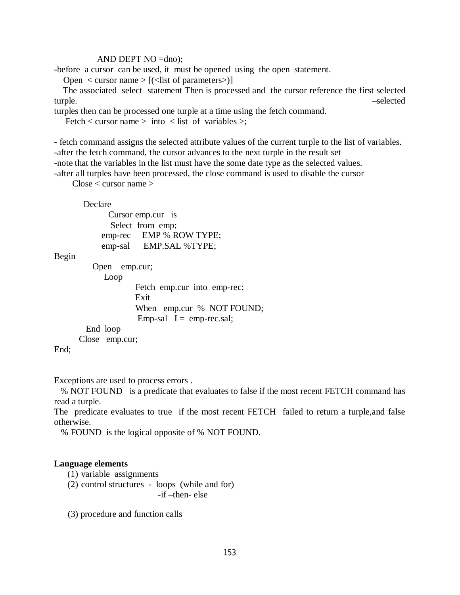### AND DEPT NO =dno);

-before a cursor can be used, it must be opened using the open statement.

Open  $\langle$  cursor name  $\rangle$  [ $(\langle$ list of parameters $\rangle$ ]

 The associated select statement Then is processed and the cursor reference the first selected turple. –selected

turples then can be processed one turple at a time using the fetch command.

Fetch  $\lt$  cursor name  $>$  into  $\lt$  list of variables  $\gt$ ;

- fetch command assigns the selected attribute values of the current turple to the list of variables. -after the fetch command, the cursor advances to the next turple in the result set -note that the variables in the list must have the some date type as the selected values.

-after all turples have been processed, the close command is used to disable the cursor

Close < cursor name >

#### Declare

 Cursor emp.cur is Select from emp; emp-rec EMP % ROW TYPE; emp-sal EMP.SAL %TYPE;

#### Begin

 Open emp.cur; Loop Fetch emp.cur into emp-rec; Exit When emp.cur % NOT FOUND; Emp-sal  $I =$  emp-rec.sal; End loop Close emp.cur;

End;

Exceptions are used to process errors .

 % NOT FOUND is a predicate that evaluates to false if the most recent FETCH command has read a turple.

The predicate evaluates to true if the most recent FETCH failed to return a turple,and false otherwise.

% FOUND is the logical opposite of % NOT FOUND.

#### **Language elements**

- (1) variable assignments
- (2) control structures loops (while and for) -if –then- else

(3) procedure and function calls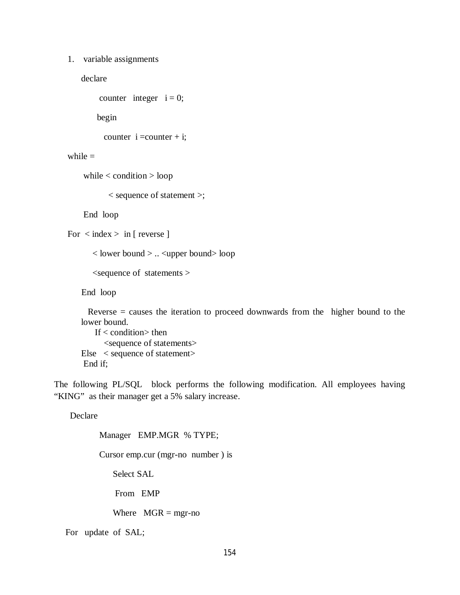#### 1. variable assignments

declare

```
counter integer i = 0;
```
begin

```
counter i =counter + i;
```
### while  $=$

while < condition > loop

< sequence of statement >;

End loop

```
For \langle index > in [ reverse ]
```
 $\langle$  lower bound  $\rangle$  ...  $\langle$ upper bound $\rangle$  loop

 $\leq$ sequence of statements  $>$ 

End loop

```
Reverse = causes the iteration to proceed downwards from the higher bound to the
lower bound.
```
If  $<$  condition $>$  then <sequence of statements> Else < sequence of statement> End if;

The following PL/SQL block performs the following modification. All employees having "KING" as their manager get a 5% salary increase.

Declare

Manager EMP.MGR % TYPE;

Cursor emp.cur (mgr-no number ) is

Select SAL

From EMP

Where  $MGR = mgr$ -no

For update of SAL;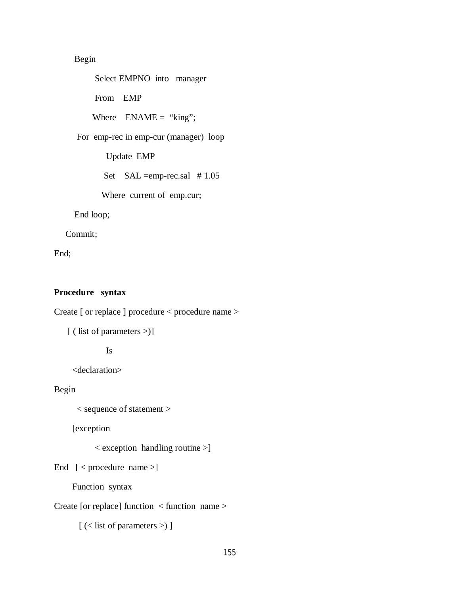# Begin

 Select EMPNO into manager From EMP Where  $ENAME = "king";$  For emp-rec in emp-cur (manager) loop Update EMP Set SAL =emp-rec.sal # 1.05 Where current of emp.cur;

End loop;

Commit;

End;

### **Procedure syntax**

Create [ or replace ] procedure < procedure name >

[ ( list of parameters >)]

Is

<declaration>

Begin

< sequence of statement >

[exception

< exception handling routine >]

End [ < procedure name >]

Function syntax

Create [or replace] function < function name >

[ (< list of parameters >) ]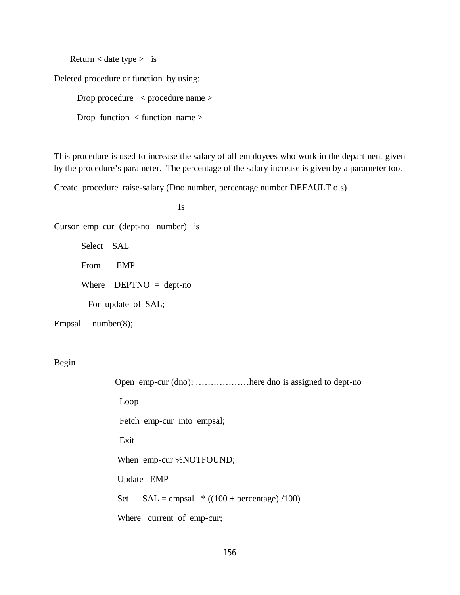Return  $\lt$  date type  $>$  is

Deleted procedure or function by using:

 Drop procedure < procedure name > Drop function < function name >

This procedure is used to increase the salary of all employees who work in the department given by the procedure's parameter. The percentage of the salary increase is given by a parameter too.

Create procedure raise-salary (Dno number, percentage number DEFAULT o.s)

 Is Cursor emp\_cur (dept-no number) is Select SAL From EMP Where  $DEPTNO = dept-no$ For update of SAL;

Empsal number(8);

Begin

 Open emp-cur (dno); ………………here dno is assigned to dept-no Loop Fetch emp-cur into empsal; Exit When emp-cur %NOTFOUND; Update EMP Set  $SAL = empsal * ((100 + percentage) / 100)$ Where current of emp-cur;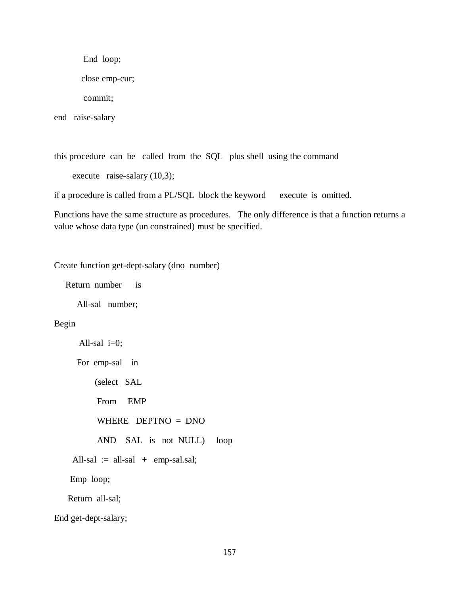End loop;

close emp-cur;

commit;

end raise-salary

this procedure can be called from the SQL plus shell using the command execute raise-salary (10,3);

if a procedure is called from a PL/SQL block the keyword execute is omitted.

Functions have the same structure as procedures. The only difference is that a function returns a value whose data type (un constrained) must be specified.

Create function get-dept-salary (dno number)

Return number is

All-sal number;

### Begin

```
All-sal i=0;
      For emp-sal in
          (select SAL
           From EMP
           WHERE DEPTNO = DNO
           AND SAL is not NULL) loop
    All-sal := all-sal + emp-sal.sal;
    Emp loop;
    Return all-sal;
End get-dept-salary;
```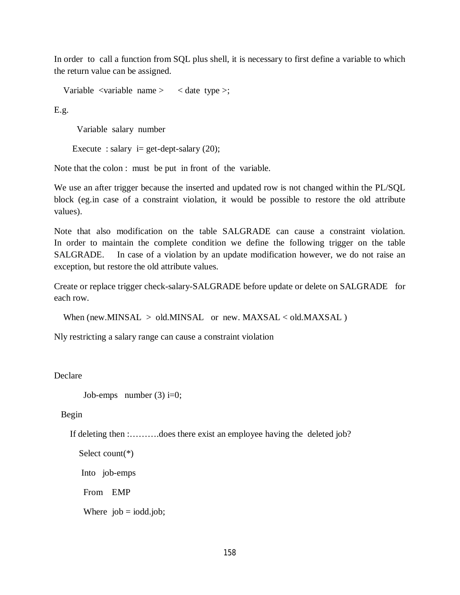In order to call a function from SQL plus shell, it is necessary to first define a variable to which the return value can be assigned.

Variable  $\langle$ variable name  $>$   $\langle$  date type  $>$ ;

E.g.

Variable salary number

Execute : salary  $i= get\text{-}depth\text{-}salary (20);$ 

Note that the colon : must be put in front of the variable.

We use an after trigger because the inserted and updated row is not changed within the PL/SQL block (eg.in case of a constraint violation, it would be possible to restore the old attribute values).

Note that also modification on the table SALGRADE can cause a constraint violation. In order to maintain the complete condition we define the following trigger on the table SALGRADE. In case of a violation by an update modification however, we do not raise an exception, but restore the old attribute values.

Create or replace trigger check-salary-SALGRADE before update or delete on SALGRADE for each row.

```
When (new.MINSAL > old.MINSAL or new. MAXSAL < old.MAXSAL)
```
Nly restricting a salary range can cause a constraint violation

Declare

```
Job-emps number (3) i=0;
```
Begin

If deleting then :……….does there exist an employee having the deleted job?

```
 Select count(*)
```

```
 Into job-emps
```
From EMP

Where  $job = iodd.job;$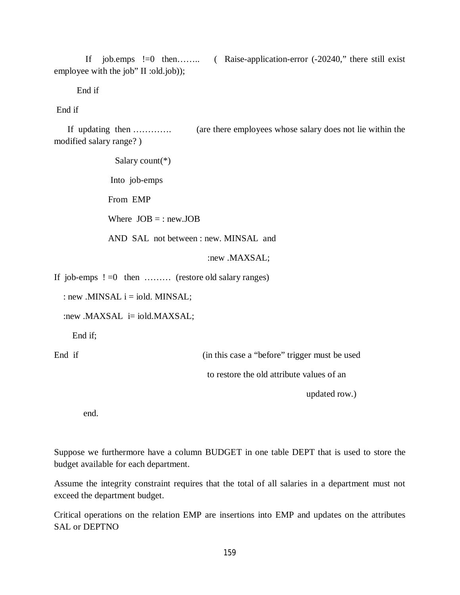If job.emps !=0 then…….. ( Raise-application-error (-20240," there still exist employee with the job" II :old.job));

End if

End if

 If updating then …………. (are there employees whose salary does not lie within the modified salary range? )

```
 Salary count(*)
              Into job-emps
            From EMP
             Where JOB = : newJOBAND SAL not between : new. MINSAL and 
                                     :new .MAXSAL;
If job-emps !=0 then \ldots (restore old salary ranges)
  : new .MINSAL i = iold. MINSAL;
  :new .MAXSAL i= iold.MAXSAL;
     End if;
```
End if (in this case a "before" trigger must be used to restore the old attribute values of an

updated row.)

end.

Suppose we furthermore have a column BUDGET in one table DEPT that is used to store the budget available for each department.

Assume the integrity constraint requires that the total of all salaries in a department must not exceed the department budget.

Critical operations on the relation EMP are insertions into EMP and updates on the attributes SAL or DEPTNO